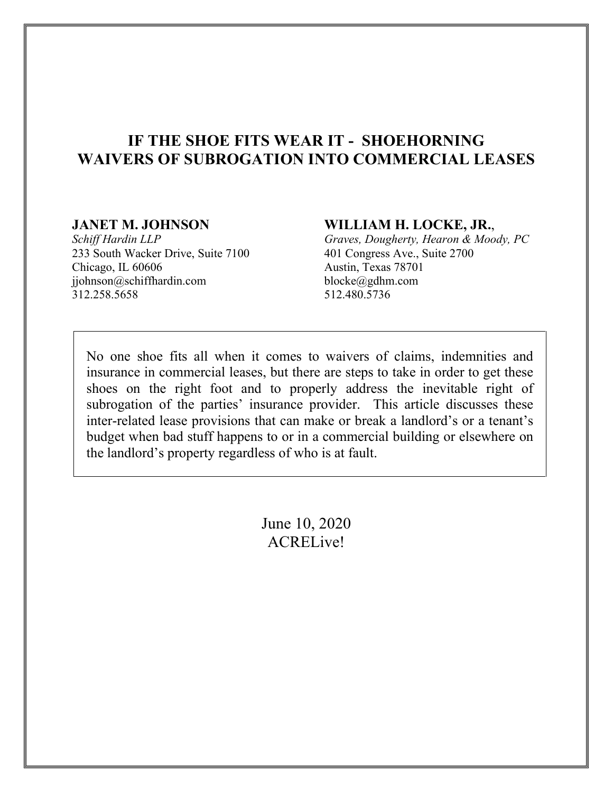# **IF THE SHOE FITS WEAR IT - SHOEHORNING WAIVERS OF SUBROGATION INTO COMMERCIAL LEASES**

# **JANET M. JOHNSON**

*Schiff Hardin LLP* 233 South Wacker Drive, Suite 7100 Chicago, IL 60606 jjohnson@schiffhardin.com 312.258.5658

## **WILLIAM H. LOCKE, JR.**,

*Graves, Dougherty, Hearon & Moody, PC* 401 Congress Ave., Suite 2700 Austin, Texas 78701 blocke@gdhm.com 512.480.5736

No one shoe fits all when it comes to waivers of claims, indemnities and insurance in commercial leases, but there are steps to take in order to get these shoes on the right foot and to properly address the inevitable right of subrogation of the parties' insurance provider. This article discusses these inter-related lease provisions that can make or break a landlord's or a tenant's budget when bad stuff happens to or in a commercial building or elsewhere on the landlord's property regardless of who is at fault.

> June 10, 2020 ACRELive!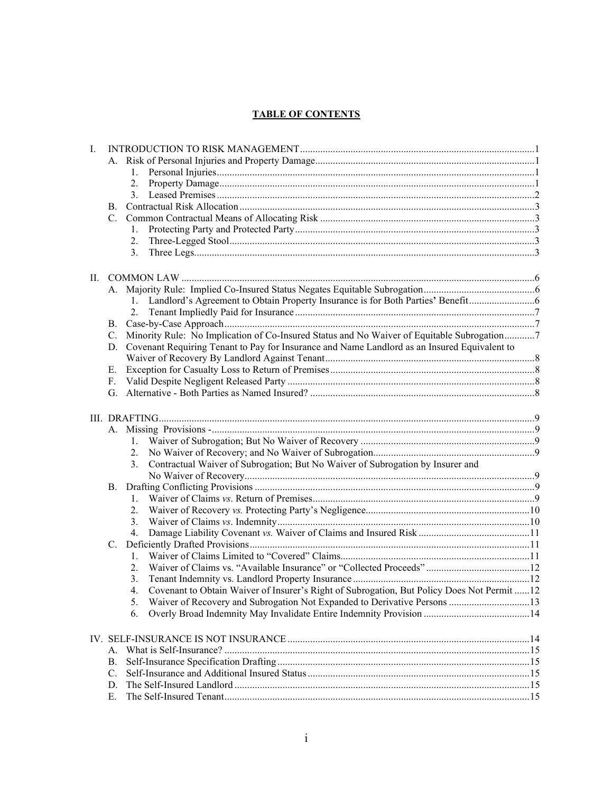# **TABLE OF CONTENTS**

| I. |                 |                                                                                                  |  |
|----|-----------------|--------------------------------------------------------------------------------------------------|--|
|    |                 |                                                                                                  |  |
|    |                 |                                                                                                  |  |
|    |                 | 2.                                                                                               |  |
|    |                 | 3.                                                                                               |  |
|    | В.              |                                                                                                  |  |
|    | C.              |                                                                                                  |  |
|    |                 | 1.                                                                                               |  |
|    |                 | 2.                                                                                               |  |
|    |                 | 3.                                                                                               |  |
|    |                 |                                                                                                  |  |
| П. |                 |                                                                                                  |  |
|    |                 |                                                                                                  |  |
|    |                 |                                                                                                  |  |
|    |                 | 2.                                                                                               |  |
|    | В.              |                                                                                                  |  |
|    | C.              | Minority Rule: No Implication of Co-Insured Status and No Waiver of Equitable Subrogation7       |  |
|    |                 | D. Covenant Requiring Tenant to Pay for Insurance and Name Landlord as an Insured Equivalent to  |  |
|    |                 |                                                                                                  |  |
|    | E.              |                                                                                                  |  |
|    | F.              |                                                                                                  |  |
|    |                 |                                                                                                  |  |
|    |                 |                                                                                                  |  |
|    |                 |                                                                                                  |  |
|    |                 |                                                                                                  |  |
|    |                 | 2.                                                                                               |  |
|    |                 | Contractual Waiver of Subrogation; But No Waiver of Subrogation by Insurer and<br>3.             |  |
|    |                 |                                                                                                  |  |
|    | <b>B.</b>       |                                                                                                  |  |
|    |                 | 1.                                                                                               |  |
|    |                 | 2.                                                                                               |  |
|    |                 | 3.                                                                                               |  |
|    |                 | 4.                                                                                               |  |
|    | $\mathcal{C}$ . |                                                                                                  |  |
|    |                 | $1_{-}$                                                                                          |  |
|    |                 | 2.                                                                                               |  |
|    |                 |                                                                                                  |  |
|    |                 | 3.                                                                                               |  |
|    |                 | Covenant to Obtain Waiver of Insurer's Right of Subrogation, But Policy Does Not Permit  12<br>4 |  |
|    |                 | 5.                                                                                               |  |
|    |                 | 6.                                                                                               |  |
|    |                 |                                                                                                  |  |
|    | A.              |                                                                                                  |  |
|    | В.              |                                                                                                  |  |
|    | C.              |                                                                                                  |  |
|    | D.              |                                                                                                  |  |
|    | Ε.              |                                                                                                  |  |
|    |                 |                                                                                                  |  |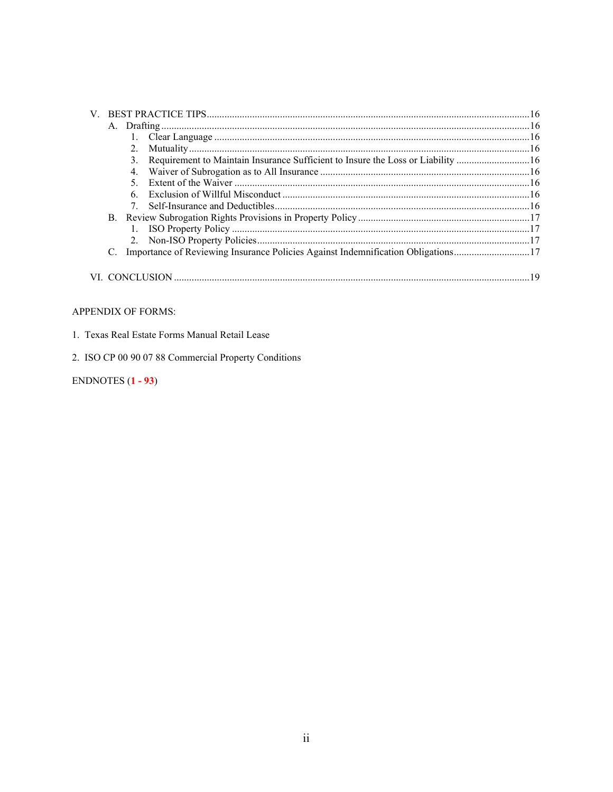| 2. |                                                                                  |  |
|----|----------------------------------------------------------------------------------|--|
|    | Requirement to Maintain Insurance Sufficient to Insure the Loss or Liability 16  |  |
|    |                                                                                  |  |
|    |                                                                                  |  |
|    |                                                                                  |  |
|    |                                                                                  |  |
|    |                                                                                  |  |
|    |                                                                                  |  |
|    |                                                                                  |  |
|    | Importance of Reviewing Insurance Policies Against Indemnification Obligations17 |  |
|    |                                                                                  |  |
|    |                                                                                  |  |

#### APPENDIX OF FORMS:

|  |  |  |  |  |  | 1. Texas Real Estate Forms Manual Retail Lease |  |  |
|--|--|--|--|--|--|------------------------------------------------|--|--|
|--|--|--|--|--|--|------------------------------------------------|--|--|

2. ISO CP 00 90 07 88 Commercial Property Conditions

# ENDNOTES  $(1 - 93)$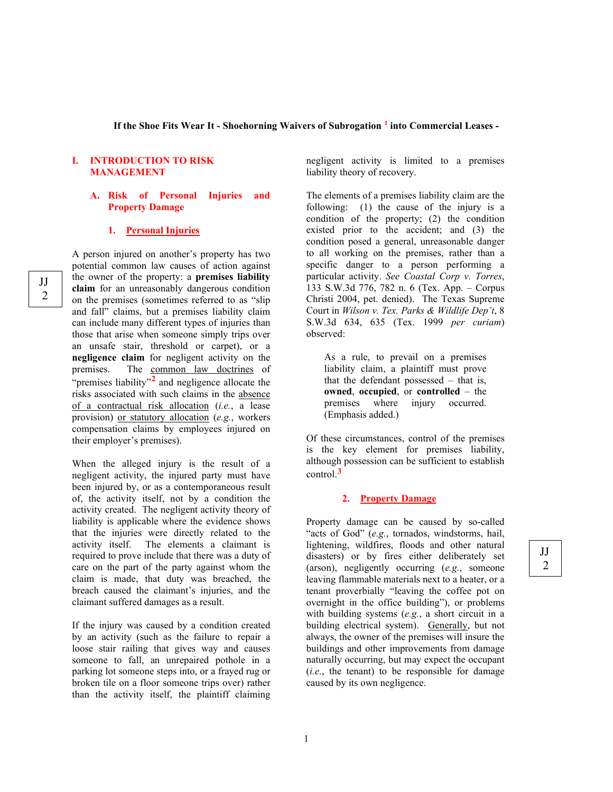#### **If the Shoe Fits Wear It - Shoehorning Waivers of Subrogation [1](#page-31-0) into Commercial Leases -**

#### **I. INTRODUCTION TO RISK MANAGEMENT**

#### **A. Risk of Personal Injuries and Property Damage**

#### **1. Personal Injuries**

A person injured on another's property has two potential common law causes of action against the owner of the property: a **premises liability claim** for an unreasonably dangerous condition on the premises (sometimes referred to as "slip and fall" claims, but a premises liability claim can include many different types of injuries than those that arise when someone simply trips over an unsafe stair, threshold or carpet), or a **negligence claim** for negligent activity on the premises. The common law doctrines of "premises liability"<sup>[2](#page-31-1)</sup> and negligence allocate the risks associated with such claims in the absence of a contractual risk allocation (*i.e.*, a lease provision) or statutory allocation (*e.g.*, workers compensation claims by employees injured on their employer's premises).

When the alleged injury is the result of a negligent activity, the injured party must have been injured by, or as a contemporaneous result of, the activity itself, not by a condition the activity created. The negligent activity theory of liability is applicable where the evidence shows that the injuries were directly related to the activity itself. The elements a claimant is required to prove include that there was a duty of care on the part of the party against whom the claim is made, that duty was breached, the breach caused the claimant's injuries, and the claimant suffered damages as a result.

If the injury was caused by a condition created by an activity (such as the failure to repair a loose stair railing that gives way and causes someone to fall, an unrepaired pothole in a parking lot someone steps into, or a frayed rug or broken tile on a floor someone trips over) rather than the activity itself, the plaintiff claiming negligent activity is limited to a premises liability theory of recovery.

The elements of a premises liability claim are the following: (1) the cause of the injury is a condition of the property; (2) the condition existed prior to the accident; and (3) the condition posed a general, unreasonable danger to all working on the premises, rather than a specific danger to a person performing a particular activity. *See Coastal Corp v. Torres*, 133 S.W.3d 776, 782 n. 6 (Tex. App. – Corpus Christi 2004, pet. denied). The Texas Supreme Court in *Wilson v. Tex. Parks & Wildlife Dep't*, 8 S.W.3d 634, 635 (Tex. 1999 *per curiam*) observed:

As a rule, to prevail on a premises liability claim, a plaintiff must prove that the defendant possessed – that is, **owned**, **occupied**, or **controlled** – the premises where injury occurred. (Emphasis added.)

Of these circumstances, control of the premises is the key element for premises liability, although possession can be sufficient to establish control. **[3](#page-31-2)**

#### **2. Property Damage**

Property damage can be caused by so-called "acts of God" (*e.g.*, tornados, windstorms, hail, lightening, wildfires, floods and other natural disasters) or by fires either deliberately set (arson), negligently occurring (*e.g.*, someone leaving flammable materials next to a heater, or a tenant proverbially "leaving the coffee pot on overnight in the office building"), or problems with building systems (*e.g.*, a short circuit in a building electrical system). Generally, but not always, the owner of the premises will insure the buildings and other improvements from damage naturally occurring, but may expect the occupant  $(i.e., the tenant)$  to be responsible for damage caused by its own negligence.

JJ 2

JJ 2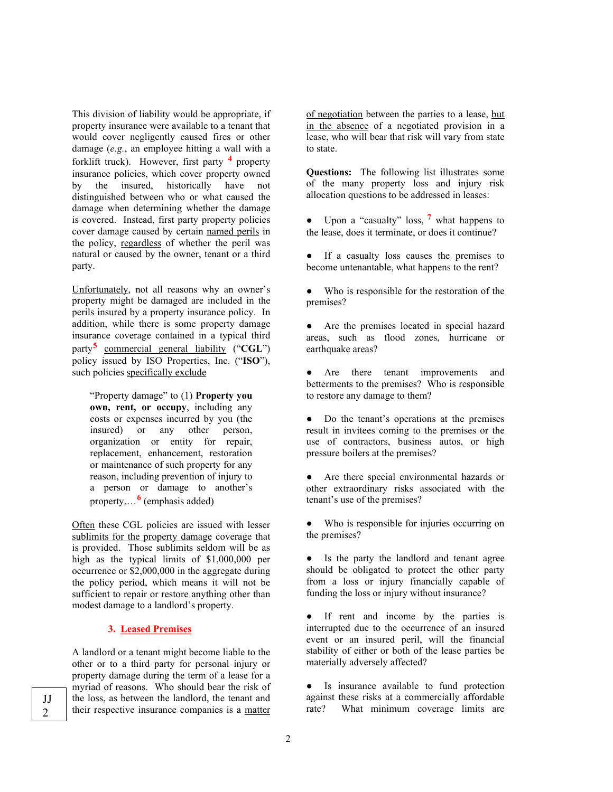This division of liability would be appropriate, if property insurance were available to a tenant that would cover negligently caused fires or other damage (*e.g.*, an employee hitting a wall with a forklift truck). However, first party **[4](#page-32-0)** property insurance policies, which cover property owned by the insured, historically have not distinguished between who or what caused the damage when determining whether the damage is covered. Instead, first party property policies cover damage caused by certain named perils in the policy, regardless of whether the peril was natural or caused by the owner, tenant or a third party.

Unfortunately, not all reasons why an owner's property might be damaged are included in the perils insured by a property insurance policy. In addition, while there is some property damage insurance coverage contained in a typical third party**[5](#page-32-1)** commercial general liability ("**CGL**") policy issued by ISO Properties, Inc. ("**ISO**"), such policies specifically exclude

"Property damage" to (1) **Property you own, rent, or occupy**, including any costs or expenses incurred by you (the insured) or any other person, organization or entity for repair, replacement, enhancement, restoration or maintenance of such property for any reason, including prevention of injury to a person or damage to another's property,…**[6](#page-32-2)** (emphasis added)

Often these CGL policies are issued with lesser sublimits for the property damage coverage that is provided. Those sublimits seldom will be as high as the typical limits of \$1,000,000 per occurrence or \$2,000,000 in the aggregate during the policy period, which means it will not be sufficient to repair or restore anything other than modest damage to a landlord's property.

#### **3. Leased Premises**

A landlord or a tenant might become liable to the other or to a third party for personal injury or property damage during the term of a lease for a myriad of reasons. Who should bear the risk of the loss, as between the landlord, the tenant and their respective insurance companies is a matter

of negotiation between the parties to a lease, but in the absence of a negotiated provision in a lease, who will bear that risk will vary from state to state.

**Questions:** The following list illustrates some of the many property loss and injury risk allocation questions to be addressed in leases:

● Upon a "casualty" loss, **[7](#page-32-3)** what happens to the lease, does it terminate, or does it continue?

● If a casualty loss causes the premises to become untenantable, what happens to the rent?

Who is responsible for the restoration of the premises?

● Are the premises located in special hazard areas, such as flood zones, hurricane or earthquake areas?

● Are there tenant improvements and betterments to the premises? Who is responsible to restore any damage to them?

• Do the tenant's operations at the premises result in invitees coming to the premises or the use of contractors, business autos, or high pressure boilers at the premises?

● Are there special environmental hazards or other extraordinary risks associated with the tenant's use of the premises?

● Who is responsible for injuries occurring on the premises?

● Is the party the landlord and tenant agree should be obligated to protect the other party from a loss or injury financially capable of funding the loss or injury without insurance?

● If rent and income by the parties is interrupted due to the occurrence of an insured event or an insured peril, will the financial stability of either or both of the lease parties be materially adversely affected?

● Is insurance available to fund protection against these risks at a commercially affordable rate? What minimum coverage limits are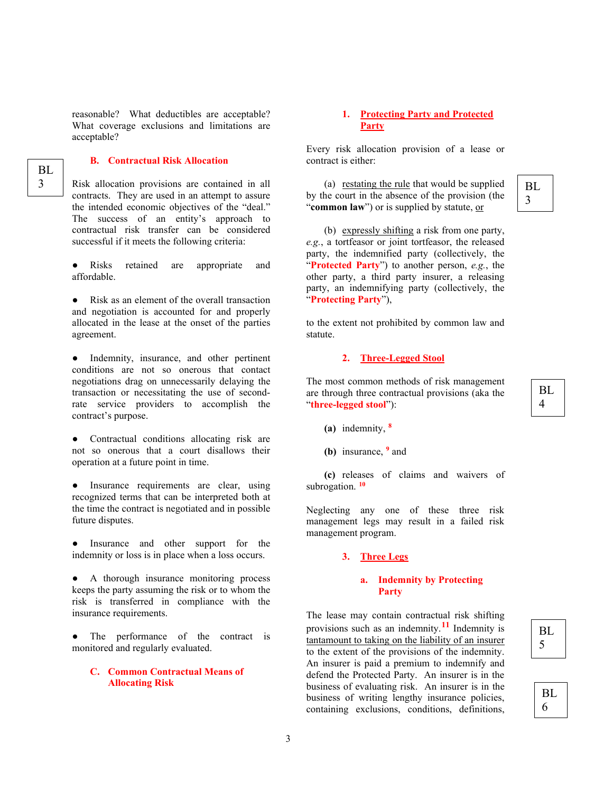reasonable? What deductibles are acceptable? What coverage exclusions and limitations are acceptable?

#### **B. Contractual Risk Allocation**

BL 3

Risk allocation provisions are contained in all contracts. They are used in an attempt to assure the intended economic objectives of the "deal." The success of an entity's approach to contractual risk transfer can be considered successful if it meets the following criteria:

● Risks retained are appropriate and affordable.

Risk as an element of the overall transaction and negotiation is accounted for and properly allocated in the lease at the onset of the parties agreement.

Indemnity, insurance, and other pertinent conditions are not so onerous that contact negotiations drag on unnecessarily delaying the transaction or necessitating the use of secondrate service providers to accomplish the contract's purpose.

● Contractual conditions allocating risk are not so onerous that a court disallows their operation at a future point in time.

Insurance requirements are clear, using recognized terms that can be interpreted both at the time the contract is negotiated and in possible future disputes.

Insurance and other support for the indemnity or loss is in place when a loss occurs.

A thorough insurance monitoring process keeps the party assuming the risk or to whom the risk is transferred in compliance with the insurance requirements.

The performance of the contract is monitored and regularly evaluated.

#### **C. Common Contractual Means of Allocating Risk**

#### **1. Protecting Party and Protected Party**

Every risk allocation provision of a lease or contract is either:

(a) restating the rule that would be supplied by the court in the absence of the provision (the "**common law**") or is supplied by statute, or

BL 3

(b) expressly shifting a risk from one party, *e.g.*, a tortfeasor or joint tortfeasor, the released party, the indemnified party (collectively, the "**Protected Party**") to another person, *e.g.*, the other party, a third party insurer, a releasing party, an indemnifying party (collectively, the "**Protecting Party**"),

to the extent not prohibited by common law and statute.

#### **2. Three-Legged Stool**

The most common methods of risk management are through three contractual provisions (aka the "**three-legged stool**"):

- **(a)** indemnity, **[8](#page-32-4)**
- **(b)** insurance, **[9](#page-32-5)** and

**(c)** releases of claims and waivers of subrogation. **[10](#page-32-6)**

Neglecting any one of these three risk management legs may result in a failed risk management program.

#### **3. Three Legs**

#### **a. Indemnity by Protecting Party**

The lease may contain contractual risk shifting provisions such as an indemnity.**[11](#page-32-7)** Indemnity is tantamount to taking on the liability of an insurer to the extent of the provisions of the indemnity. An insurer is paid a premium to indemnify and defend the Protected Party. An insurer is in the business of evaluating risk. An insurer is in the business of writing lengthy insurance policies, containing exclusions, conditions, definitions,

BL 6

BL 4

3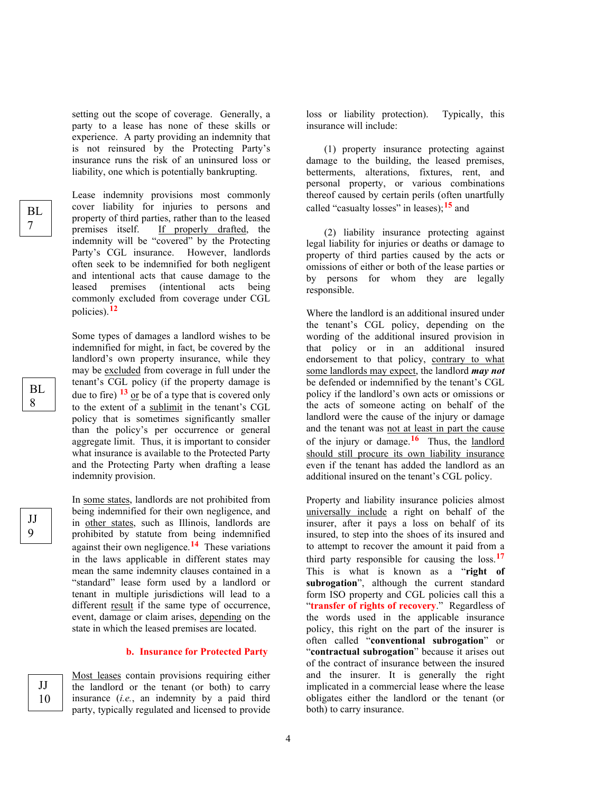setting out the scope of coverage. Generally, a party to a lease has none of these skills or experience. A party providing an indemnity that is not reinsured by the Protecting Party's insurance runs the risk of an uninsured loss or liability, one which is potentially bankrupting.

BL 7

> BL 8

JJ 9

> JJ 10

Lease indemnity provisions most commonly cover liability for injuries to persons and property of third parties, rather than to the leased premises itself. If properly drafted, the indemnity will be "covered" by the Protecting Party's CGL insurance. However, landlords often seek to be indemnified for both negligent and intentional acts that cause damage to the leased premises (intentional acts being commonly excluded from coverage under CGL policies). **[12](#page-33-0)**

Some types of damages a landlord wishes to be indemnified for might, in fact, be covered by the landlord's own property insurance, while they may be excluded from coverage in full under the tenant's CGL policy (if the property damage is due to fire) **[13](#page-33-1)** or be of a type that is covered only to the extent of a sublimit in the tenant's CGL policy that is sometimes significantly smaller than the policy's per occurrence or general aggregate limit. Thus, it is important to consider what insurance is available to the Protected Party and the Protecting Party when drafting a lease indemnity provision.

In some states, landlords are not prohibited from being indemnified for their own negligence, and in other states, such as Illinois, landlords are prohibited by statute from being indemnified against their own negligence.**[14](#page-33-2)** These variations in the laws applicable in different states may mean the same indemnity clauses contained in a "standard" lease form used by a landlord or tenant in multiple jurisdictions will lead to a different result if the same type of occurrence, event, damage or claim arises, depending on the state in which the leased premises are located.

#### **b. Insurance for Protected Party**

Most leases contain provisions requiring either the landlord or the tenant (or both) to carry insurance (*i.e.*, an indemnity by a paid third party, typically regulated and licensed to provide

loss or liability protection). Typically, this insurance will include:

(1) property insurance protecting against damage to the building, the leased premises, betterments, alterations, fixtures, rent, and personal property, or various combinations thereof caused by certain perils (often unartfully called "casualty losses" in leases); **[15](#page-33-3)** and

(2) liability insurance protecting against legal liability for injuries or deaths or damage to property of third parties caused by the acts or omissions of either or both of the lease parties or by persons for whom they are legally responsible.

Where the landlord is an additional insured under the tenant's CGL policy, depending on the wording of the additional insured provision in that policy or in an additional insured endorsement to that policy, contrary to what some landlords may expect, the landlord *may not* be defended or indemnified by the tenant's CGL policy if the landlord's own acts or omissions or the acts of someone acting on behalf of the landlord were the cause of the injury or damage and the tenant was not at least in part the cause of the injury or damage. **[16](#page-33-4)** Thus, the landlord should still procure its own liability insurance even if the tenant has added the landlord as an additional insured on the tenant's CGL policy.

Property and liability insurance policies almost universally include a right on behalf of the insurer, after it pays a loss on behalf of its insured, to step into the shoes of its insured and to attempt to recover the amount it paid from a third party responsible for causing the loss.**[17](#page-34-0)** This is what is known as a "**right of subrogation**", although the current standard form ISO property and CGL policies call this a "**transfer of rights of recovery**." Regardless of the words used in the applicable insurance policy, this right on the part of the insurer is often called "**conventional subrogation**" or "**contractual subrogation**" because it arises out of the contract of insurance between the insured and the insurer. It is generally the right implicated in a commercial lease where the lease obligates either the landlord or the tenant (or both) to carry insurance.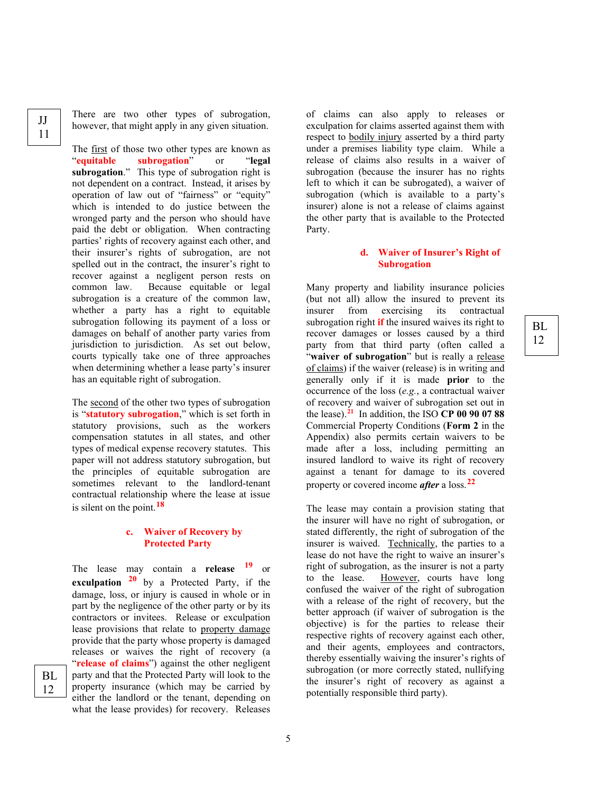There are two other types of subrogation, however, that might apply in any given situation.

The <u>first</u> of those two other types are known as<br>
"equitable subrogation" or "legal **subrogation**" or "**legal subrogation**." This type of subrogation right is not dependent on a contract. Instead, it arises by operation of law out of "fairness" or "equity" which is intended to do justice between the wronged party and the person who should have paid the debt or obligation. When contracting parties' rights of recovery against each other, and their insurer's rights of subrogation, are not spelled out in the contract, the insurer's right to recover against a negligent person rests on common law. Because equitable or legal subrogation is a creature of the common law, whether a party has a right to equitable subrogation following its payment of a loss or damages on behalf of another party varies from jurisdiction to jurisdiction. As set out below, courts typically take one of three approaches when determining whether a lease party's insurer has an equitable right of subrogation.

The second of the other two types of subrogation is "**statutory subrogation**," which is set forth in statutory provisions, such as the workers compensation statutes in all states, and other types of medical expense recovery statutes. This paper will not address statutory subrogation, but the principles of equitable subrogation are sometimes relevant to the landlord-tenant contractual relationship where the lease at issue is silent on the point.**[18](#page-34-1)**

#### **c. Waiver of Recovery by Protected Party**

The lease may contain a **release [19](#page-34-2)** or **exculpation [20](#page-34-3)** by a Protected Party, if the damage, loss, or injury is caused in whole or in part by the negligence of the other party or by its contractors or invitees. Release or exculpation lease provisions that relate to property damage provide that the party whose property is damaged releases or waives the right of recovery (a "**release of claims**") against the other negligent party and that the Protected Party will look to the property insurance (which may be carried by either the landlord or the tenant, depending on what the lease provides) for recovery. Releases

of claims can also apply to releases or exculpation for claims asserted against them with respect to bodily injury asserted by a third party under a premises liability type claim. While a release of claims also results in a waiver of subrogation (because the insurer has no rights left to which it can be subrogated), a waiver of subrogation (which is available to a party's insurer) alone is not a release of claims against the other party that is available to the Protected Party.

#### **d. Waiver of Insurer's Right of Subrogation**

BL 12

Many property and liability insurance policies (but not all) allow the insured to prevent its insurer from exercising its contractual subrogation right **if** the insured waives its right to recover damages or losses caused by a third party from that third party (often called a "**waiver of subrogation**" but is really a release of claims) if the waiver (release) is in writing and generally only if it is made **prior** to the occurrence of the loss (*e.g.*, a contractual waiver of recovery and waiver of subrogation set out in the lease). **[21](#page-34-4)** In addition, the ISO **CP 00 90 07 88** Commercial Property Conditions (**Form 2** in the Appendix) also permits certain waivers to be made after a loss, including permitting an insured landlord to waive its right of recovery against a tenant for damage to its covered property or covered income *after* a loss.**[22](#page-35-0)**

The lease may contain a provision stating that the insurer will have no right of subrogation, or stated differently, the right of subrogation of the insurer is waived. Technically, the parties to a lease do not have the right to waive an insurer's right of subrogation, as the insurer is not a party to the lease. However, courts have long confused the waiver of the right of subrogation with a release of the right of recovery, but the better approach (if waiver of subrogation is the objective) is for the parties to release their respective rights of recovery against each other, and their agents, employees and contractors, thereby essentially waiving the insurer's rights of subrogation (or more correctly stated, nullifying the insurer's right of recovery as against a potentially responsible third party).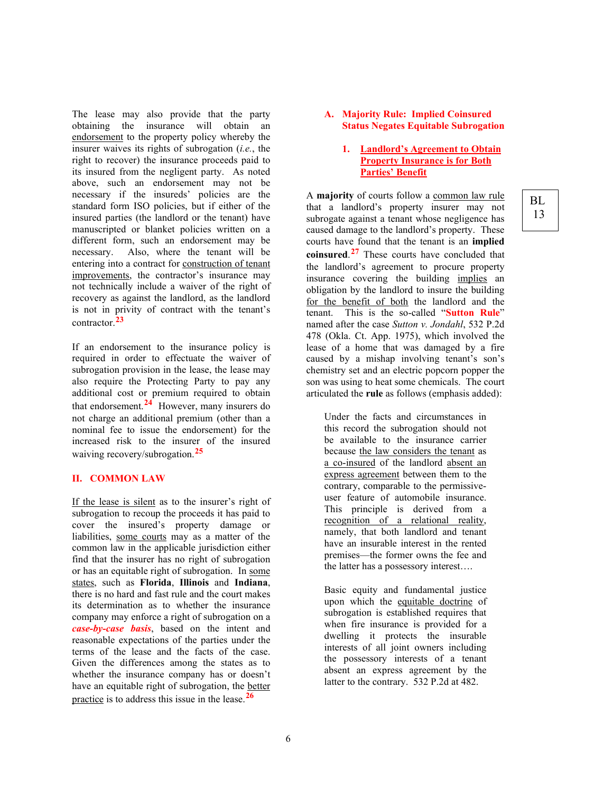The lease may also provide that the party obtaining the insurance will obtain an endorsement to the property policy whereby the insurer waives its rights of subrogation (*i.e.*, the right to recover) the insurance proceeds paid to its insured from the negligent party.As noted above, such an endorsement may not be necessary if the insureds' policies are the standard form ISO policies, but if either of the insured parties (the landlord or the tenant) have manuscripted or blanket policies written on a different form, such an endorsement may be necessary. Also, where the tenant will be entering into a contract for construction of tenant improvements, the contractor's insurance may not technically include a waiver of the right of recovery as against the landlord, as the landlord is not in privity of contract with the tenant's contractor.**[23](#page-35-1)**

If an endorsement to the insurance policy is required in order to effectuate the waiver of subrogation provision in the lease, the lease may also require the Protecting Party to pay any additional cost or premium required to obtain that endorsement.**[24](#page-35-2)** However, many insurers do not charge an additional premium (other than a nominal fee to issue the endorsement) for the increased risk to the insurer of the insured waiving recovery/subrogation.**[25](#page-35-3)**

#### **II. COMMON LAW**

If the lease is silent as to the insurer's right of subrogation to recoup the proceeds it has paid to cover the insured's property damage or liabilities, some courts may as a matter of the common law in the applicable jurisdiction either find that the insurer has no right of subrogation or has an equitable right of subrogation. In some states, such as **Florida**, **Illinois** and **Indiana**, there is no hard and fast rule and the court makes its determination as to whether the insurance company may enforce a right of subrogation on a *case-by-case basis*, based on the intent and reasonable expectations of the parties under the terms of the lease and the facts of the case. Given the differences among the states as to whether the insurance company has or doesn't have an equitable right of subrogation, the better practice is to address this issue in the lease.**[26](#page-35-4)**

#### **A. Majority Rule: Implied Coinsured Status Negates Equitable Subrogation**

#### **1. Landlord's Agreement to Obtain Property Insurance is for Both Parties' Benefit**

A **majority** of courts follow a common law rule that a landlord's property insurer may not subrogate against a tenant whose negligence has caused damage to the landlord's property. These courts have found that the tenant is an **implied coinsured**. **[27](#page-36-0)** These courts have concluded that the landlord's agreement to procure property insurance covering the building implies an obligation by the landlord to insure the building for the benefit of both the landlord and the<br>tenant This is the so-called "Sutton Rule" This is the so-called "**Sutton Rule**" named after the case *Sutton v. Jondahl*, 532 P.2d 478 (Okla. Ct. App. 1975), which involved the lease of a home that was damaged by a fire caused by a mishap involving tenant's son's chemistry set and an electric popcorn popper the son was using to heat some chemicals. The court articulated the **rule** as follows (emphasis added):

Under the facts and circumstances in this record the subrogation should not be available to the insurance carrier because the law considers the tenant as a co-insured of the landlord absent an express agreement between them to the contrary, comparable to the permissiveuser feature of automobile insurance. This principle is derived from a recognition of a relational reality, namely, that both landlord and tenant have an insurable interest in the rented premises—the former owns the fee and the latter has a possessory interest….

Basic equity and fundamental justice upon which the equitable doctrine of subrogation is established requires that when fire insurance is provided for a dwelling it protects the insurable interests of all joint owners including the possessory interests of a tenant absent an express agreement by the latter to the contrary. 532 P.2d at 482.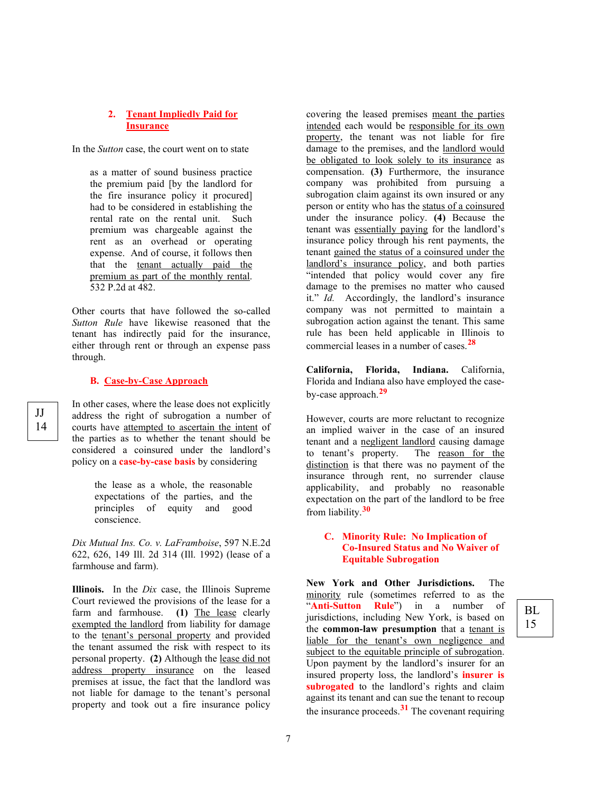#### **2. Tenant Impliedly Paid for Insurance**

In the *Sutton* case, the court went on to state

as a matter of sound business practice the premium paid [by the landlord for the fire insurance policy it procured] had to be considered in establishing the rental rate on the rental unit. Such premium was chargeable against the rent as an overhead or operating expense. And of course, it follows then that the tenant actually paid the premium as part of the monthly rental. 532 P.2d at 482.

Other courts that have followed the so-called *Sutton Rule* have likewise reasoned that the tenant has indirectly paid for the insurance, either through rent or through an expense pass through.

#### **B. Case-by-Case Approach**

In other cases, where the lease does not explicitly address the right of subrogation a number of courts have attempted to ascertain the intent of the parties as to whether the tenant should be considered a coinsured under the landlord's policy on a **case-by-case basis** by considering

> the lease as a whole, the reasonable expectations of the parties, and the principles of equity and good conscience.

*Dix Mutual Ins. Co. v. LaFramboise*, 597 N.E.2d 622, 626, 149 Ill. 2d 314 (Ill. 1992) (lease of a farmhouse and farm).

**Illinois.** In the *Dix* case, the Illinois Supreme Court reviewed the provisions of the lease for a farm and farmhouse. **(1)** The lease clearly exempted the landlord from liability for damage to the tenant's personal property and provided the tenant assumed the risk with respect to its personal property. **(2)** Although the lease did not address property insurance on the leased premises at issue, the fact that the landlord was not liable for damage to the tenant's personal property and took out a fire insurance policy

covering the leased premises meant the parties intended each would be responsible for its own property, the tenant was not liable for fire damage to the premises, and the landlord would be obligated to look solely to its insurance as compensation. **(3)** Furthermore, the insurance company was prohibited from pursuing a subrogation claim against its own insured or any person or entity who has the status of a coinsured under the insurance policy. **(4)** Because the tenant was essentially paying for the landlord's insurance policy through his rent payments, the tenant gained the status of a coinsured under the landlord's insurance policy, and both parties "intended that policy would cover any fire damage to the premises no matter who caused it." *Id.* Accordingly, the landlord's insurance company was not permitted to maintain a subrogation action against the tenant. This same rule has been held applicable in Illinois to commercial leases in a number of cases.**[28](#page-37-0)**

**California, Florida, Indiana.** California, Florida and Indiana also have employed the caseby-case approach. **[29](#page-37-1)**

However, courts are more reluctant to recognize an implied waiver in the case of an insured tenant and a <u>negligent landlord</u> causing damage<br>to tenant's property. The reason for the to tenant's property. distinction is that there was no payment of the insurance through rent, no surrender clause applicability, and probably no reasonable expectation on the part of the landlord to be free from liability.**[30](#page-38-0)**

#### **C. Minority Rule: No Implication of Co-Insured Status and No Waiver of Equitable Subrogation**

**New York and Other Jurisdictions.** The minority rule (sometimes referred to as the "**Anti-Sutton Rule**") in a number of jurisdictions, including New York, is based on the **common-law presumption** that a tenant is liable for the tenant's own negligence and subject to the equitable principle of subrogation. Upon payment by the landlord's insurer for an insured property loss, the landlord's **insurer is**  subrogated to the landlord's rights and claim against its tenant and can sue the tenant to recoup the insurance proceeds.**[31](#page-38-1)** The covenant requiring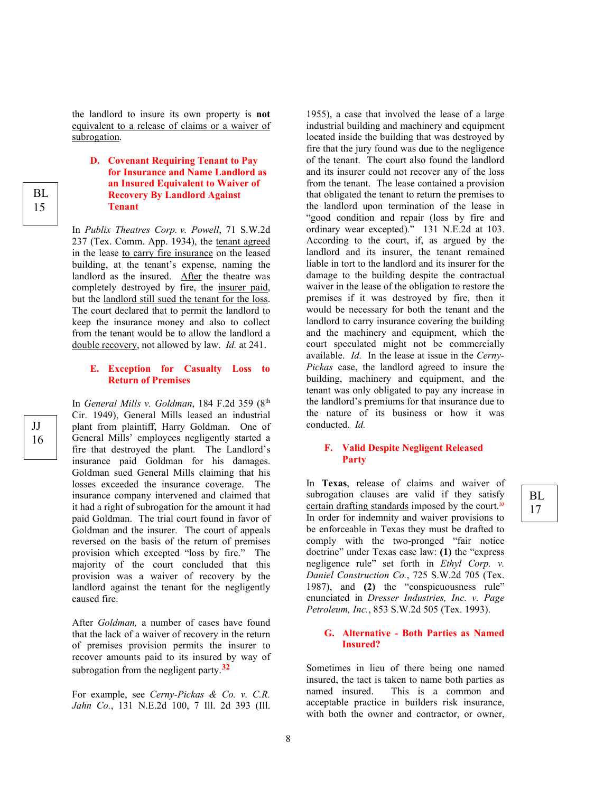the landlord to insure its own property is **not** equivalent to a release of claims or a waiver of subrogation.

#### **D. Covenant Requiring Tenant to Pay for Insurance and Name Landlord as an Insured Equivalent to Waiver of Recovery By Landlord Against Tenant**

In *Publix Theatres Corp. v. Powell*, 71 S.W.2d 237 (Tex. Comm. App. 1934), the tenant agreed in the lease to carry fire insurance on the leased building, at the tenant's expense, naming the landlord as the insured. After the theatre was completely destroyed by fire, the insurer paid, but the landlord still sued the tenant for the loss. The court declared that to permit the landlord to keep the insurance money and also to collect from the tenant would be to allow the landlord a double recovery, not allowed by law. *Id.* at 241.

#### **E. Exception for Casualty Loss to Return of Premises**

In *General Mills v. Goldman*, 184 F.2d 359 (8th Cir. 1949), General Mills leased an industrial plant from plaintiff, Harry Goldman. One of General Mills' employees negligently started a fire that destroyed the plant. The Landlord's insurance paid Goldman for his damages. Goldman sued General Mills claiming that his losses exceeded the insurance coverage. The insurance company intervened and claimed that it had a right of subrogation for the amount it had paid Goldman. The trial court found in favor of Goldman and the insurer. The court of appeals reversed on the basis of the return of premises provision which excepted "loss by fire." The majority of the court concluded that this provision was a waiver of recovery by the landlord against the tenant for the negligently caused fire.

After *Goldman,* a number of cases have found that the lack of a waiver of recovery in the return of premises provision permits the insurer to recover amounts paid to its insured by way of subrogation from the negligent party.**[32](#page-39-0)**

For example, see *Cerny-Pickas & Co. v. C.R. Jahn Co.*, 131 N.E.2d 100, 7 Ill. 2d 393 (Ill. 1955), a case that involved the lease of a large industrial building and machinery and equipment located inside the building that was destroyed by fire that the jury found was due to the negligence of the tenant. The court also found the landlord and its insurer could not recover any of the loss from the tenant. The lease contained a provision that obligated the tenant to return the premises to the landlord upon termination of the lease in "good condition and repair (loss by fire and ordinary wear excepted)." 131 N.E.2d at 103. According to the court, if, as argued by the landlord and its insurer, the tenant remained liable in tort to the landlord and its insurer for the damage to the building despite the contractual waiver in the lease of the obligation to restore the premises if it was destroyed by fire, then it would be necessary for both the tenant and the landlord to carry insurance covering the building and the machinery and equipment, which the court speculated might not be commercially available. *Id.* In the lease at issue in the *Cerny-Pickas* case, the landlord agreed to insure the building, machinery and equipment, and the tenant was only obligated to pay any increase in the landlord's premiums for that insurance due to the nature of its business or how it was conducted. *Id.*

#### **F. Valid Despite Negligent Released Party**

In **Texas**, release of claims and waiver of subrogation clauses are valid if they satisfy certain drafting standards imposed by the court. **[33](#page-39-1)** In order for indemnity and waiver provisions to be enforceable in Texas they must be drafted to comply with the two-pronged "fair notice doctrine" under Texas case law: **(1)** the "express negligence rule" set forth in *Ethyl Corp. v. Daniel Construction Co.*, 725 S.W.2d 705 (Tex. 1987), and **(2)** the "conspicuousness rule" enunciated in *Dresser Industries, Inc. v. Page Petroleum, Inc.*, 853 S.W.2d 505 (Tex. 1993).

#### **G. Alternative - Both Parties as Named Insured?**

Sometimes in lieu of there being one named insured, the tact is taken to name both parties as named insured. This is a common and acceptable practice in builders risk insurance, with both the owner and contractor, or owner,

8

BL 17

JJ 16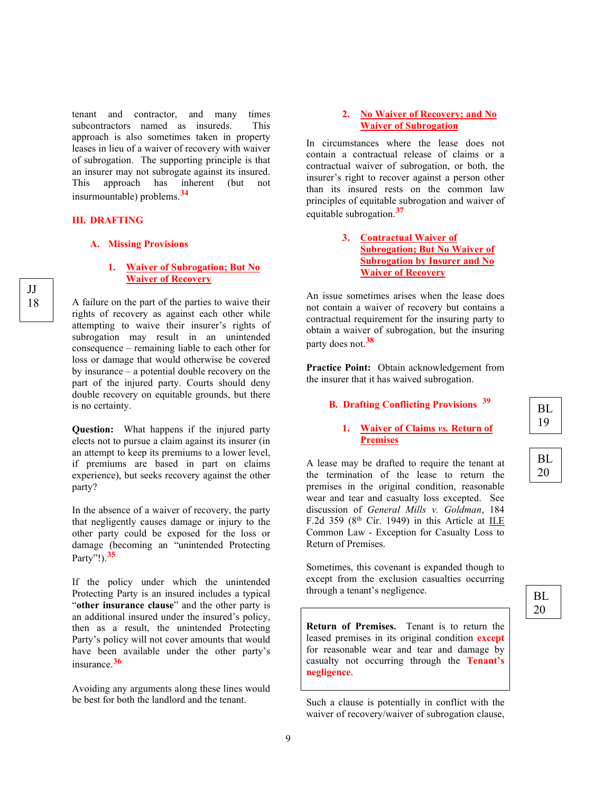tenant and contractor, and many times subcontractors named as insureds. This approach is also sometimes taken in property leases in lieu of a waiver of recovery with waiver of subrogation. The supporting principle is that an insurer may not subrogate against its insured. This approach has inherent (but not insurmountable) problems.**[34](#page-39-2)**

#### **III. DRAFTING**

#### **A. Missing Provisions**

#### **1. Waiver of Subrogation; But No Waiver of Recovery**

A failure on the part of the parties to waive their rights of recovery as against each other while attempting to waive their insurer's rights of subrogation may result in an unintended consequence – remaining liable to each other for loss or damage that would otherwise be covered by insurance – a potential double recovery on the part of the injured party. Courts should deny double recovery on equitable grounds, but there is no certainty.

**Question:** What happens if the injured party elects not to pursue a claim against its insurer (in an attempt to keep its premiums to a lower level, if premiums are based in part on claims experience), but seeks recovery against the other party?

In the absence of a waiver of recovery, the party that negligently causes damage or injury to the other party could be exposed for the loss or damage (becoming an "unintended Protecting Party"!).**[35](#page-39-3)**

If the policy under which the unintended Protecting Party is an insured includes a typical "**other insurance clause**" and the other party is an additional insured under the insured's policy, then as a result, the unintended Protecting Party's policy will not cover amounts that would have been available under the other party's insurance.**[36](#page-40-0)**

Avoiding any arguments along these lines would be best for both the landlord and the tenant.

#### **2. No Waiver of Recovery; and No Waiver of Subrogation**

In circumstances where the lease does not contain a contractual release of claims or a contractual waiver of subrogation, or both, the insurer's right to recover against a person other than its insured rests on the common law principles of equitable subrogation and waiver of equitable subrogation.**[37](#page-40-1)**

#### **3. Contractual Waiver of Subrogation; But No Waiver of Subrogation by Insurer and No Waiver of Recovery**

An issue sometimes arises when the lease does not contain a waiver of recovery but contains a contractual requirement for the insuring party to obtain a waiver of subrogation, but the insuring party does not.**[38](#page-40-2)**

**Practice Point:** Obtain acknowledgement from the insurer that it has waived subrogation.

# **B. Drafting Conflicting Provisions [39](#page-41-0)**

#### **1. Waiver of Claims** *vs.* **Return of Premises**

A lease may be drafted to require the tenant at the termination of the lease to return the premises in the original condition, reasonable wear and tear and casualty loss excepted. See discussion of *General Mills v. Goldman*, 184 F.2d 359 ( $8<sup>th</sup>$  Cir. 1949) in this Article at II.E Common Law - Exception for Casualty Loss to Return of Premises.

Sometimes, this covenant is expanded though to except from the exclusion casualties occurring through a tenant's negligence.

**Return of Premises.** Tenant is to return the leased premises in its original condition **except** for reasonable wear and tear and damage by casualty not occurring through the **Tenant's negligence**.

Such a clause is potentially in conflict with the waiver of recovery/waiver of subrogation clause,

$$
\begin{array}{|c|} \hline \\ \hline \\ \hline \end{array}
$$

20

| вI |
|----|
| 20 |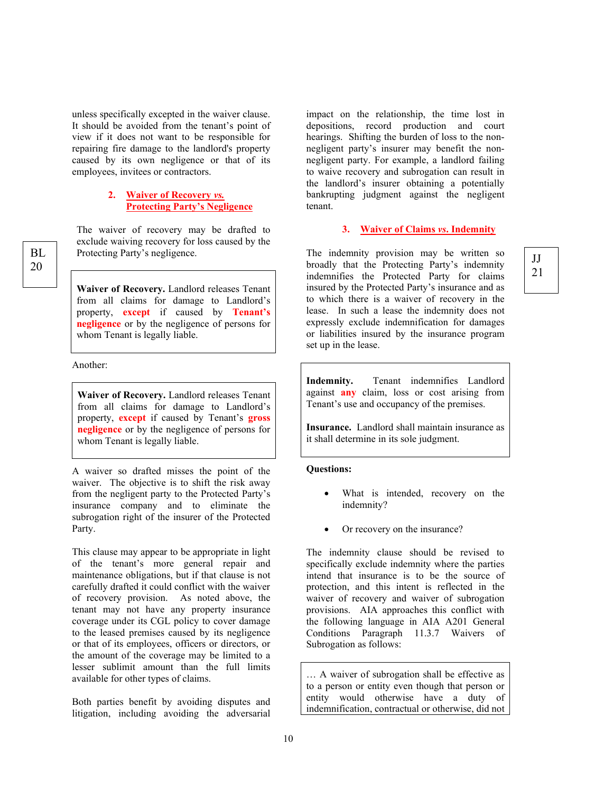unless specifically excepted in the waiver clause. It should be avoided from the tenant's point of view if it does not want to be responsible for repairing fire damage to the landlord's property caused by its own negligence or that of its employees, invitees or contractors.

#### **2. Waiver of Recovery** *vs.* **Protecting Party's Negligence**

The waiver of recovery may be drafted to exclude waiving recovery for loss caused by the Protecting Party's negligence.

**Waiver of Recovery.** Landlord releases Tenant from all claims for damage to Landlord's property, **except** if caused by **Tenant's negligence** or by the negligence of persons for whom Tenant is legally liable.

Another:

**Waiver of Recovery.** Landlord releases Tenant from all claims for damage to Landlord's property, **except** if caused by Tenant's **gross negligence** or by the negligence of persons for whom Tenant is legally liable.

A waiver so drafted misses the point of the waiver. The objective is to shift the risk away from the negligent party to the Protected Party's insurance company and to eliminate the subrogation right of the insurer of the Protected Party.

This clause may appear to be appropriate in light of the tenant's more general repair and maintenance obligations, but if that clause is not carefully drafted it could conflict with the waiver of recovery provision. As noted above, the tenant may not have any property insurance coverage under its CGL policy to cover damage to the leased premises caused by its negligence or that of its employees, officers or directors, or the amount of the coverage may be limited to a lesser sublimit amount than the full limits available for other types of claims.

Both parties benefit by avoiding disputes and litigation, including avoiding the adversarial impact on the relationship, the time lost in depositions, record production and court hearings. Shifting the burden of loss to the nonnegligent party's insurer may benefit the nonnegligent party. For example, a landlord failing to waive recovery and subrogation can result in the landlord's insurer obtaining a potentially bankrupting judgment against the negligent tenant.

#### **3. Waiver of Claims** *vs***. Indemnity**

21

The indemnity provision may be written so broadly that the Protecting Party's indemnity and the Protecting Party's indemnity and the Protecting Party's indemnity and the Protecting Party's indemnity indemnifies the Protected Party for claims insured by the Protected Party's insurance and as to which there is a waiver of recovery in the lease. In such a lease the indemnity does not expressly exclude indemnification for damages or liabilities insured by the insurance program set up in the lease.

> **Indemnity.** Tenant indemnifies Landlord against **any** claim, loss or cost arising from Tenant's use and occupancy of the premises.

> **Insurance.** Landlord shall maintain insurance as it shall determine in its sole judgment.

#### **Questions:**

- What is intended, recovery on the indemnity?
- Or recovery on the insurance?

The indemnity clause should be revised to specifically exclude indemnity where the parties intend that insurance is to be the source of protection, and this intent is reflected in the waiver of recovery and waiver of subrogation provisions. AIA approaches this conflict with the following language in AIA A201 General Conditions Paragraph 11.3.7 Waivers of Subrogation as follows:

… A waiver of subrogation shall be effective as to a person or entity even though that person or entity would otherwise have a duty of indemnification, contractual or otherwise, did not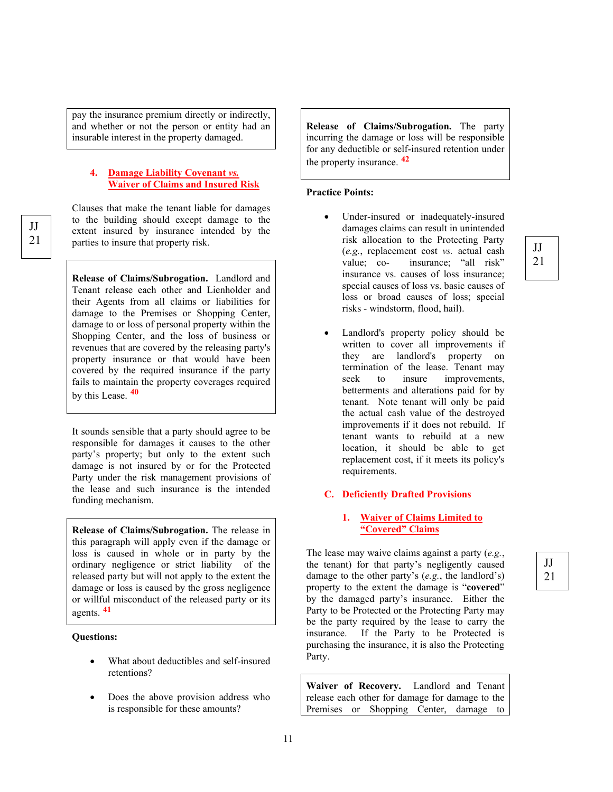pay the insurance premium directly or indirectly, and whether or not the person or entity had an insurable interest in the property damaged.

#### **4. Damage Liability Covenant** *vs.* **Waiver of Claims and Insured Risk**

Clauses that make the tenant liable for damages to the building should except damage to the extent insured by insurance intended by the parties to insure that property risk.

**Release of Claims/Subrogation.** Landlord and Tenant release each other and Lienholder and their Agents from all claims or liabilities for damage to the Premises or Shopping Center, damage to or loss of personal property within the Shopping Center, and the loss of business or revenues that are covered by the releasing party's property insurance or that would have been covered by the required insurance if the party fails to maintain the property coverages required by this Lease. **[40](#page-41-1)**

It sounds sensible that a party should agree to be responsible for damages it causes to the other party's property; but only to the extent such damage is not insured by or for the Protected Party under the risk management provisions of the lease and such insurance is the intended funding mechanism.

**Release of Claims/Subrogation.** The release in this paragraph will apply even if the damage or loss is caused in whole or in party by the ordinary negligence or strict liability of the released party but will not apply to the extent the damage or loss is caused by the gross negligence or willful misconduct of the released party or its agents. **[41](#page-41-2)**

#### **Questions:**

- What about deductibles and self-insured retentions?
- Does the above provision address who is responsible for these amounts?

**Release of Claims/Subrogation.** The party incurring the damage or loss will be responsible for any deductible or self-insured retention under the property insurance. **[42](#page-41-3)**

#### **Practice Points:**

- Under-insured or inadequately-insured damages claims can result in unintended risk allocation to the Protecting Party (*e.g.*, replacement cost *vs.* actual cash value; co- insurance; "all risk" insurance vs. causes of loss insurance; special causes of loss vs. basic causes of loss or broad causes of loss; special risks - windstorm, flood, hail).
- Landlord's property policy should be written to cover all improvements if they are landlord's property on termination of the lease. Tenant may seek to insure improvements, betterments and alterations paid for by tenant. Note tenant will only be paid the actual cash value of the destroyed improvements if it does not rebuild. If tenant wants to rebuild at a new location, it should be able to get replacement cost, if it meets its policy's requirements.

#### **C. Deficiently Drafted Provisions**

#### **1. Waiver of Claims Limited to "Covered" Claims**

JJ 21

JJ 21

The lease may waive claims against a party (*e.g.*, the tenant) for that party's negligently caused damage to the other party's (*e.g.*, the landlord's) property to the extent the damage is "**covered**" by the damaged party's insurance. Either the Party to be Protected or the Protecting Party may be the party required by the lease to carry the insurance. If the Party to be Protected is purchasing the insurance, it is also the Protecting Party.

**Waiver of Recovery.** Landlord and Tenant release each other for damage for damage to the Premises or Shopping Center, damage to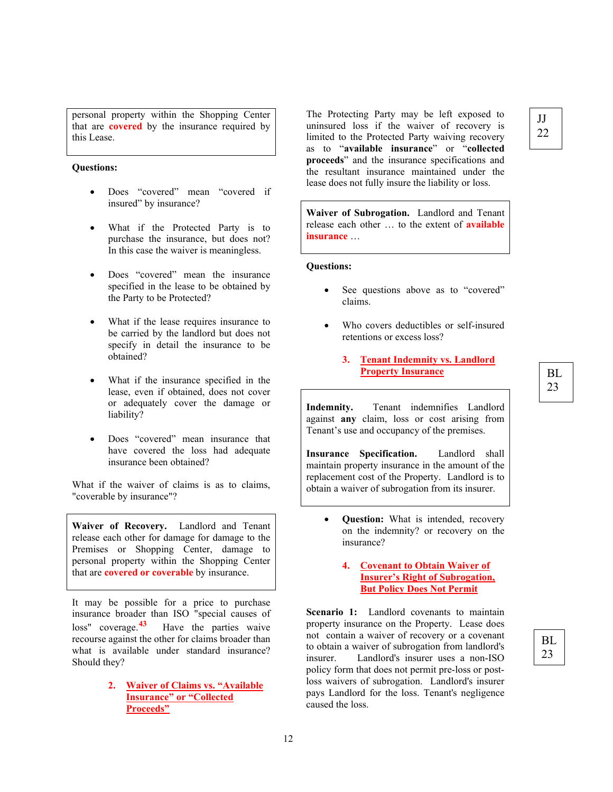personal property within the Shopping Center that are **covered** by the insurance required by this Lease.

#### **Questions:**

- Does "covered" mean "covered if insured" by insurance?
- What if the Protected Party is to purchase the insurance, but does not? In this case the waiver is meaningless.
- Does "covered" mean the insurance specified in the lease to be obtained by the Party to be Protected?
- What if the lease requires insurance to be carried by the landlord but does not specify in detail the insurance to be obtained?
- What if the insurance specified in the lease, even if obtained, does not cover or adequately cover the damage or liability?
- Does "covered" mean insurance that have covered the loss had adequate insurance been obtained?

What if the waiver of claims is as to claims, "coverable by insurance"?

**Waiver of Recovery.** Landlord and Tenant release each other for damage for damage to the Premises or Shopping Center, damage to personal property within the Shopping Center that are **covered or coverable** by insurance.

It may be possible for a price to purchase insurance broader than ISO "special causes of loss" coverage.**[43](#page-41-4)** Have the parties waive recourse against the other for claims broader than what is available under standard insurance? Should they?

> **2. Waiver of Claims vs. "Available Insurance" or "Collected Proceeds"**

The Protecting Party may be left exposed to uninsured loss if the waiver of recovery is limited to the Protected Party waiving recovery as to "**available insurance**" or "**collected proceeds**" and the insurance specifications and the resultant insurance maintained under the lease does not fully insure the liability or loss.

**Waiver of Subrogation.** Landlord and Tenant release each other … to the extent of **available insurance** …

#### **Questions:**

- See questions above as to "covered" claims.
- Who covers deductibles or self-insured retentions or excess loss?
	- **3. Tenant Indemnity vs. Landlord Property Insurance**

**Indemnity.** Tenant indemnifies Landlord against **any** claim, loss or cost arising from Tenant's use and occupancy of the premises.

**Insurance Specification.** Landlord shall maintain property insurance in the amount of the replacement cost of the Property. Landlord is to obtain a waiver of subrogation from its insurer.

- **Question:** What is intended, recovery on the indemnity? or recovery on the insurance?
	- **4. Covenant to Obtain Waiver of Insurer's Right of Subrogation, But Policy Does Not Permit**

**Scenario 1:** Landlord covenants to maintain property insurance on the Property. Lease does not contain a waiver of recovery or a covenant to obtain a waiver of subrogation from landlord's insurer. Landlord's insurer uses a non-ISO policy form that does not permit pre-loss or postloss waivers of subrogation. Landlord's insurer pays Landlord for the loss. Tenant's negligence caused the loss.

# BL

23

#### BL 23

#### JJ 22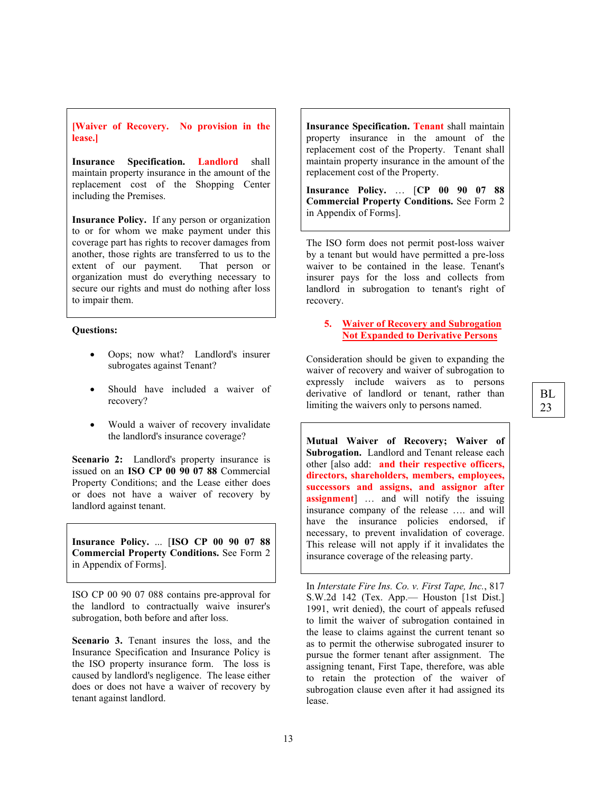**[Waiver of Recovery. No provision in the lease.]**

**Insurance Specification. Landlord** shall maintain property insurance in the amount of the replacement cost of the Shopping Center including the Premises.

**Insurance Policy.** If any person or organization to or for whom we make payment under this coverage part has rights to recover damages from another, those rights are transferred to us to the extent of our payment. That person or extent of our payment. organization must do everything necessary to secure our rights and must do nothing after loss to impair them.

#### **Questions:**

- Oops; now what? Landlord's insurer subrogates against Tenant?
- Should have included a waiver of recovery?
- Would a waiver of recovery invalidate the landlord's insurance coverage?

**Scenario 2:** Landlord's property insurance is issued on an **ISO CP 00 90 07 88** Commercial Property Conditions; and the Lease either does or does not have a waiver of recovery by landlord against tenant.

**Insurance Policy.** ... [**ISO CP 00 90 07 88 Commercial Property Conditions.** See Form 2 in Appendix of Forms].

ISO CP 00 90 07 088 contains pre-approval for the landlord to contractually waive insurer's subrogation, both before and after loss.

**Scenario 3.** Tenant insures the loss, and the Insurance Specification and Insurance Policy is the ISO property insurance form. The loss is caused by landlord's negligence. The lease either does or does not have a waiver of recovery by tenant against landlord.

**Insurance Specification. Tenant** shall maintain property insurance in the amount of the replacement cost of the Property. Tenant shall maintain property insurance in the amount of the replacement cost of the Property.

**Insurance Policy.** … [**CP 00 90 07 88 Commercial Property Conditions.** See Form 2 in Appendix of Forms].

The ISO form does not permit post-loss waiver by a tenant but would have permitted a pre-loss waiver to be contained in the lease. Tenant's insurer pays for the loss and collects from landlord in subrogation to tenant's right of recovery.

#### **5. Waiver of Recovery and Subrogation Not Expanded to Derivative Persons**

Consideration should be given to expanding the waiver of recovery and waiver of subrogation to expressly include waivers as to persons derivative of landlord or tenant, rather than limiting the waivers only to persons named.

**Mutual Waiver of Recovery; Waiver of Subrogation.** Landlord and Tenant release each other [also add: **and their respective officers, directors, shareholders, members, employees, successors and assigns, and assignor after assignment**] … and will notify the issuing insurance company of the release …. and will have the insurance policies endorsed, if necessary, to prevent invalidation of coverage. This release will not apply if it invalidates the insurance coverage of the releasing party.

In *Interstate Fire Ins. Co. v. First Tape, Inc.*, 817 S.W.2d 142 (Tex. App.— Houston [1st Dist.] 1991, writ denied), the court of appeals refused to limit the waiver of subrogation contained in the lease to claims against the current tenant so as to permit the otherwise subrogated insurer to pursue the former tenant after assignment. The assigning tenant, First Tape, therefore, was able to retain the protection of the waiver of subrogation clause even after it had assigned its lease.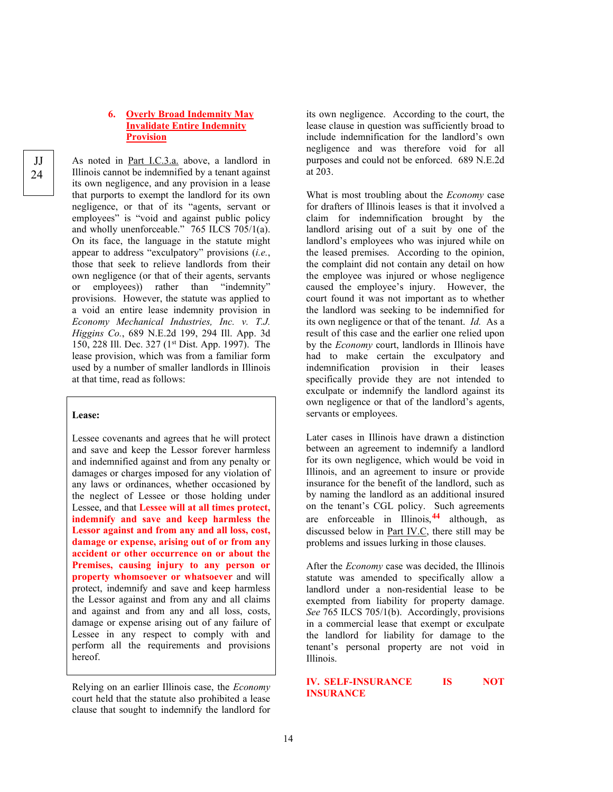#### **6. Overly Broad Indemnity May Invalidate Entire Indemnity Provision**

As noted in Part I.C.3.a. above, a landlord in Illinois cannot be indemnified by a tenant against its own negligence, and any provision in a lease that purports to exempt the landlord for its own negligence, or that of its "agents, servant or employees" is "void and against public policy and wholly unenforceable." 765 ILCS 705/1(a). On its face, the language in the statute might appear to address "exculpatory" provisions (*i.e.*, those that seek to relieve landlords from their own negligence (or that of their agents, servants or employees)) rather than "indemnity" provisions. However, the statute was applied to a void an entire lease indemnity provision in *Economy Mechanical Industries, Inc. v. T.J. Higgins Co.*, 689 N.E.2d 199, 294 Ill. App. 3d 150, 228 Ill. Dec. 327 (1st Dist. App. 1997). The lease provision, which was from a familiar form used by a number of smaller landlords in Illinois at that time, read as follows:

#### **Lease:**

Lessee covenants and agrees that he will protect and save and keep the Lessor forever harmless and indemnified against and from any penalty or damages or charges imposed for any violation of any laws or ordinances, whether occasioned by the neglect of Lessee or those holding under Lessee, and that **Lessee will at all times protect, indemnify and save and keep harmless the Lessor against and from any and all loss, cost, damage or expense, arising out of or from any accident or other occurrence on or about the Premises, causing injury to any person or property whomsoever or whatsoever** and will protect, indemnify and save and keep harmless the Lessor against and from any and all claims and against and from any and all loss, costs, damage or expense arising out of any failure of Lessee in any respect to comply with and perform all the requirements and provisions hereof.

Relying on an earlier Illinois case, the *Economy* court held that the statute also prohibited a lease clause that sought to indemnify the landlord for

its own negligence. According to the court, the lease clause in question was sufficiently broad to include indemnification for the landlord's own negligence and was therefore void for all purposes and could not be enforced. 689 N.E.2d at 203.

What is most troubling about the *Economy* case for drafters of Illinois leases is that it involved a claim for indemnification brought by the landlord arising out of a suit by one of the landlord's employees who was injured while on the leased premises. According to the opinion, the complaint did not contain any detail on how the employee was injured or whose negligence caused the employee's injury. However, the court found it was not important as to whether the landlord was seeking to be indemnified for its own negligence or that of the tenant. *Id.* As a result of this case and the earlier one relied upon by the *Economy* court, landlords in Illinois have had to make certain the exculpatory and indemnification provision in their leases specifically provide they are not intended to exculpate or indemnify the landlord against its own negligence or that of the landlord's agents, servants or employees.

Later cases in Illinois have drawn a distinction between an agreement to indemnify a landlord for its own negligence, which would be void in Illinois, and an agreement to insure or provide insurance for the benefit of the landlord, such as by naming the landlord as an additional insured on the tenant's CGL policy. Such agreements are enforceable in Illinois,**[44](#page-41-5)** although, as discussed below in Part IV.C, there still may be problems and issues lurking in those clauses.

After the *Economy* case was decided, the Illinois statute was amended to specifically allow a landlord under a non-residential lease to be exempted from liability for property damage. *See* 765 ILCS 705/1(b). Accordingly, provisions in a commercial lease that exempt or exculpate the landlord for liability for damage to the tenant's personal property are not void in Illinois.

#### **IV. SELF-INSURANCE IS NOT INSURANCE**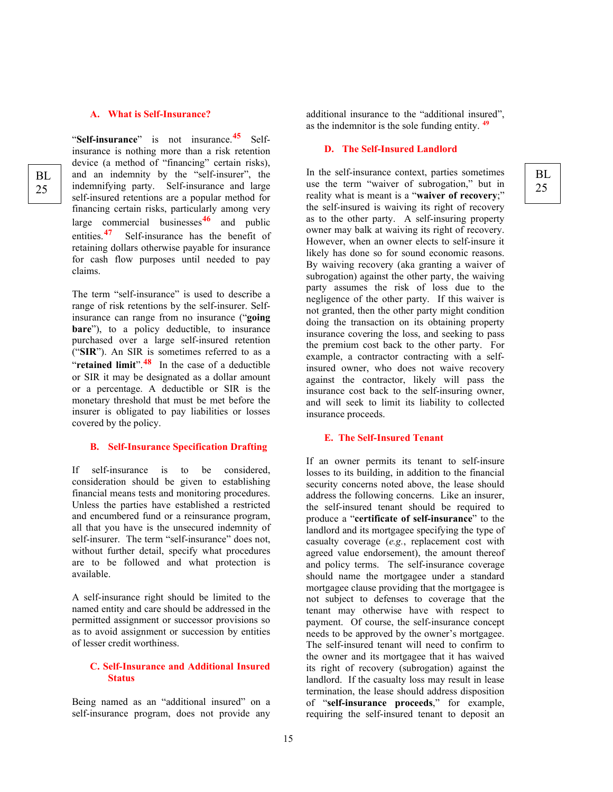#### **A. What is Self-Insurance?**

"**Self-insurance**" is not insurance.**[45](#page-42-0)** Selfinsurance is nothing more than a risk retention device (a method of "financing" certain risks), and an indemnity by the "self-insurer", the indemnifying party. Self-insurance and large self-insured retentions are a popular method for financing certain risks, particularly among very large commercial businesses**[46](#page-42-1)** and public entities.**[47](#page-42-2)** Self-insurance has the benefit of retaining dollars otherwise payable for insurance for cash flow purposes until needed to pay claims.

The term "self-insurance" is used to describe a range of risk retentions by the self-insurer. Selfinsurance can range from no insurance ("**going bare**"), to a policy deductible, to insurance purchased over a large self-insured retention ("**SIR**"). An SIR is sometimes referred to as a "**retained limit**".<sup>[48](#page-42-3)</sup> In the case of a deductible or SIR it may be designated as a dollar amount or a percentage. A deductible or SIR is the monetary threshold that must be met before the insurer is obligated to pay liabilities or losses covered by the policy.

#### **B. Self-Insurance Specification Drafting**

If self-insurance is to be considered, consideration should be given to establishing financial means tests and monitoring procedures. Unless the parties have established a restricted and encumbered fund or a reinsurance program, all that you have is the unsecured indemnity of self-insurer. The term "self-insurance" does not, without further detail, specify what procedures are to be followed and what protection is available.

A self-insurance right should be limited to the named entity and care should be addressed in the permitted assignment or successor provisions so as to avoid assignment or succession by entities of lesser credit worthiness.

#### **C. Self-Insurance and Additional Insured Status**

Being named as an "additional insured" on a self-insurance program, does not provide any

additional insurance to the "additional insured", as the indemnitor is the sole funding entity. **[49](#page-42-4)**

> BL 25

#### **D. The Self-Insured Landlord**

In the self-insurance context, parties sometimes use the term "waiver of subrogation," but in reality what is meant is a "**waiver of recovery**;" the self-insured is waiving its right of recovery as to the other party. A self-insuring property owner may balk at waiving its right of recovery. However, when an owner elects to self-insure it likely has done so for sound economic reasons. By waiving recovery (aka granting a waiver of subrogation) against the other party, the waiving party assumes the risk of loss due to the negligence of the other party. If this waiver is not granted, then the other party might condition doing the transaction on its obtaining property insurance covering the loss, and seeking to pass the premium cost back to the other party. For example, a contractor contracting with a selfinsured owner, who does not waive recovery against the contractor, likely will pass the insurance cost back to the self-insuring owner, and will seek to limit its liability to collected insurance proceeds.

#### **E. The Self-Insured Tenant**

If an owner permits its tenant to self-insure losses to its building, in addition to the financial security concerns noted above, the lease should address the following concerns. Like an insurer, the self-insured tenant should be required to produce a "**certificate of self-insurance**" to the landlord and its mortgagee specifying the type of casualty coverage (*e.g.*, replacement cost with agreed value endorsement), the amount thereof and policy terms. The self-insurance coverage should name the mortgagee under a standard mortgagee clause providing that the mortgagee is not subject to defenses to coverage that the tenant may otherwise have with respect to payment. Of course, the self-insurance concept needs to be approved by the owner's mortgagee. The self-insured tenant will need to confirm to the owner and its mortgagee that it has waived its right of recovery (subrogation) against the landlord. If the casualty loss may result in lease termination, the lease should address disposition of "**self-insurance proceeds**," for example, requiring the self-insured tenant to deposit an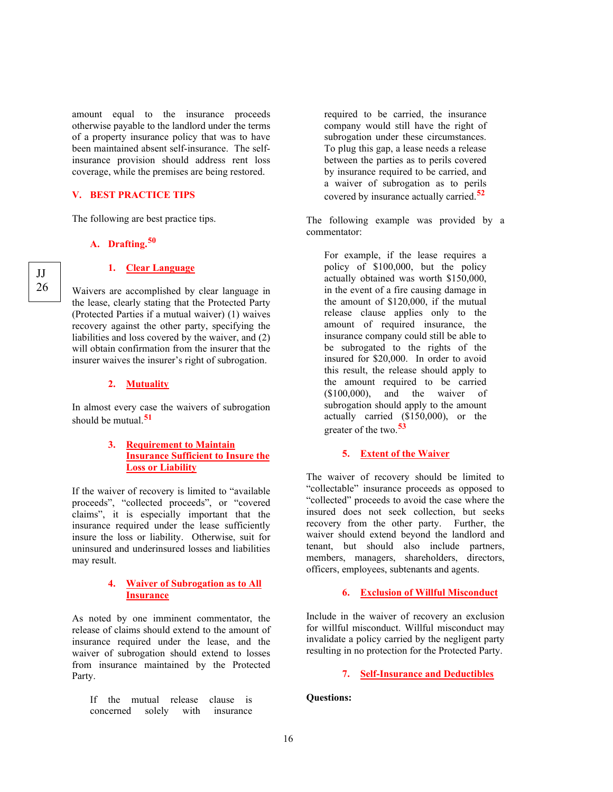amount equal to the insurance proceeds otherwise payable to the landlord under the terms of a property insurance policy that was to have been maintained absent self-insurance. The selfinsurance provision should address rent loss coverage, while the premises are being restored.

#### **V. BEST PRACTICE TIPS**

The following are best practice tips.

#### **A. Drafting. [50](#page-43-0)**

#### **1. Clear Language**

Waivers are accomplished by clear language in the lease, clearly stating that the Protected Party (Protected Parties if a mutual waiver) (1) waives recovery against the other party, specifying the liabilities and loss covered by the waiver, and (2) will obtain confirmation from the insurer that the insurer waives the insurer's right of subrogation.

#### **2. Mutuality**

In almost every case the waivers of subrogation should be mutual.**[51](#page-43-1)**

#### **3. Requirement to Maintain Insurance Sufficient to Insure the Loss or Liability**

If the waiver of recovery is limited to "available proceeds", "collected proceeds", or "covered claims", it is especially important that the insurance required under the lease sufficiently insure the loss or liability. Otherwise, suit for uninsured and underinsured losses and liabilities may result.

#### **4. Waiver of Subrogation as to All Insurance**

As noted by one imminent commentator, the release of claims should extend to the amount of insurance required under the lease, and the waiver of subrogation should extend to losses from insurance maintained by the Protected Party.

If the mutual release clause is concerned solely with insurance

required to be carried, the insurance company would still have the right of subrogation under these circumstances. To plug this gap, a lease needs a release between the parties as to perils covered by insurance required to be carried, and a waiver of subrogation as to perils covered by insurance actually carried.**[52](#page-43-2)**

The following example was provided by a commentator:

For example, if the lease requires a policy of \$100,000, but the policy actually obtained was worth \$150,000, in the event of a fire causing damage in the amount of \$120,000, if the mutual release clause applies only to the amount of required insurance, the insurance company could still be able to be subrogated to the rights of the insured for \$20,000. In order to avoid this result, the release should apply to the amount required to be carried (\$100,000), and the waiver of subrogation should apply to the amount actually carried (\$150,000), or the greater of the two.**[53](#page-43-3)**

#### **5. Extent of the Waiver**

The waiver of recovery should be limited to "collectable" insurance proceeds as opposed to "collected" proceeds to avoid the case where the insured does not seek collection, but seeks recovery from the other party. Further, the waiver should extend beyond the landlord and tenant, but should also include partners, members, managers, shareholders, directors, officers, employees, subtenants and agents.

#### **6. Exclusion of Willful Misconduct**

Include in the waiver of recovery an exclusion for willful misconduct. Willful misconduct may invalidate a policy carried by the negligent party resulting in no protection for the Protected Party.

#### **7. Self-Insurance and Deductibles**

**Questions:**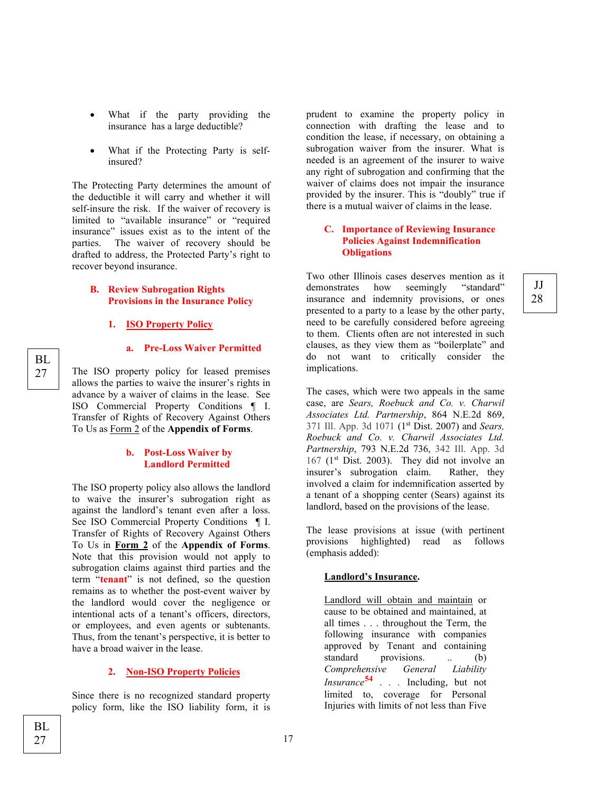- What if the party providing the insurance has a large deductible?
- What if the Protecting Party is selfinsured?

The Protecting Party determines the amount of the deductible it will carry and whether it will self-insure the risk. If the waiver of recovery is limited to "available insurance" or "required insurance" issues exist as to the intent of the parties. The waiver of recovery should be drafted to address, the Protected Party's right to recover beyond insurance.

#### **B. Review Subrogation Rights Provisions in the Insurance Policy**

#### **1. ISO Property Policy**

**a. Pre-Loss Waiver Permitted**

The ISO property policy for leased premises allows the parties to waive the insurer's rights in advance by a waiver of claims in the lease. See ISO Commercial Property Conditions ¶ I. Transfer of Rights of Recovery Against Others To Us as Form 2 of the **Appendix of Forms**.

#### **b. Post-Loss Waiver by Landlord Permitted**

The ISO property policy also allows the landlord to waive the insurer's subrogation right as against the landlord's tenant even after a loss. See ISO Commercial Property Conditions ¶ I. Transfer of Rights of Recovery Against Others To Us in **Form 2** of the **Appendix of Forms**. Note that this provision would not apply to subrogation claims against third parties and the term "**tenant**" is not defined, so the question remains as to whether the post-event waiver by the landlord would cover the negligence or intentional acts of a tenant's officers, directors, or employees, and even agents or subtenants. Thus, from the tenant's perspective, it is better to have a broad waiver in the lease.

#### **2. Non-ISO Property Policies**

Since there is no recognized standard property policy form, like the ISO liability form, it is

prudent to examine the property policy in connection with drafting the lease and to condition the lease, if necessary, on obtaining a subrogation waiver from the insurer. What is needed is an agreement of the insurer to waive any right of subrogation and confirming that the waiver of claims does not impair the insurance provided by the insurer. This is "doubly" true if there is a mutual waiver of claims in the lease.

#### **C. Importance of Reviewing Insurance Policies Against Indemnification Obligations**

JJ 28

Two other Illinois cases deserves mention as it demonstrates how seemingly "standard" insurance and indemnity provisions, or ones presented to a party to a lease by the other party, need to be carefully considered before agreeing to them. Clients often are not interested in such clauses, as they view them as "boilerplate" and do not want to critically consider the implications.

The cases, which were two appeals in the same case, are *Sears, Roebuck and Co. v. Charwil Associates Ltd. Partnership*, 864 N.E.2d 869, 371 Ill. App. 3d 1071 (1st Dist. 2007) and *Sears, Roebuck and Co. v. Charwil Associates Ltd. Partnership*, 793 N.E.2d 736, 342 Ill. App. 3d 167 (1<sup>st</sup> Dist. 2003). They did not involve an insurer's subrogation claim. Rather, they involved a claim for indemnification asserted by a tenant of a shopping center (Sears) against its landlord, based on the provisions of the lease.

The lease provisions at issue (with pertinent provisions highlighted) read as follows (emphasis added):

#### **Landlord's Insurance.**

Landlord will obtain and maintain or cause to be obtained and maintained, at all times . . . throughout the Term, the following insurance with companies approved by Tenant and containing standard provisions. .. (b) *Comprehensive General Liability Insurance***[54](#page-43-4)** . *. .* Including, but not limited to, coverage for Personal Injuries with limits of not less than Five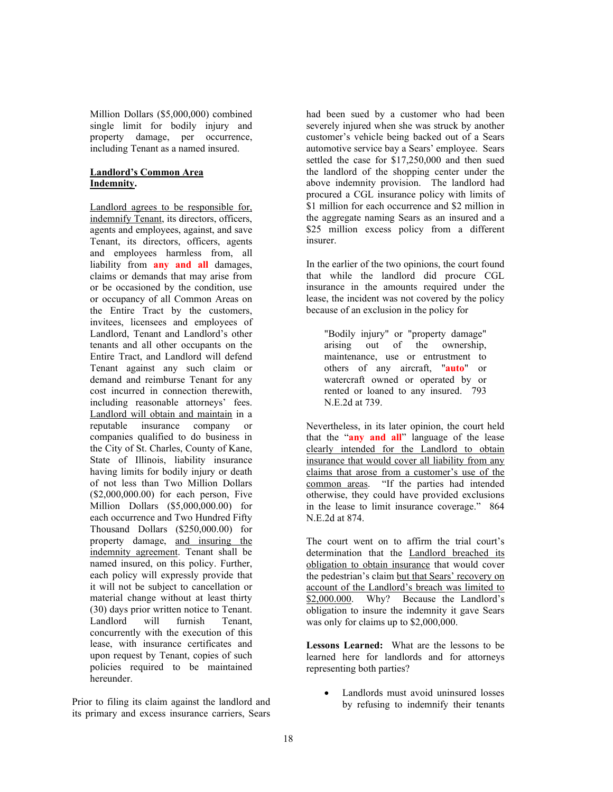Million Dollars (\$5,000,000) combined single limit for bodily injury and property damage, per occurrence, including Tenant as a named insured.

#### **Landlord's Common Area Indemnity.**

Landlord agrees to be responsible for, indemnify Tenant, its directors, officers, agents and employees, against, and save Tenant, its directors, officers, agents and employees harmless from, all liability from **any and all** damages, claims or demands that may arise from or be occasioned by the condition, use or occupancy of all Common Areas on the Entire Tract by the customers, invitees, licensees and employees of Landlord, Tenant and Landlord's other tenants and all other occupants on the Entire Tract, and Landlord will defend Tenant against any such claim or demand and reimburse Tenant for any cost incurred in connection therewith, including reasonable attorneys' fees. Landlord will obtain and maintain in a reputable insurance company or companies qualified to do business in the City of St. Charles, County of Kane, State of Illinois, liability insurance having limits for bodily injury or death of not less than Two Million Dollars (\$2,000,000.00) for each person, Five Million Dollars (\$5,000,000.00) for each occurrence and Two Hundred Fifty Thousand Dollars (\$250,000.00) for property damage, and insuring the indemnity agreement. Tenant shall be named insured, on this policy. Further, each policy will expressly provide that it will not be subject to cancellation or material change without at least thirty (30) days prior written notice to Tenant.<br>Landlord will furnish Tenant. Landlord will furnish Tenant, concurrently with the execution of this lease, with insurance certificates and upon request by Tenant, copies of such policies required to be maintained hereunder.

Prior to filing its claim against the landlord and its primary and excess insurance carriers, Sears

had been sued by a customer who had been severely injured when she was struck by another customer's vehicle being backed out of a Sears automotive service bay a Sears' employee. Sears settled the case for \$17,250,000 and then sued the landlord of the shopping center under the above indemnity provision. The landlord had procured a CGL insurance policy with limits of \$1 million for each occurrence and \$2 million in the aggregate naming Sears as an insured and a \$25 million excess policy from a different insurer.

In the earlier of the two opinions, the court found that while the landlord did procure CGL insurance in the amounts required under the lease, the incident was not covered by the policy because of an exclusion in the policy for

"Bodily injury" or "property damage" arising out of the ownership, maintenance, use or entrustment to others of any aircraft, "**auto**" or watercraft owned or operated by or rented or loaned to any insured. 793 N.E.2d at 739.

Nevertheless, in its later opinion, the court held that the "**any and all**" language of the lease clearly intended for the Landlord to obtain insurance that would cover all liability from any claims that arose from a customer's use of the common areas. "If the parties had intended otherwise, they could have provided exclusions in the lease to limit insurance coverage." 864 N.E.2d at 874.

The court went on to affirm the trial court's determination that the Landlord breached its obligation to obtain insurance that would cover the pedestrian's claim but that Sears' recovery on account of the Landlord's breach was limited to \$2,000.000. Why? Because the Landlord's obligation to insure the indemnity it gave Sears was only for claims up to \$2,000,000.

**Lessons Learned:** What are the lessons to be learned here for landlords and for attorneys representing both parties?

Landlords must avoid uninsured losses by refusing to indemnify their tenants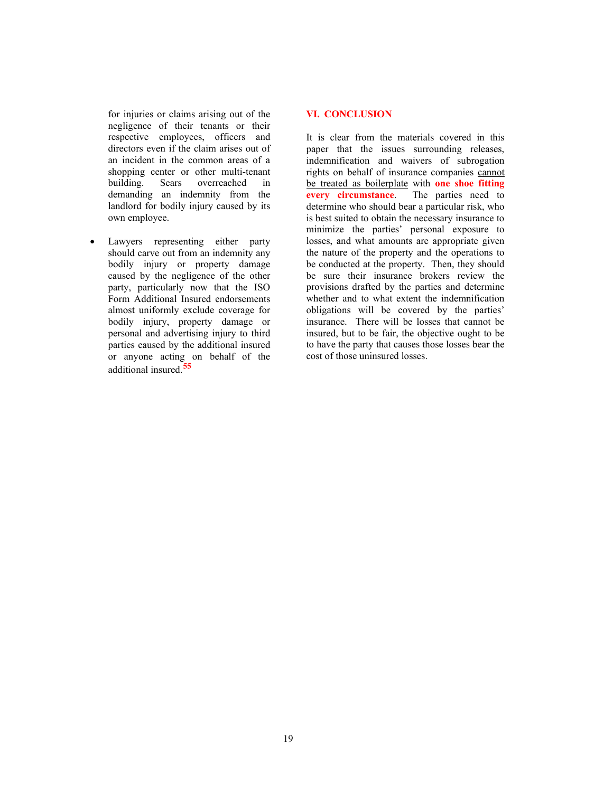for injuries or claims arising out of the negligence of their tenants or their respective employees, officers and directors even if the claim arises out of an incident in the common areas of a shopping center or other multi-tenant<br>building. Sears overreached in building. Sears overreached in demanding an indemnity from the landlord for bodily injury caused by its own employee.

Lawyers representing either party should carve out from an indemnity any bodily injury or property damage caused by the negligence of the other party, particularly now that the ISO Form Additional Insured endorsements almost uniformly exclude coverage for bodily injury, property damage or personal and advertising injury to third parties caused by the additional insured or anyone acting on behalf of the additional insured. **[55](#page-43-5)**

#### **VI. CONCLUSION**

It is clear from the materials covered in this paper that the issues surrounding releases, indemnification and waivers of subrogation rights on behalf of insurance companies cannot be treated as boilerplate with **one shoe fitting every circumstance**. The parties need to determine who should bear a particular risk, who is best suited to obtain the necessary insurance to minimize the parties' personal exposure to losses, and what amounts are appropriate given the nature of the property and the operations to be conducted at the property. Then, they should be sure their insurance brokers review the provisions drafted by the parties and determine whether and to what extent the indemnification obligations will be covered by the parties' insurance. There will be losses that cannot be insured, but to be fair, the objective ought to be to have the party that causes those losses bear the cost of those uninsured losses.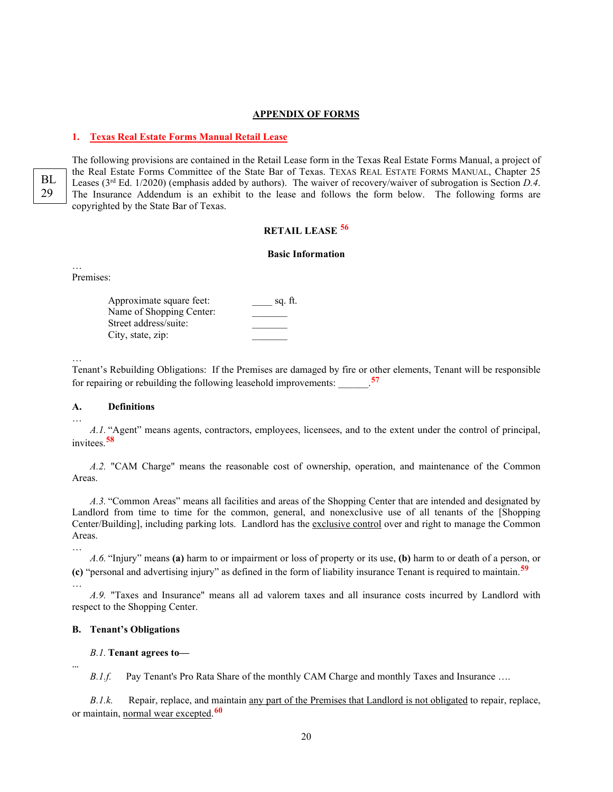#### **APPENDIX OF FORMS**

#### **1. Texas Real Estate Forms Manual Retail Lease**

BL 29

The following provisions are contained in the Retail Lease form in the Texas Real Estate Forms Manual, a project of the Real Estate Forms Committee of the State Bar of Texas. TEXAS REAL ESTATE FORMS MANUAL, Chapter 25 Leases (3rd Ed. 1/2020) (emphasis added by authors). The waiver of recovery/waiver of subrogation is Section *D.4*. The Insurance Addendum is an exhibit to the lease and follows the form below. The following forms are copyrighted by the State Bar of Texas.

#### **RETAIL LEASE [56](#page-43-6)**

#### **Basic Information**

Premises:

…

| Approximate square feet: | sq. ft. |
|--------------------------|---------|
| Name of Shopping Center: |         |
| Street address/suite:    |         |
| City, state, zip:        |         |

…

…

…

…

…

Tenant's Rebuilding Obligations: If the Premises are damaged by fire or other elements, Tenant will be responsible for repairing or rebuilding the following leasehold improvements: \_\_\_\_\_\_. **[57](#page-43-7)**

#### **A. Definitions**

*A.1.* "Agent" means agents, contractors, employees, licensees, and to the extent under the control of principal, invitees.**[58](#page-44-0)**

*A.2.* "CAM Charge" means the reasonable cost of ownership, operation, and maintenance of the Common Areas.

*A.3.* "Common Areas" means all facilities and areas of the Shopping Center that are intended and designated by Landlord from time to time for the common, general, and nonexclusive use of all tenants of the [Shopping Center/Building], including parking lots. Landlord has the exclusive control over and right to manage the Common Areas.

*A.6.* "Injury" means **(a)** harm to or impairment or loss of property or its use, **(b)** harm to or death of a person, or **(c)** "personal and advertising injury" as defined in the form of liability insurance Tenant is required to maintain.**[59](#page-44-1)**

*A.9.* "Taxes and Insurance" means all ad valorem taxes and all insurance costs incurred by Landlord with respect to the Shopping Center.

#### **B. Tenant's Obligations**

#### *B.1.* **Tenant agrees to—**

*B.1.f.* Pay Tenant's Pro Rata Share of the monthly CAM Charge and monthly Taxes and Insurance ….

*B.1.k.* Repair, replace, and maintain any part of the Premises that Landlord is not obligated to repair, replace, or maintain, normal wear excepted. **[60](#page-44-2)**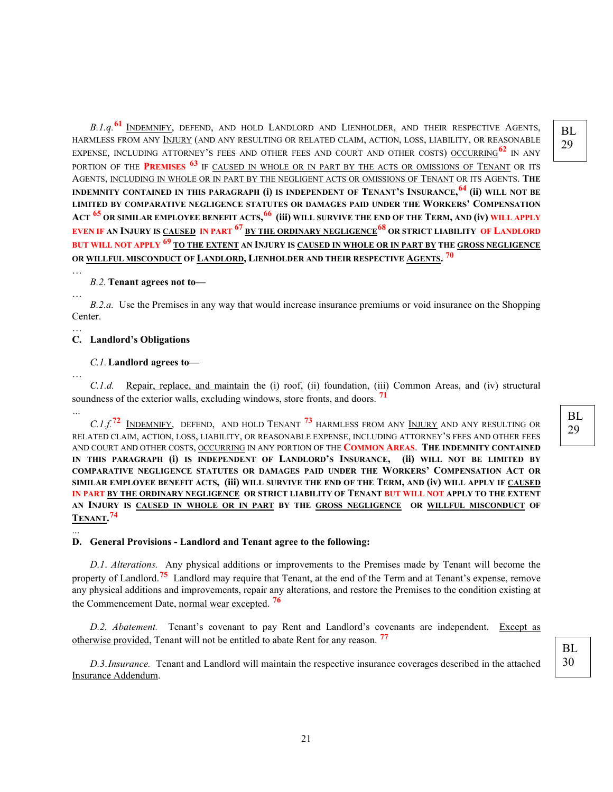BL 29

*B.1.q.***[61](#page-44-3)** INDEMNIFY, DEFEND, AND HOLD LANDLORD AND LIENHOLDER, AND THEIR RESPECTIVE AGENTS, HARMLESS FROM ANY INJURY (AND ANY RESULTING OR RELATED CLAIM, ACTION, LOSS, LIABILITY, OR REASONABLE EXPENSE, INCLUDING ATTORNEY'S FEES AND OTHER FEES AND COURT AND OTHER COSTS) OCCURRING**[62](#page-45-0)** IN ANY PORTION OF THE **PREMISES [63](#page-45-1)** IF CAUSED IN WHOLE OR IN PART BY THE ACTS OR OMISSIONS OF TENANT OR ITS AGENTS, INCLUDING IN WHOLE OR IN PART BY THE NEGLIGENT ACTS OR OMISSIONS OF TENANT OR ITS AGENTS. **THE INDEMNITY CONTAINED IN THIS PARAGRAPH (i) IS INDEPENDENT OF TENANT'S INSURANCE, [64](#page-45-2) (ii) WILL NOT BE LIMITED BY COMPARATIVE NEGLIGENCE STATUTES OR DAMAGES PAID UNDER THE WORKERS' COMPENSATION ACT [65](#page-45-3) OR SIMILAR EMPLOYEE BENEFIT ACTS, [66](#page-45-4) (iii) WILL SURVIVE THE END OF THE TERM, AND (iv) WILL APPLY EVEN IF AN INJURY IS CAUSED IN PART [67](#page-46-0) BY THE ORDINARY NEGLIGENCE[68](#page-46-1) OR STRICT LIABILITY OF LANDLORD BUT WILL NOT APPLY [69](#page-46-2) TO THE EXTENT AN INJURY IS CAUSED IN WHOLE OR IN PART BY THE GROSS NEGLIGENCE OR WILLFUL MISCONDUCT OF LANDLORD, LIENHOLDER AND THEIR RESPECTIVE AGENTS. [70](#page-47-0)**

#### *B.2.* **Tenant agrees not to—**

*B.2.a.* Use the Premises in any way that would increase insurance premiums or void insurance on the Shopping

#### … **C. Landlord's Obligations**

…

…

…

*…*

...

Center.

#### *C.1.***Landlord agrees to—**

*C.1.d.* Repair, replace, and maintain the (i) roof, (ii) foundation, (iii) Common Areas, and (iv) structural soundness of the exterior walls, excluding windows, store fronts, and doors. **[71](#page-47-1)**

*C.1.f.***[72](#page-47-2)** INDEMNIFY, DEFEND, AND HOLD TENANT **[73](#page-47-3)** HARMLESS FROM ANY INJURY AND ANY RESULTING OR RELATED CLAIM, ACTION, LOSS, LIABILITY, OR REASONABLE EXPENSE, INCLUDING ATTORNEY'S FEES AND OTHER FEES AND COURT AND OTHER COSTS, OCCURRING IN ANY PORTION OF THE **COMMON AREAS**. **THE INDEMNITY CONTAINED IN THIS PARAGRAPH (i) IS INDEPENDENT OF LANDLORD'S INSURANCE, (ii) WILL NOT BE LIMITED BY COMPARATIVE NEGLIGENCE STATUTES OR DAMAGES PAID UNDER THE WORKERS' COMPENSATION ACT OR SIMILAR EMPLOYEE BENEFIT ACTS, (iii) WILL SURVIVE THE END OF THE TERM, AND (iv) WILL APPLY IF CAUSED IN PART BY THE ORDINARY NEGLIGENCE OR STRICT LIABILITY OF TENANT BUT WILL NOT APPLY TO THE EXTENT AN INJURY IS CAUSED IN WHOLE OR IN PART BY THE GROSS NEGLIGENCE OR WILLFUL MISCONDUCT OF TENANT. [74](#page-47-4)**

#### **D. General Provisions - Landlord and Tenant agree to the following:**

*D.1*. *Alterations.* Any physical additions or improvements to the Premises made by Tenant will become the property of Landlord.**[75](#page-48-0)** Landlord may require that Tenant, at the end of the Term and at Tenant's expense, remove any physical additions and improvements, repair any alterations, and restore the Premises to the condition existing at the Commencement Date, normal wear excepted. **[76](#page-48-1)**

*D.2. Abatement.* Tenant's covenant to pay Rent and Landlord's covenants are independent. Except as otherwise provided, Tenant will not be entitled to abate Rent for any reason. **[77](#page-48-2)**

*D.3*.*Insurance.* Tenant and Landlord will maintain the respective insurance coverages described in the attached Insurance Addendum.

BL 29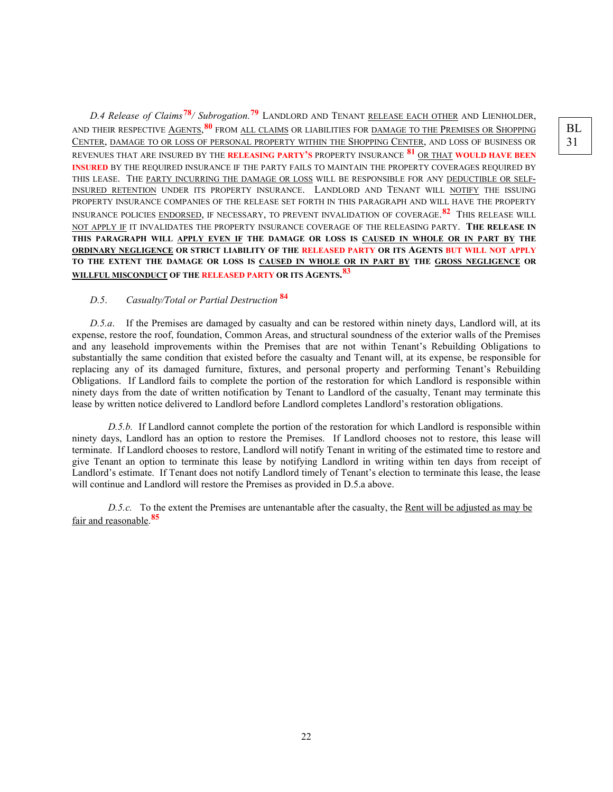BL 31

*D.4 Release of Claims***[78](#page-48-3)***/ Subrogation.***[79](#page-49-0)** LANDLORD AND TENANT RELEASE EACH OTHER AND LIENHOLDER, AND THEIR RESPECTIVE AGENTS, **[80](#page-49-1)** FROM ALL CLAIMS OR LIABILITIES FOR DAMAGE TO THE PREMISES OR SHOPPING CENTER, DAMAGE TO OR LOSS OF PERSONAL PROPERTY WITHIN THE SHOPPING CENTER, AND LOSS OF BUSINESS OR REVENUES THAT ARE INSURED BY THE **RELEASING PARTY'S** PROPERTY INSURANCE **[81](#page-49-2)** OR THAT **WOULD HAVE BEEN INSURED** BY THE REQUIRED INSURANCE IF THE PARTY FAILS TO MAINTAIN THE PROPERTY COVERAGES REQUIRED BY THIS LEASE. THE PARTY INCURRING THE DAMAGE OR LOSS WILL BE RESPONSIBLE FOR ANY DEDUCTIBLE OR SELF-INSURED RETENTION UNDER ITS PROPERTY INSURANCE. LANDLORD AND TENANT WILL NOTIFY THE ISSUING PROPERTY INSURANCE COMPANIES OF THE RELEASE SET FORTH IN THIS PARAGRAPH AND WILL HAVE THE PROPERTY INSURANCE POLICIES ENDORSED, IF NECESSARY, TO PREVENT INVALIDATION OF COVERAGE. **[82](#page-50-0)** THIS RELEASE WILL NOT APPLY IF IT INVALIDATES THE PROPERTY INSURANCE COVERAGE OF THE RELEASING PARTY. **THE RELEASE IN THIS PARAGRAPH WILL APPLY EVEN IF THE DAMAGE OR LOSS IS CAUSED IN WHOLE OR IN PART BY THE ORDINARY NEGLIGENCE OR STRICT LIABILITY OF THE RELEASED PARTY OR ITS AGENTS BUT WILL NOT APPLY TO THE EXTENT THE DAMAGE OR LOSS IS CAUSED IN WHOLE OR IN PART BY THE GROSS NEGLIGENCE OR WILLFUL MISCONDUCT OF THE RELEASED PARTY OR ITS AGENTS. [83](#page-50-1)**

### *D.5*. *Casualty/Total or Partial Destruction* **[84](#page-50-2)**

*D.5.a*. If the Premises are damaged by casualty and can be restored within ninety days, Landlord will, at its expense, restore the roof, foundation, Common Areas, and structural soundness of the exterior walls of the Premises and any leasehold improvements within the Premises that are not within Tenant's Rebuilding Obligations to substantially the same condition that existed before the casualty and Tenant will, at its expense, be responsible for replacing any of its damaged furniture, fixtures, and personal property and performing Tenant's Rebuilding Obligations. If Landlord fails to complete the portion of the restoration for which Landlord is responsible within ninety days from the date of written notification by Tenant to Landlord of the casualty, Tenant may terminate this lease by written notice delivered to Landlord before Landlord completes Landlord's restoration obligations.

*D.5.b.* If Landlord cannot complete the portion of the restoration for which Landlord is responsible within ninety days, Landlord has an option to restore the Premises. If Landlord chooses not to restore, this lease will terminate. If Landlord chooses to restore, Landlord will notify Tenant in writing of the estimated time to restore and give Tenant an option to terminate this lease by notifying Landlord in writing within ten days from receipt of Landlord's estimate. If Tenant does not notify Landlord timely of Tenant's election to terminate this lease, the lease will continue and Landlord will restore the Premises as provided in D.5.a above.

*D.5.c.* To the extent the Premises are untenantable after the casualty, the Rent will be adjusted as may be fair and reasonable. **[85](#page-51-0)**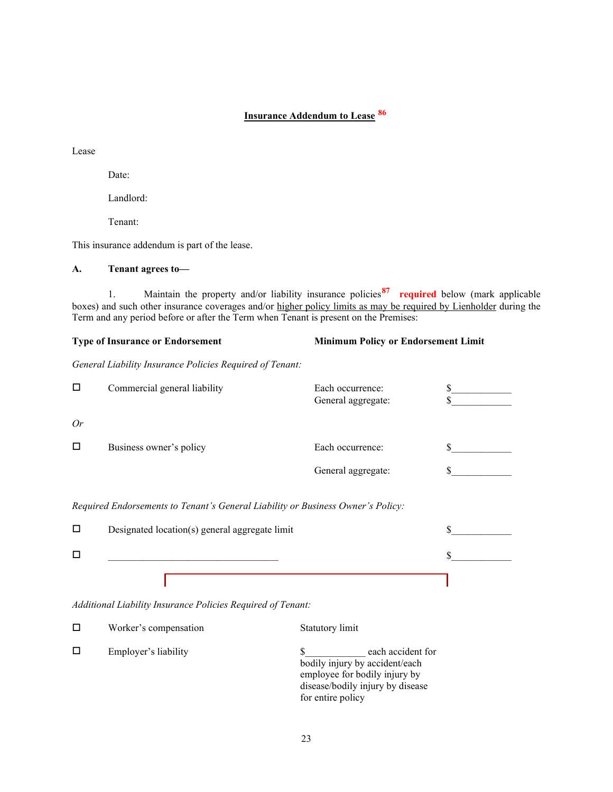# **Insurance Addendum to Lease [86](#page-51-1)**

Lease

Date:

Landlord:

Tenant:

This insurance addendum is part of the lease.

#### **A. Tenant agrees to—**

1. Maintain the property and/or liability insurance policies**[87](#page-52-0) required** below (mark applicable boxes) and such other insurance coverages and/or higher policy limits as may be required by Lienholder during the Term and any period before or after the Term when Tenant is present on the Premises:

# **Type of Insurance or Endorsement Minimum Policy or Endorsement Limit** *General Liability Insurance Policies Required of Tenant:*

| □  | Commercial general liability | Each occurrence:<br>General aggregate: |  |
|----|------------------------------|----------------------------------------|--|
| Or |                              |                                        |  |
| □  | Business owner's policy      | Each occurrence:                       |  |
|    |                              | General aggregate:                     |  |
|    |                              |                                        |  |

*Required Endorsements to Tenant's General Liability or Business Owner's Policy:*

| Designated location(s) general aggregate limit |  |
|------------------------------------------------|--|
|                                                |  |
|                                                |  |

*Additional Liability Insurance Policies Required of Tenant:*

|   | Worker's compensation | Statutory limit                                                                                                                               |
|---|-----------------------|-----------------------------------------------------------------------------------------------------------------------------------------------|
| П | Employer's liability  | each accident for<br>bodily injury by accident/each<br>employee for bodily injury by<br>disease/bodily injury by disease<br>for entire policy |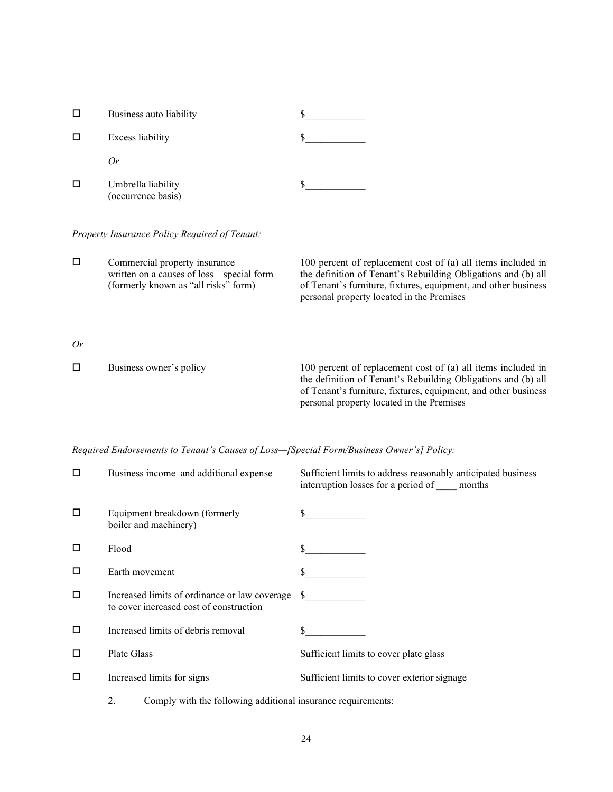| Business auto liability                  |  |
|------------------------------------------|--|
| <b>Excess liability</b>                  |  |
| 0r                                       |  |
| Umbrella liability<br>(occurrence basis) |  |

*Property Insurance Policy Required of Tenant:*

| Commercial property insurance<br>written on a causes of loss—special form<br>(formerly known as "all risks" form) | 100 percent of replacement cost of (a) all items included in<br>the definition of Tenant's Rebuilding Obligations and (b) all<br>of Tenant's furniture, fixtures, equipment, and other business<br>personal property located in the Premises |
|-------------------------------------------------------------------------------------------------------------------|----------------------------------------------------------------------------------------------------------------------------------------------------------------------------------------------------------------------------------------------|
|                                                                                                                   |                                                                                                                                                                                                                                              |

*Or*

| $\Box$ | Business owner's policy | 100 percent of replacement cost of (a) all items included in   |
|--------|-------------------------|----------------------------------------------------------------|
|        |                         | the definition of Tenant's Rebuilding Obligations and (b) all  |
|        |                         | of Tenant's furniture, fixtures, equipment, and other business |
|        |                         | personal property located in the Premises                      |

*Required Endorsements to Tenant's Causes of Loss—[Special Form/Business Owner's] Policy:*

| □      | Business income and additional expense                                                      | Sufficient limits to address reasonably anticipated business<br>interruption losses for a period of _____ months |
|--------|---------------------------------------------------------------------------------------------|------------------------------------------------------------------------------------------------------------------|
| $\Box$ | Equipment breakdown (formerly<br>boiler and machinery)                                      |                                                                                                                  |
| □      | Flood                                                                                       |                                                                                                                  |
| □      | Earth movement                                                                              |                                                                                                                  |
| □      | Increased limits of ordinance or law coverage \$<br>to cover increased cost of construction |                                                                                                                  |
| □      | Increased limits of debris removal                                                          |                                                                                                                  |
| □      | Plate Glass                                                                                 | Sufficient limits to cover plate glass                                                                           |
| □      | Increased limits for signs                                                                  | Sufficient limits to cover exterior signage                                                                      |
|        | Comply with the following additional insurance requirements:<br>2.                          |                                                                                                                  |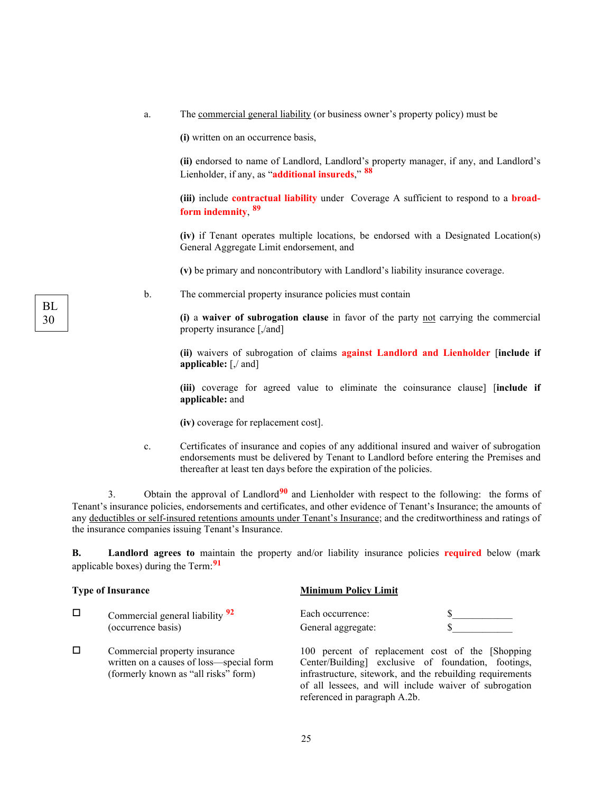a. The commercial general liability (or business owner's property policy) must be

**(i)** written on an occurrence basis,

**(ii)** endorsed to name of Landlord, Landlord's property manager, if any, and Landlord's Lienholder, if any, as "**additional insureds**," **[88](#page-52-1)**

**(iii)** include **contractual liability** under Coverage A sufficient to respond to a **broadform indemnity**, **[89](#page-53-0)**

**(iv)** if Tenant operates multiple locations, be endorsed with a Designated Location(s) General Aggregate Limit endorsement, and

**(v)** be primary and noncontributory with Landlord's liability insurance coverage.

b. The commercial property insurance policies must contain

**(i)** a **waiver of subrogation clause** in favor of the party not carrying the commercial property insurance [,/and]

**(ii)** waivers of subrogation of claims **against Landlord and Lienholder** [**include if applicable:** [,/ and]

**(iii)** coverage for agreed value to eliminate the coinsurance clause] [**include if applicable:** and

referenced in paragraph A.2b.

**(iv)** coverage for replacement cost].

c. Certificates of insurance and copies of any additional insured and waiver of subrogation endorsements must be delivered by Tenant to Landlord before entering the Premises and thereafter at least ten days before the expiration of the policies.

3. Obtain the approval of Landlord**[90](#page-53-1)** and Lienholder with respect to the following: the forms of Tenant's insurance policies, endorsements and certificates, and other evidence of Tenant's Insurance; the amounts of any deductibles or self-insured retentions amounts under Tenant's Insurance; and the creditworthiness and ratings of the insurance companies issuing Tenant's Insurance.

**B. Landlord agrees to** maintain the property and/or liability insurance policies **required** below (mark applicable boxes) during the Term:**[91](#page-53-2)**

| <b>Type of Insurance</b> |                                                                                                                   | <b>Minimum Policy Limit</b>                                                                                                                                                                                                     |  |
|--------------------------|-------------------------------------------------------------------------------------------------------------------|---------------------------------------------------------------------------------------------------------------------------------------------------------------------------------------------------------------------------------|--|
|                          | Commercial general liability 92<br>(occurrence basis)                                                             | Each occurrence:<br>General aggregate:                                                                                                                                                                                          |  |
| $\Box$                   | Commercial property insurance<br>written on a causes of loss—special form<br>(formerly known as "all risks" form) | 100 percent of replacement cost of the [Shopping]<br>Center/Building] exclusive of foundation, footings,<br>infrastructure, sitework, and the rebuilding requirements<br>of all lessees, and will include waiver of subrogation |  |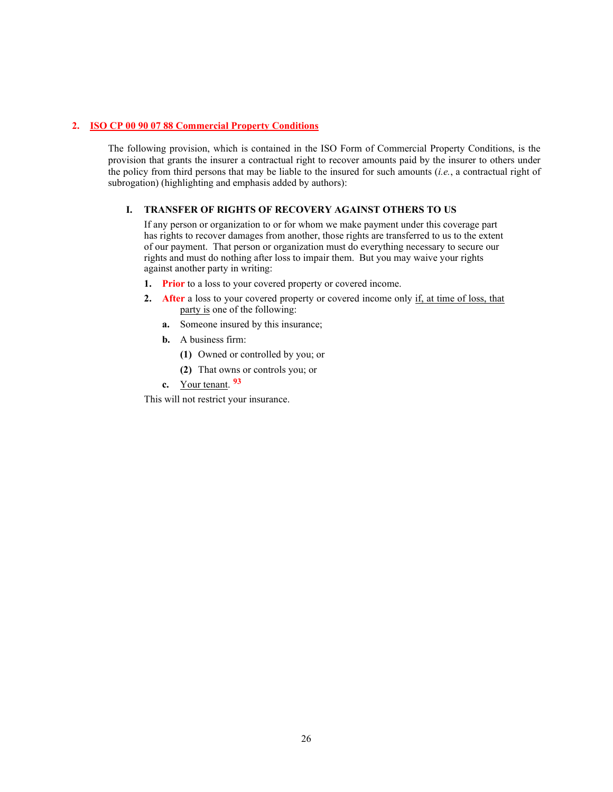#### **2. ISO CP 00 90 07 88 Commercial Property Conditions**

The following provision, which is contained in the ISO Form of Commercial Property Conditions, is the provision that grants the insurer a contractual right to recover amounts paid by the insurer to others under the policy from third persons that may be liable to the insured for such amounts (*i.e.*, a contractual right of subrogation) (highlighting and emphasis added by authors):

#### **I. TRANSFER OF RIGHTS OF RECOVERY AGAINST OTHERS TO US**

If any person or organization to or for whom we make payment under this coverage part has rights to recover damages from another, those rights are transferred to us to the extent of our payment. That person or organization must do everything necessary to secure our rights and must do nothing after loss to impair them. But you may waive your rights against another party in writing:

- **1. Prior** to a loss to your covered property or covered income.
- **2. After** a loss to your covered property or covered income only if, at time of loss, that party is one of the following:
	- **a.** Someone insured by this insurance;
	- **b.** A business firm:
		- **(1)** Owned or controlled by you; or
		- **(2)** That owns or controls you; or
	- **c.** Your tenant. **[93](#page-53-4)**

This will not restrict your insurance.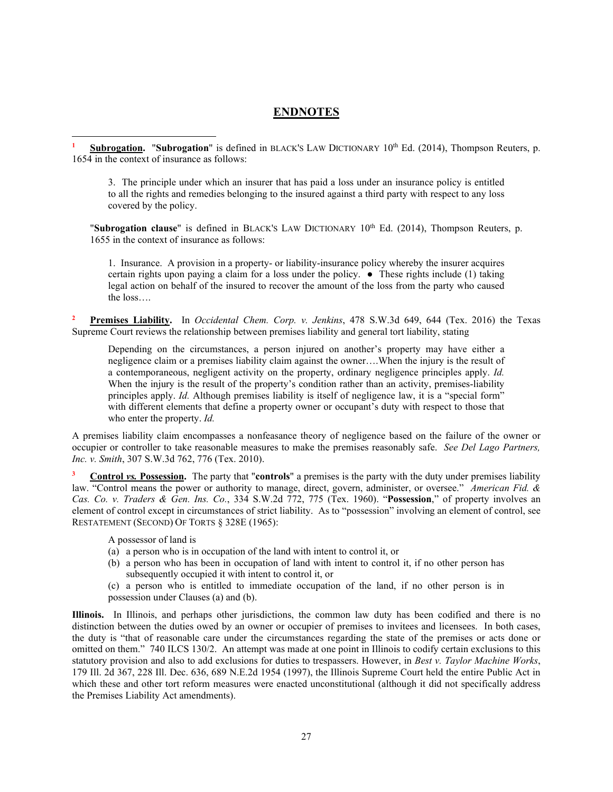## **ENDNOTES**

**Subrogation.** "**Subrogation**" is defined in BLACK'S LAW DICTIONARY 10<sup>th</sup> Ed. (2014), Thompson Reuters, p. 1654 in the context of insurance as follows:

3. The principle under which an insurer that has paid a loss under an insurance policy is entitled to all the rights and remedies belonging to the insured against a third party with respect to any loss covered by the policy.

"**Subrogation clause**" is defined in BLACK'S LAW DICTIONARY 10<sup>th</sup> Ed. (2014), Thompson Reuters, p. 1655 in the context of insurance as follows:

1. Insurance. A provision in a property- or liability-insurance policy whereby the insurer acquires certain rights upon paying a claim for a loss under the policy.  $\bullet$  These rights include (1) taking legal action on behalf of the insured to recover the amount of the loss from the party who caused the loss….

**<sup>2</sup> Premises Liability.** In *Occidental Chem. Corp. v. Jenkins*, 478 S.W.3d 649, 644 (Tex. 2016) the Texas Supreme Court reviews the relationship between premises liability and general tort liability, stating

Depending on the circumstances, a person injured on another's property may have either a negligence claim or a premises liability claim against the owner….When the injury is the result of a contemporaneous, negligent activity on the property, ordinary negligence principles apply. *Id.* When the injury is the result of the property's condition rather than an activity, premises-liability principles apply. *Id.* Although premises liability is itself of negligence law, it is a "special form" with different elements that define a property owner or occupant's duty with respect to those that who enter the property. *Id.*

A premises liability claim encompasses a nonfeasance theory of negligence based on the failure of the owner or occupier or controller to take reasonable measures to make the premises reasonably safe. *See Del Lago Partners, Inc. v. Smith*, 307 S.W.3d 762, 776 (Tex. 2010).

**<sup>3</sup> Control** *vs.* **Possession.** The party that "**controls**" a premises is the party with the duty under premises liability law. "Control means the power or authority to manage, direct, govern, administer, or oversee." *American Fid. & Cas. Co. v. Traders & Gen. Ins. Co.*, 334 S.W.2d 772, 775 (Tex. 1960). "**Possession**," of property involves an element of control except in circumstances of strict liability. As to "possession" involving an element of control, see RESTATEMENT (SECOND) OF TORTS § 328E (1965):

A possessor of land is

- (a) a person who is in occupation of the land with intent to control it, or
- (b) a person who has been in occupation of land with intent to control it, if no other person has subsequently occupied it with intent to control it, or
- (c) a person who is entitled to immediate occupation of the land, if no other person is in possession under Clauses (a) and (b).

**Illinois.** In Illinois, and perhaps other jurisdictions, the common law duty has been codified and there is no distinction between the duties owed by an owner or occupier of premises to invitees and licensees. In both cases, the duty is "that of reasonable care under the circumstances regarding the state of the premises or acts done or omitted on them." 740 ILCS 130/2. An attempt was made at one point in Illinois to codify certain exclusions to this statutory provision and also to add exclusions for duties to trespassers. However, in *Best v. Taylor Machine Works*, 179 Ill. 2d 367, 228 Ill. Dec. 636, 689 N.E.2d 1954 (1997), the Illinois Supreme Court held the entire Public Act in which these and other tort reform measures were enacted unconstitutional (although it did not specifically address the Premises Liability Act amendments).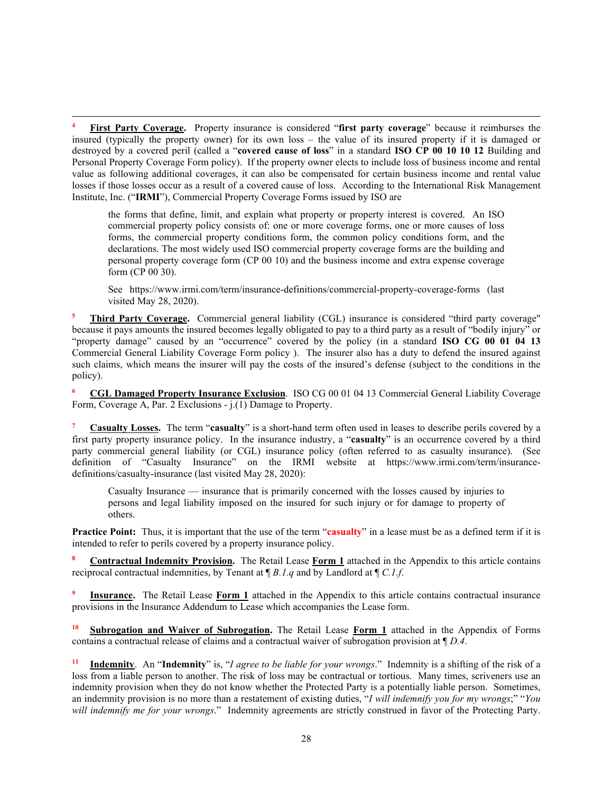<span id="page-31-0"></span>**<sup>4</sup> First Party Coverage.** Property insurance is considered "**first party coverage**" because it reimburses the insured (typically the property owner) for its own loss – the value of its insured property if it is damaged or destroyed by a covered peril (called a "**covered cause of loss**" in a standard **ISO CP 00 10 10 12** Building and Personal Property Coverage Form policy). If the property owner elects to include loss of business income and rental value as following additional coverages, it can also be compensated for certain business income and rental value losses if those losses occur as a result of a covered cause of loss. According to the International Risk Management Institute, Inc. ("**IRMI**"), Commercial Property Coverage Forms issued by ISO are

the forms that define, limit, and explain what property or property interest is covered. An ISO commercial property policy consists of: one or more coverage forms, one or more causes of loss forms, the commercial property conditions form, the common policy conditions form, and the declarations. The most widely used ISO commercial property coverage forms are the building and personal property coverage form (CP 00 10) and the business income and extra expense coverage form (CP 00 30).

See https://www.irmi.com/term/insurance-definitions/commercial-property-coverage-forms (last visited May 28, 2020).

<span id="page-31-1"></span>**<sup>5</sup> Third Party Coverage.** Commercial general liability (CGL) insurance is considered "third party coverage" because it pays amounts the insured becomes legally obligated to pay to a third party as a result of "bodily injury" or "property damage" caused by an "occurrence" covered by the policy (in a standard **ISO CG 00 01 04 13** Commercial General Liability Coverage Form policy ). The insurer also has a duty to defend the insured against such claims, which means the insurer will pay the costs of the insured's defense (subject to the conditions in the policy).

**<sup>6</sup> CGL Damaged Property Insurance Exclusion**.ISO CG 00 01 04 13 Commercial General Liability Coverage Form, Coverage A, Par. 2 Exclusions - j.(1) Damage to Property.

<span id="page-31-2"></span>**<sup>7</sup> Casualty Losses.** The term "**casualty**" is a short-hand term often used in leases to describe perils covered by a first party property insurance policy. In the insurance industry, a "**casualty**" is an occurrence covered by a third party commercial general liability (or CGL) insurance policy (often referred to as casualty insurance). (See definition of "Casualty Insurance" on the IRMI website at https://www.irmi.com/term/insurancedefinitions/casualty-insurance (last visited May 28, 2020):

Casualty Insurance — insurance that is primarily concerned with the losses caused by injuries to persons and legal liability imposed on the insured for such injury or for damage to property of others.

**Practice Point:** Thus, it is important that the use of the term "**casualty**" in a lease must be as a defined term if it is intended to refer to perils covered by a property insurance policy.

**<sup>8</sup> Contractual Indemnity Provision.** The Retail Lease **Form 1** attached in the Appendix to this article contains reciprocal contractual indemnities, by Tenant at ¶ *B.1.q* and by Landlord at ¶ *C.1.f*.

**Insurance.** The Retail Lease **Form 1** attached in the Appendix to this article contains contractual insurance provisions in the Insurance Addendum to Lease which accompanies the Lease form.

**Subrogation and Waiver of Subrogation.** The Retail Lease **Form 1** attached in the Appendix of Forms contains a contractual release of claims and a contractual waiver of subrogation provision at ¶ *D.4*.

**<sup>11</sup> Indemnity**. An "**Indemnity**" is, "*I agree to be liable for your wrongs*." Indemnity is a shifting of the risk of a loss from a liable person to another. The risk of loss may be contractual or tortious. Many times, scriveners use an indemnity provision when they do not know whether the Protected Party is a potentially liable person. Sometimes, an indemnity provision is no more than a restatement of existing duties, "*I will indemnify you for my wrongs*;" "*You will indemnify me for your wrongs*." Indemnity agreements are strictly construed in favor of the Protecting Party.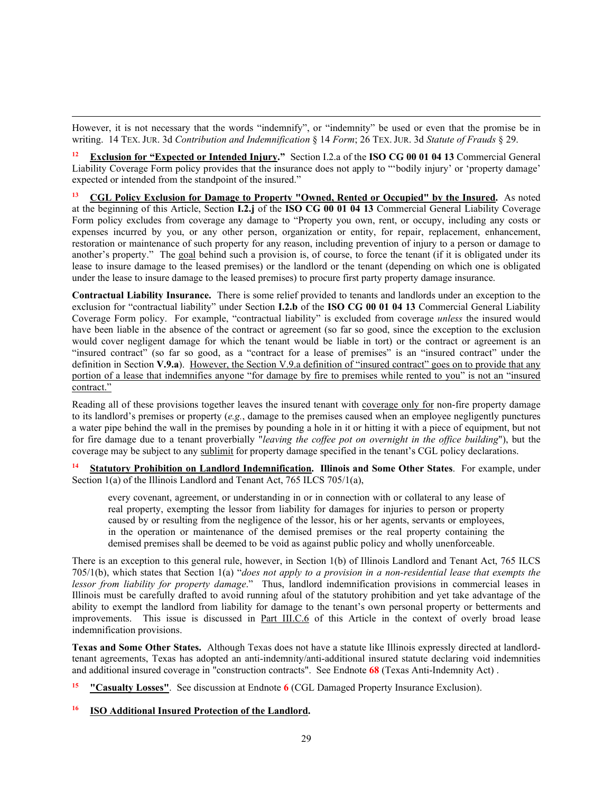<span id="page-32-0"></span>However, it is not necessary that the words "indemnify", or "indemnity" be used or even that the promise be in writing. 14 TEX. JUR. 3d *Contribution and Indemnification* § 14 *Form*; 26 TEX. JUR. 3d *Statute of Frauds* § 29.

**<sup>12</sup> Exclusion for "Expected or Intended Injury."** Section I.2.a of the **ISO CG 00 01 04 13** Commercial General Liability Coverage Form policy provides that the insurance does not apply to "'bodily injury' or 'property damage' expected or intended from the standpoint of the insured."

**<sup>13</sup> CGL Policy Exclusion for Damage to Property "Owned, Rented or Occupied" by the Insured.** As noted at the beginning of this Article, Section **I.2.j** of the **ISO CG 00 01 04 13** Commercial General Liability Coverage Form policy excludes from coverage any damage to "Property you own, rent, or occupy, including any costs or expenses incurred by you, or any other person, organization or entity, for repair, replacement, enhancement, restoration or maintenance of such property for any reason, including prevention of injury to a person or damage to another's property." The goal behind such a provision is, of course, to force the tenant (if it is obligated under its lease to insure damage to the leased premises) or the landlord or the tenant (depending on which one is obligated under the lease to insure damage to the leased premises) to procure first party property damage insurance.

<span id="page-32-1"></span>**Contractual Liability Insurance.** There is some relief provided to tenants and landlords under an exception to the exclusion for "contractual liability" under Section **I.2.b** of the **ISO CG 00 01 04 13** Commercial General Liability Coverage Form policy. For example, "contractual liability" is excluded from coverage *unless* the insured would have been liable in the absence of the contract or agreement (so far so good, since the exception to the exclusion would cover negligent damage for which the tenant would be liable in tort) or the contract or agreement is an "insured contract" (so far so good, as a "contract for a lease of premises" is an "insured contract" under the definition in Section **V.9.a**). However, the Section V.9.a definition of "insured contract" goes on to provide that any portion of a lease that indemnifies anyone "for damage by fire to premises while rented to you" is not an "insured contract."

<span id="page-32-3"></span><span id="page-32-2"></span>Reading all of these provisions together leaves the insured tenant with coverage only for non-fire property damage to its landlord's premises or property (*e.g.*, damage to the premises caused when an employee negligently punctures a water pipe behind the wall in the premises by pounding a hole in it or hitting it with a piece of equipment, but not for fire damage due to a tenant proverbially "*leaving the coffee pot on overnight in the office building*"), but the coverage may be subject to any sublimit for property damage specified in the tenant's CGL policy declarations.

**<sup>14</sup> Statutory Prohibition on Landlord Indemnification. Illinois and Some Other States**. For example, under Section 1(a) of the Illinois Landlord and Tenant Act, 765 ILCS 705/1(a),

every covenant, agreement, or understanding in or in connection with or collateral to any lease of real property, exempting the lessor from liability for damages for injuries to person or property caused by or resulting from the negligence of the lessor, his or her agents, servants or employees, in the operation or maintenance of the demised premises or the real property containing the demised premises shall be deemed to be void as against public policy and wholly unenforceable.

<span id="page-32-5"></span><span id="page-32-4"></span>There is an exception to this general rule, however, in Section 1(b) of Illinois Landlord and Tenant Act, 765 ILCS 705/1(b), which states that Section 1(a) "*does not apply to a provision in a non-residential lease that exempts the lessor from liability for property damage*." Thus, landlord indemnification provisions in commercial leases in Illinois must be carefully drafted to avoid running afoul of the statutory prohibition and yet take advantage of the ability to exempt the landlord from liability for damage to the tenant's own personal property or betterments and improvements. This issue is discussed in Part III.C.6 of this Article in the context of overly broad lease indemnification provisions.

<span id="page-32-7"></span><span id="page-32-6"></span>**Texas and Some Other States.** Although Texas does not have a statute like Illinois expressly directed at landlordtenant agreements, Texas has adopted an anti-indemnity/anti-additional insured statute declaring void indemnities and additional insured coverage in "construction contracts". See Endnote **68** (Texas Anti-Indemnity Act) .

**<sup>15</sup> "Casualty Losses"**. See discussion at Endnote **6** (CGL Damaged Property Insurance Exclusion).

#### **<sup>16</sup> ISO Additional Insured Protection of the Landlord.**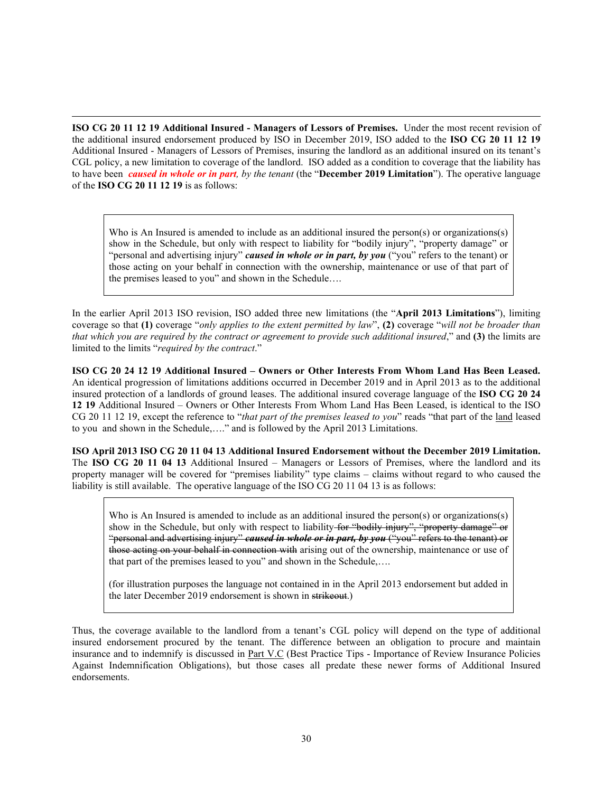<span id="page-33-1"></span><span id="page-33-0"></span>**ISO CG 20 11 12 19 Additional Insured - Managers of Lessors of Premises.** Under the most recent revision of the additional insured endorsement produced by ISO in December 2019, ISO added to the **ISO CG 20 11 12 19** Additional Insured - Managers of Lessors of Premises, insuring the landlord as an additional insured on its tenant's CGL policy, a new limitation to coverage of the landlord. ISO added as a condition to coverage that the liability has to have been *caused in whole or in part, by the tenant* (the "**December 2019 Limitation**"). The operative language of the **ISO CG 20 11 12 19** is as follows:

Who is An Insured is amended to include as an additional insured the person(s) or organizations(s) show in the Schedule, but only with respect to liability for "bodily injury", "property damage" or "personal and advertising injury" *caused in whole or in part, by you* ("you" refers to the tenant) or those acting on your behalf in connection with the ownership, maintenance or use of that part of the premises leased to you" and shown in the Schedule….

In the earlier April 2013 ISO revision, ISO added three new limitations (the "**April 2013 Limitations**"), limiting coverage so that **(1)** coverage "*only applies to the extent permitted by law*", **(2)** coverage "*will not be broader than that which you are required by the contract or agreement to provide such additional insured*," and **(3)** the limits are limited to the limits "*required by the contract*."

**ISO CG 20 24 12 19 Additional Insured – Owners or Other Interests From Whom Land Has Been Leased.**  An identical progression of limitations additions occurred in December 2019 and in April 2013 as to the additional insured protection of a landlords of ground leases. The additional insured coverage language of the **ISO CG 20 24 12 19** Additional Insured – Owners or Other Interests From Whom Land Has Been Leased, is identical to the ISO CG 20 11 12 19, except the reference to "*that part of the premises leased to you*" reads "that part of the land leased to you and shown in the Schedule,…." and is followed by the April 2013 Limitations.

<span id="page-33-2"></span>**ISO April 2013 ISO CG 20 11 04 13 Additional Insured Endorsement without the December 2019 Limitation.** The **ISO CG 20 11 04 13** Additional Insured – Managers or Lessors of Premises, where the landlord and its property manager will be covered for "premises liability" type claims – claims without regard to who caused the liability is still available. The operative language of the ISO CG 20 11 04 13 is as follows:

Who is An Insured is amended to include as an additional insured the person(s) or organizations(s) show in the Schedule, but only with respect to liability for "bodily injury", "property damage" or "personal and advertising injury" *caused in whole or in part, by you* ("you" refers to the tenant) or those acting on your behalf in connection with arising out of the ownership, maintenance or use of that part of the premises leased to you" and shown in the Schedule,….

(for illustration purposes the language not contained in in the April 2013 endorsement but added in the later December 2019 endorsement is shown in strikeout.)

<span id="page-33-4"></span><span id="page-33-3"></span>Thus, the coverage available to the landlord from a tenant's CGL policy will depend on the type of additional insured endorsement procured by the tenant. The difference between an obligation to procure and maintain insurance and to indemnify is discussed in Part V.C (Best Practice Tips - Importance of Review Insurance Policies Against Indemnification Obligations), but those cases all predate these newer forms of Additional Insured endorsements.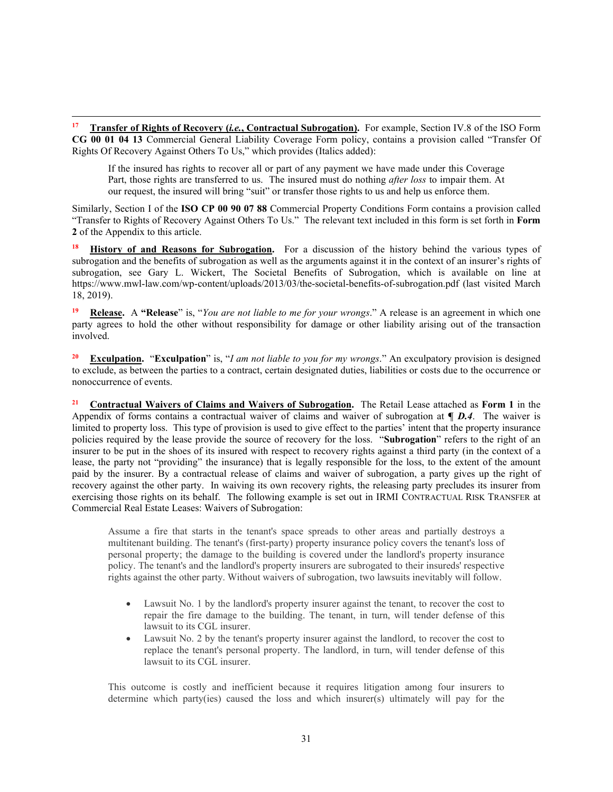<span id="page-34-0"></span>**<sup>17</sup> Transfer of Rights of Recovery (***i.e.***, Contractual Subrogation).** For example, Section IV.8 of the ISO Form **CG 00 01 04 13** Commercial General Liability Coverage Form policy, contains a provision called "Transfer Of Rights Of Recovery Against Others To Us," which provides (Italics added):

If the insured has rights to recover all or part of any payment we have made under this Coverage Part, those rights are transferred to us. The insured must do nothing *after loss* to impair them. At our request, the insured will bring "suit" or transfer those rights to us and help us enforce them.

Similarly, Section I of the **ISO CP 00 90 07 88** Commercial Property Conditions Form contains a provision called "Transfer to Rights of Recovery Against Others To Us." The relevant text included in this form is set forth in **Form 2** of the Appendix to this article.

<span id="page-34-1"></span>**<sup>18</sup> History of and Reasons for Subrogation.** For a discussion of the history behind the various types of subrogation and the benefits of subrogation as well as the arguments against it in the context of an insurer's rights of subrogation, see Gary L. Wickert, The Societal Benefits of Subrogation, which is available on line at https://www.mwl-law.com/wp-content/uploads/2013/03/the-societal-benefits-of-subrogation.pdf (last visited March 18, 2019).

<span id="page-34-2"></span>**<sup>19</sup> Release.** A **"Release**" is, "*You are not liable to me for your wrongs*." A release is an agreement in which one party agrees to hold the other without responsibility for damage or other liability arising out of the transaction involved.

<span id="page-34-3"></span>**<sup>20</sup> Exculpation.** "**Exculpation**" is, "*I am not liable to you for my wrongs*." An exculpatory provision is designed to exclude, as between the parties to a contract, certain designated duties, liabilities or costs due to the occurrence or nonoccurrence of events.

<span id="page-34-4"></span>**<sup>21</sup> Contractual Waivers of Claims and Waivers of Subrogation.** The Retail Lease attached as **Form 1** in the Appendix of forms contains a contractual waiver of claims and waiver of subrogation at **¶** *D.4*. The waiver is limited to property loss. This type of provision is used to give effect to the parties' intent that the property insurance policies required by the lease provide the source of recovery for the loss. "**Subrogation**" refers to the right of an insurer to be put in the shoes of its insured with respect to recovery rights against a third party (in the context of a lease, the party not "providing" the insurance) that is legally responsible for the loss, to the extent of the amount paid by the insurer. By a contractual release of claims and waiver of subrogation, a party gives up the right of recovery against the other party. In waiving its own recovery rights, the releasing party precludes its insurer from exercising those rights on its behalf. The following example is set out in IRMI CONTRACTUAL RISK TRANSFER at Commercial Real Estate Leases: Waivers of Subrogation:

Assume a fire that starts in the tenant's space spreads to other areas and partially destroys a multitenant building. The tenant's (first-party) property insurance policy covers the tenant's loss of personal property; the damage to the building is covered under the landlord's property insurance policy. The tenant's and the landlord's property insurers are subrogated to their insureds' respective rights against the other party. Without waivers of subrogation, two lawsuits inevitably will follow.

- Lawsuit No. 1 by the landlord's property insurer against the tenant, to recover the cost to repair the fire damage to the building. The tenant, in turn, will tender defense of this lawsuit to its CGL insurer.
- Lawsuit No. 2 by the tenant's property insurer against the landlord, to recover the cost to replace the tenant's personal property. The landlord, in turn, will tender defense of this lawsuit to its CGL insurer.

This outcome is costly and inefficient because it requires litigation among four insurers to determine which party(ies) caused the loss and which insurer(s) ultimately will pay for the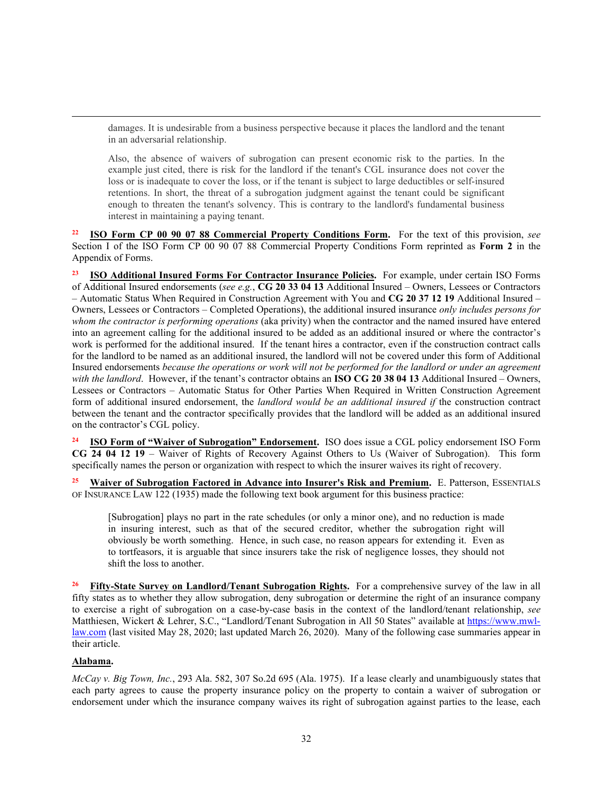damages. It is undesirable from a business perspective because it places the landlord and the tenant in an adversarial relationship.

Also, the absence of waivers of subrogation can present economic risk to the parties. In the example just cited, there is risk for the landlord if the tenant's CGL insurance does not cover the loss or is inadequate to cover the loss, or if the tenant is subject to large deductibles or self-insured retentions. In short, the threat of a subrogation judgment against the tenant could be significant enough to threaten the tenant's solvency. This is contrary to the landlord's fundamental business interest in maintaining a paying tenant.

<span id="page-35-0"></span>**<sup>22</sup> ISO Form CP 00 90 07 88 Commercial Property Conditions Form.** For the text of this provision, *see* Section I of the ISO Form CP 00 90 07 88 Commercial Property Conditions Form reprinted as **Form 2** in the Appendix of Forms.

<span id="page-35-1"></span>**<sup>23</sup> ISO Additional Insured Forms For Contractor Insurance Policies.** For example, under certain ISO Forms of Additional Insured endorsements (*see e.g.*, **CG 20 33 04 13** Additional Insured – Owners, Lessees or Contractors – Automatic Status When Required in Construction Agreement with You and **CG 20 37 12 19** Additional Insured – Owners, Lessees or Contractors – Completed Operations), the additional insured insurance *only includes persons for whom the contractor is performing operations* (aka privity) when the contractor and the named insured have entered into an agreement calling for the additional insured to be added as an additional insured or where the contractor's work is performed for the additional insured. If the tenant hires a contractor, even if the construction contract calls for the landlord to be named as an additional insured, the landlord will not be covered under this form of Additional Insured endorsements *because the operations or work will not be performed for the landlord or under an agreement with the landlord*. However, if the tenant's contractor obtains an **ISO CG 20 38 04 13** Additional Insured – Owners, Lessees or Contractors – Automatic Status for Other Parties When Required in Written Construction Agreement form of additional insured endorsement, the *landlord would be an additional insured if* the construction contract between the tenant and the contractor specifically provides that the landlord will be added as an additional insured on the contractor's CGL policy.

<span id="page-35-2"></span>**<sup>24</sup> ISO Form of "Waiver of Subrogation" Endorsement.** ISO does issue a CGL policy endorsement ISO Form **CG 24 04 12 19** – Waiver of Rights of Recovery Against Others to Us (Waiver of Subrogation). This form specifically names the person or organization with respect to which the insurer waives its right of recovery.

<span id="page-35-3"></span>**<sup>25</sup> Waiver of Subrogation Factored in Advance into Insurer's Risk and Premium.** E. Patterson, ESSENTIALS OF INSURANCE LAW 122 (1935) made the following text book argument for this business practice:

[Subrogation] plays no part in the rate schedules (or only a minor one), and no reduction is made in insuring interest, such as that of the secured creditor, whether the subrogation right will obviously be worth something. Hence, in such case, no reason appears for extending it. Even as to tortfeasors, it is arguable that since insurers take the risk of negligence losses, they should not shift the loss to another.

<span id="page-35-4"></span>**<sup>26</sup> Fifty-State Survey on Landlord/Tenant Subrogation Rights.** For a comprehensive survey of the law in all fifty states as to whether they allow subrogation, deny subrogation or determine the right of an insurance company to exercise a right of subrogation on a case-by-case basis in the context of the landlord/tenant relationship, *see* Matthiesen, Wickert & Lehrer, S.C., "Landlord/Tenant Subrogation in All 50 States" available at [https://www.mwl](https://www.mwl-law.com/)[law.com](https://www.mwl-law.com/) (last visited May 28, 2020; last updated March 26, 2020). Many of the following case summaries appear in their article.

#### **Alabama.**

*McCay v. Big Town, Inc.*, 293 Ala. 582, 307 So.2d 695 (Ala. 1975). If a lease clearly and unambiguously states that each party agrees to cause the property insurance policy on the property to contain a waiver of subrogation or endorsement under which the insurance company waives its right of subrogation against parties to the lease, each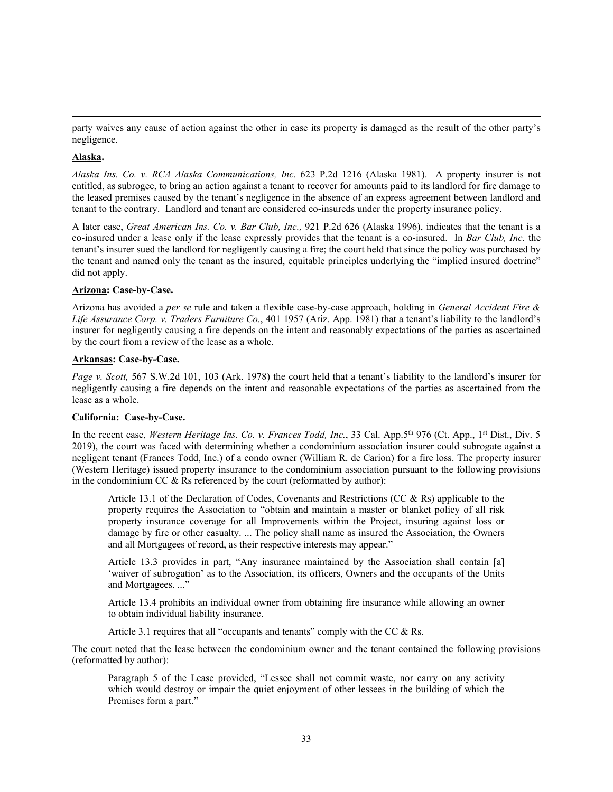party waives any cause of action against the other in case its property is damaged as the result of the other party's negligence.

### **Alaska.**

*Alaska Ins. Co. v. RCA Alaska Communications, Inc.* 623 P.2d 1216 (Alaska 1981). A property insurer is not entitled, as subrogee, to bring an action against a tenant to recover for amounts paid to its landlord for fire damage to the leased premises caused by the tenant's negligence in the absence of an express agreement between landlord and tenant to the contrary. Landlord and tenant are considered co-insureds under the property insurance policy.

A later case, *Great American Ins. Co. v. Bar Club, Inc.,* 921 P.2d 626 (Alaska 1996), indicates that the tenant is a co-insured under a lease only if the lease expressly provides that the tenant is a co-insured. In *Bar Club, Inc.* the tenant's insurer sued the landlord for negligently causing a fire; the court held that since the policy was purchased by the tenant and named only the tenant as the insured, equitable principles underlying the "implied insured doctrine" did not apply.

### **Arizona: Case-by-Case.**

Arizona has avoided a *per se* rule and taken a flexible case-by-case approach, holding in *General Accident Fire & Life Assurance Corp. v. Traders Furniture Co.*, 401 1957 (Ariz. App. 1981) that a tenant's liability to the landlord's insurer for negligently causing a fire depends on the intent and reasonably expectations of the parties as ascertained by the court from a review of the lease as a whole.

### **Arkansas: Case-by-Case.**

*Page v. Scott,* 567 S.W.2d 101, 103 (Ark. 1978) the court held that a tenant's liability to the landlord's insurer for negligently causing a fire depends on the intent and reasonable expectations of the parties as ascertained from the lease as a whole.

# **California: Case-by-Case.**

In the recent case, *Western Heritage Ins. Co. v. Frances Todd, Inc.*, 33 Cal. App.5<sup>th</sup> 976 (Ct. App., 1<sup>st</sup> Dist., Div. 5 2019), the court was faced with determining whether a condominium association insurer could subrogate against a negligent tenant (Frances Todd, Inc.) of a condo owner (William R. de Carion) for a fire loss. The property insurer (Western Heritage) issued property insurance to the condominium association pursuant to the following provisions in the condominium CC & Rs referenced by the court (reformatted by author):

Article 13.1 of the Declaration of Codes, Covenants and Restrictions (CC & Rs) applicable to the property requires the Association to "obtain and maintain a master or blanket policy of all risk property insurance coverage for all Improvements within the Project, insuring against loss or damage by fire or other casualty. ... The policy shall name as insured the Association, the Owners and all Mortgagees of record, as their respective interests may appear."

Article 13.3 provides in part, "Any insurance maintained by the Association shall contain [a] 'waiver of subrogation' as to the Association, its officers, Owners and the occupants of the Units and Mortgagees. ..."

Article 13.4 prohibits an individual owner from obtaining fire insurance while allowing an owner to obtain individual liability insurance.

Article 3.1 requires that all "occupants and tenants" comply with the CC & Rs.

The court noted that the lease between the condominium owner and the tenant contained the following provisions (reformatted by author):

Paragraph 5 of the Lease provided, "Lessee shall not commit waste, nor carry on any activity which would destroy or impair the quiet enjoyment of other lessees in the building of which the Premises form a part."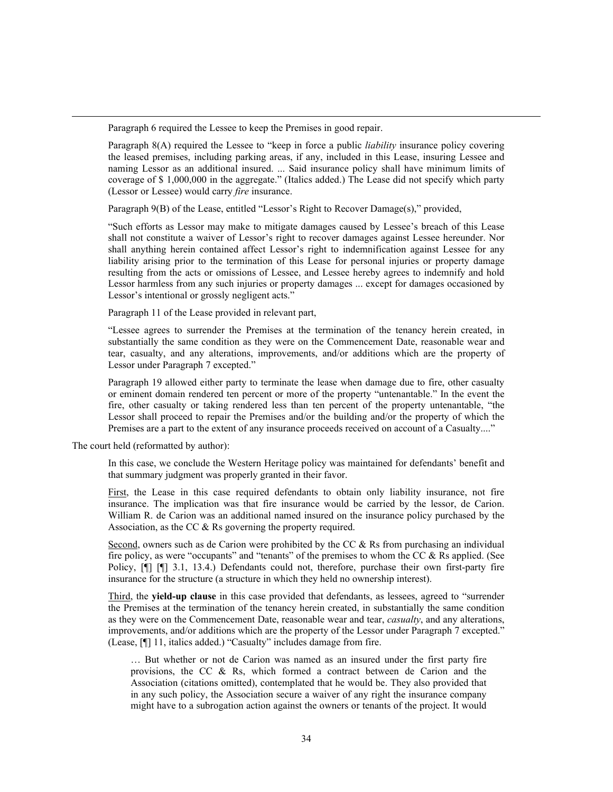Paragraph 6 required the Lessee to keep the Premises in good repair.

Paragraph 8(A) required the Lessee to "keep in force a public *liability* insurance policy covering the leased premises, including parking areas, if any, included in this Lease, insuring Lessee and naming Lessor as an additional insured. ... Said insurance policy shall have minimum limits of coverage of \$ 1,000,000 in the aggregate." (Italics added.) The Lease did not specify which party (Lessor or Lessee) would carry *fire* insurance.

Paragraph 9(B) of the Lease, entitled "Lessor's Right to Recover Damage(s)," provided,

"Such efforts as Lessor may make to mitigate damages caused by Lessee's breach of this Lease shall not constitute a waiver of Lessor's right to recover damages against Lessee hereunder. Nor shall anything herein contained affect Lessor's right to indemnification against Lessee for any liability arising prior to the termination of this Lease for personal injuries or property damage resulting from the acts or omissions of Lessee, and Lessee hereby agrees to indemnify and hold Lessor harmless from any such injuries or property damages ... except for damages occasioned by Lessor's intentional or grossly negligent acts."

Paragraph 11 of the Lease provided in relevant part,

"Lessee agrees to surrender the Premises at the termination of the tenancy herein created, in substantially the same condition as they were on the Commencement Date, reasonable wear and tear, casualty, and any alterations, improvements, and/or additions which are the property of Lessor under Paragraph 7 excepted."

Paragraph 19 allowed either party to terminate the lease when damage due to fire, other casualty or eminent domain rendered ten percent or more of the property "untenantable." In the event the fire, other casualty or taking rendered less than ten percent of the property untenantable, "the Lessor shall proceed to repair the Premises and/or the building and/or the property of which the Premises are a part to the extent of any insurance proceeds received on account of a Casualty...."

The court held (reformatted by author):

In this case, we conclude the Western Heritage policy was maintained for defendants' benefit and that summary judgment was properly granted in their favor.

First, the Lease in this case required defendants to obtain only liability insurance, not fire insurance. The implication was that fire insurance would be carried by the lessor, de Carion. William R. de Carion was an additional named insured on the insurance policy purchased by the Association, as the CC & Rs governing the property required.

Second, owners such as de Carion were prohibited by the CC & Rs from purchasing an individual fire policy, as were "occupants" and "tenants" of the premises to whom the CC  $\&$  Rs applied. (See Policy, [¶] [¶] 3.1, 13.4.) Defendants could not, therefore, purchase their own first-party fire insurance for the structure (a structure in which they held no ownership interest).

Third, the **yield-up clause** in this case provided that defendants, as lessees, agreed to "surrender the Premises at the termination of the tenancy herein created, in substantially the same condition as they were on the Commencement Date, reasonable wear and tear, *casualty*, and any alterations, improvements, and/or additions which are the property of the Lessor under Paragraph 7 excepted." (Lease, [¶] 11, italics added.) "Casualty" includes damage from fire.

… But whether or not de Carion was named as an insured under the first party fire provisions, the CC & Rs, which formed a contract between de Carion and the Association (citations omitted), contemplated that he would be. They also provided that in any such policy, the Association secure a waiver of any right the insurance company might have to a subrogation action against the owners or tenants of the project. It would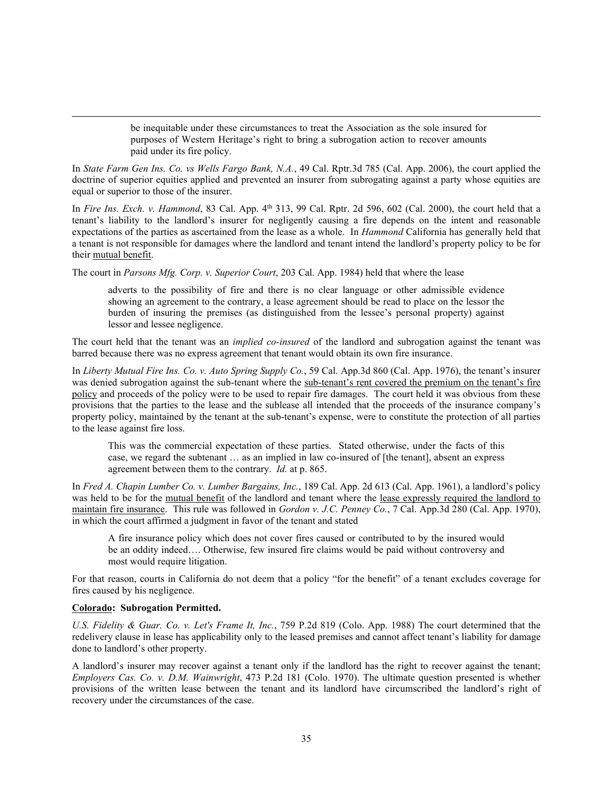be inequitable under these circumstances to treat the Association as the sole insured for purposes of Western Heritage's right to bring a subrogation action to recover amounts paid under its fire policy.

In *State Farm Gen Ins. Co. vs Wells Fargo Bank, N.A.*, 49 Cal. Rptr.3d 785 (Cal. App. 2006), the court applied the doctrine of superior equities applied and prevented an insurer from subrogating against a party whose equities are equal or superior to those of the insurer.

In *Fire Ins. Exch. v. Hammond*, 83 Cal. App. 4<sup>th</sup> 313, 99 Cal. Rptr. 2d 596, 602 (Cal. 2000), the court held that a tenant's liability to the landlord's insurer for negligently causing a fire depends on the intent and reasonable expectations of the parties as ascertained from the lease as a whole. In *Hammond* California has generally held that a tenant is not responsible for damages where the landlord and tenant intend the landlord's property policy to be for their mutual benefit.

The court in *Parsons Mfg. Corp. v. Superior Court*, 203 Cal. App. 1984) held that where the lease

adverts to the possibility of fire and there is no clear language or other admissible evidence showing an agreement to the contrary, a lease agreement should be read to place on the lessor the burden of insuring the premises (as distinguished from the lessee's personal property) against lessor and lessee negligence.

The court held that the tenant was an *implied co-insured* of the landlord and subrogation against the tenant was barred because there was no express agreement that tenant would obtain its own fire insurance.

In *Liberty Mutual Fire Ins. Co. v. Auto Spring Supply Co.*, 59 Cal. App.3d 860 (Cal. App. 1976), the tenant's insurer was denied subrogation against the sub-tenant where the sub-tenant's rent covered the premium on the tenant's fire policy and proceeds of the policy were to be used to repair fire damages. The court held it was obvious from these provisions that the parties to the lease and the sublease all intended that the proceeds of the insurance company's property policy, maintained by the tenant at the sub-tenant's expense, were to constitute the protection of all parties to the lease against fire loss.

This was the commercial expectation of these parties. Stated otherwise, under the facts of this case, we regard the subtenant … as an implied in law co-insured of [the tenant], absent an express agreement between them to the contrary. *Id.* at p. 865.

In *Fred A. Chapin Lumber Co. v. Lumber Bargains, Inc.*, 189 Cal. App. 2d 613 (Cal. App. 1961), a landlord's policy was held to be for the mutual benefit of the landlord and tenant where the lease expressly required the landlord to maintain fire insurance. This rule was followed in *Gordon v. J.C. Penney Co.*, 7 Cal. App.3d 280 (Cal. App. 1970), in which the court affirmed a judgment in favor of the tenant and stated

A fire insurance policy which does not cover fires caused or contributed to by the insured would be an oddity indeed…. Otherwise, few insured fire claims would be paid without controversy and most would require litigation.

For that reason, courts in California do not deem that a policy "for the benefit" of a tenant excludes coverage for fires caused by his negligence.

# **Colorado: Subrogation Permitted.**

*U.S. Fidelity & Guar. Co. v. Let's Frame It, Inc.*, 759 P.2d 819 (Colo. App. 1988) The court determined that the redelivery clause in lease has applicability only to the leased premises and cannot affect tenant's liability for damage done to landlord's other property.

A landlord's insurer may recover against a tenant only if the landlord has the right to recover against the tenant; *Employers Cas. Co. v. D.M. Wainwright*, 473 P.2d 181 (Colo. 1970). The ultimate question presented is whether provisions of the written lease between the tenant and its landlord have circumscribed the landlord's right of recovery under the circumstances of the case.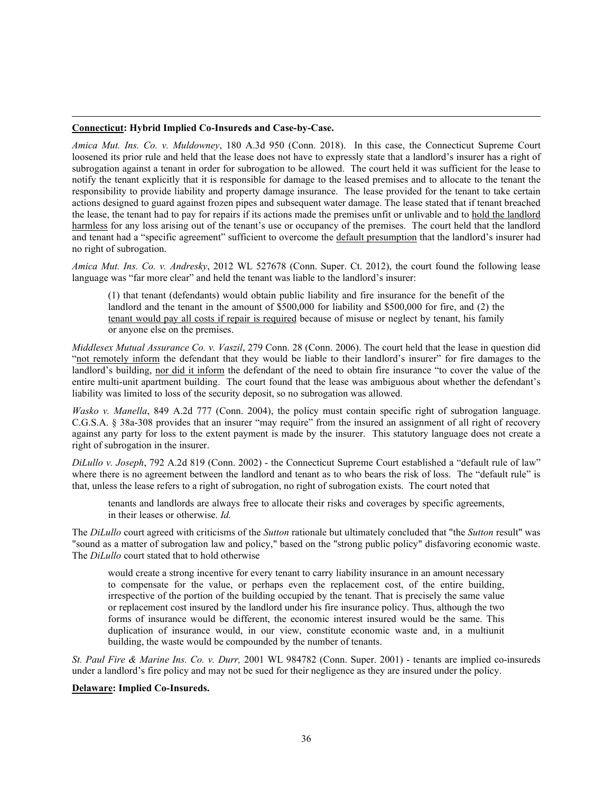### **Connecticut: Hybrid Implied Co-Insureds and Case-by-Case.**

*Amica Mut. Ins. Co. v. Muldowney*, 180 A.3d 950 (Conn. 2018). In this case, the Connecticut Supreme Court loosened its prior rule and held that the lease does not have to expressly state that a landlord's insurer has a right of subrogation against a tenant in order for subrogation to be allowed. The court held it was sufficient for the lease to notify the tenant explicitly that it is responsible for damage to the leased premises and to allocate to the tenant the responsibility to provide liability and property damage insurance. The lease provided for the tenant to take certain actions designed to guard against frozen pipes and subsequent water damage. The lease stated that if tenant breached the lease, the tenant had to pay for repairs if its actions made the premises unfit or unlivable and to hold the landlord harmless for any loss arising out of the tenant's use or occupancy of the premises. The court held that the landlord and tenant had a "specific agreement" sufficient to overcome the default presumption that the landlord's insurer had no right of subrogation.

*Amica Mut. Ins. Co. v. Andresky*, 2012 WL 527678 (Conn. Super. Ct. 2012), the court found the following lease language was "far more clear" and held the tenant was liable to the landlord's insurer:

(1) that tenant (defendants) would obtain public liability and fire insurance for the benefit of the landlord and the tenant in the amount of \$500,000 for liability and \$500,000 for fire, and (2) the tenant would pay all costs if repair is required because of misuse or neglect by tenant, his family or anyone else on the premises.

*Middlesex Mutual Assurance Co. v. Vaszil*, 279 Conn. 28 (Conn. 2006). The court held that the lease in question did "not remotely inform the defendant that they would be liable to their landlord's insurer" for fire damages to the landlord's building, nor did it inform the defendant of the need to obtain fire insurance "to cover the value of the entire multi-unit apartment building. The court found that the lease was ambiguous about whether the defendant's liability was limited to loss of the security deposit, so no subrogation was allowed.

*Wasko v. Manella*, 849 A.2d 777 (Conn. 2004), the policy must contain specific right of subrogation language. C.G.S.A. § 38a-308 provides that an insurer "may require" from the insured an assignment of all right of recovery against any party for loss to the extent payment is made by the insurer. This statutory language does not create a right of subrogation in the insurer.

*DiLullo v. Joseph*, 792 A.2d 819 (Conn. 2002) - the Connecticut Supreme Court established a "default rule of law" where there is no agreement between the landlord and tenant as to who bears the risk of loss. The "default rule" is that, unless the lease refers to a right of subrogation, no right of subrogation exists. The court noted that

tenants and landlords are always free to allocate their risks and coverages by specific agreements, in their leases or otherwise. *Id.*

The *DiLullo* court agreed with criticisms of the *Sutton* rationale but ultimately concluded that "the *Sutton* result" was "sound as a matter of subrogation law and policy," based on the "strong public policy" disfavoring economic waste. The *DiLullo* court stated that to hold otherwise

would create a strong incentive for every tenant to carry liability insurance in an amount necessary to compensate for the value, or perhaps even the replacement cost, of the entire building, irrespective of the portion of the building occupied by the tenant. That is precisely the same value or replacement cost insured by the landlord under his fire insurance policy. Thus, although the two forms of insurance would be different, the economic interest insured would be the same. This duplication of insurance would, in our view, constitute economic waste and, in a multiunit building, the waste would be compounded by the number of tenants.

*St. Paul Fire & Marine Ins. Co. v. Durr,* 2001 WL 984782 (Conn. Super. 2001) - tenants are implied co-insureds under a landlord's fire policy and may not be sued for their negligence as they are insured under the policy.

#### **Delaware: Implied Co-Insureds.**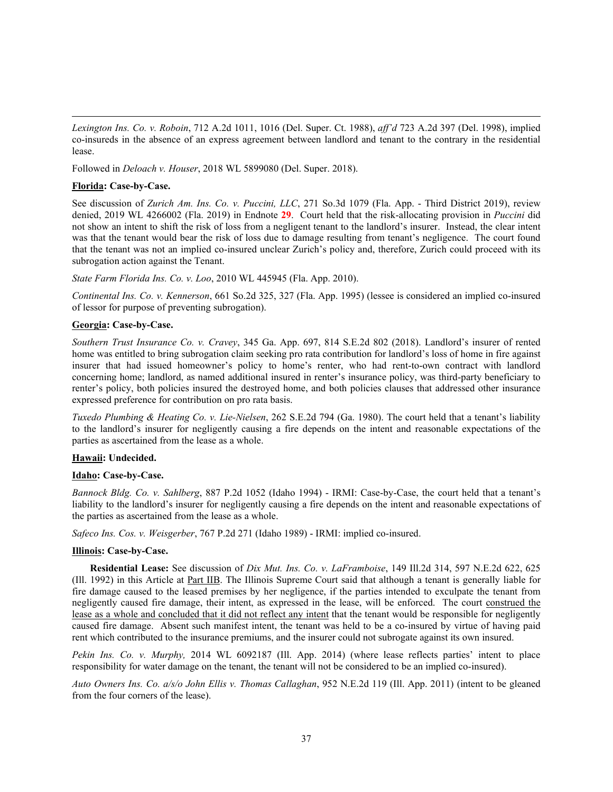*Lexington Ins. Co. v. Roboin*, 712 A.2d 1011, 1016 (Del. Super. Ct. 1988), *aff'd* 723 A.2d 397 (Del. 1998), implied co-insureds in the absence of an express agreement between landlord and tenant to the contrary in the residential lease.

Followed in *Deloach v. Houser*, 2018 WL 5899080 (Del. Super. 2018).

### **Florida: Case-by-Case.**

See discussion of *Zurich Am. Ins. Co. v. Puccini, LLC*, 271 So.3d 1079 (Fla. App. - Third District 2019), review denied, 2019 WL 4266002 (Fla. 2019) in Endnote **29**. Court held that the risk-allocating provision in *Puccini* did not show an intent to shift the risk of loss from a negligent tenant to the landlord's insurer. Instead, the clear intent was that the tenant would bear the risk of loss due to damage resulting from tenant's negligence. The court found that the tenant was not an implied co-insured unclear Zurich's policy and, therefore, Zurich could proceed with its subrogation action against the Tenant.

*State Farm Florida Ins. Co. v. Loo*, 2010 WL 445945 (Fla. App. 2010).

*Continental Ins. Co. v. Kennerson*, 661 So.2d 325, 327 (Fla. App. 1995) (lessee is considered an implied co-insured of lessor for purpose of preventing subrogation).

### **Georgia: Case-by-Case.**

*Southern Trust Insurance Co. v. Cravey*, 345 Ga. App. 697, 814 S.E.2d 802 (2018). Landlord's insurer of rented home was entitled to bring subrogation claim seeking pro rata contribution for landlord's loss of home in fire against insurer that had issued homeowner's policy to home's renter, who had rent-to-own contract with landlord concerning home; landlord, as named additional insured in renter's insurance policy, was third-party beneficiary to renter's policy, both policies insured the destroyed home, and both policies clauses that addressed other insurance expressed preference for contribution on pro rata basis.

*Tuxedo Plumbing & Heating Co. v. Lie-Nielsen*, 262 S.E.2d 794 (Ga. 1980). The court held that a tenant's liability to the landlord's insurer for negligently causing a fire depends on the intent and reasonable expectations of the parties as ascertained from the lease as a whole.

### **Hawaii: Undecided.**

#### **Idaho: Case-by-Case.**

*Bannock Bldg. Co. v. Sahlberg*, 887 P.2d 1052 (Idaho 1994) - IRMI: Case-by-Case, the court held that a tenant's liability to the landlord's insurer for negligently causing a fire depends on the intent and reasonable expectations of the parties as ascertained from the lease as a whole.

*Safeco Ins. Cos. v. Weisgerber*, 767 P.2d 271 (Idaho 1989) - IRMI: implied co-insured.

#### **Illinois: Case-by-Case.**

**Residential Lease:** See discussion of *Dix Mut. Ins. Co. v. LaFramboise*, 149 Ill.2d 314, 597 N.E.2d 622, 625 (Ill. 1992) in this Article at Part IIB. The Illinois Supreme Court said that although a tenant is generally liable for fire damage caused to the leased premises by her negligence, if the parties intended to exculpate the tenant from negligently caused fire damage, their intent, as expressed in the lease, will be enforced. The court construed the lease as a whole and concluded that it did not reflect any intent that the tenant would be responsible for negligently caused fire damage. Absent such manifest intent, the tenant was held to be a co-insured by virtue of having paid rent which contributed to the insurance premiums, and the insurer could not subrogate against its own insured.

*Pekin Ins. Co. v. Murphy,* 2014 WL 6092187 (Ill. App. 2014) (where lease reflects parties' intent to place responsibility for water damage on the tenant, the tenant will not be considered to be an implied co-insured).

*Auto Owners Ins. Co. a/s/o John Ellis v. Thomas Callaghan*, 952 N.E.2d 119 (Ill. App. 2011) (intent to be gleaned from the four corners of the lease).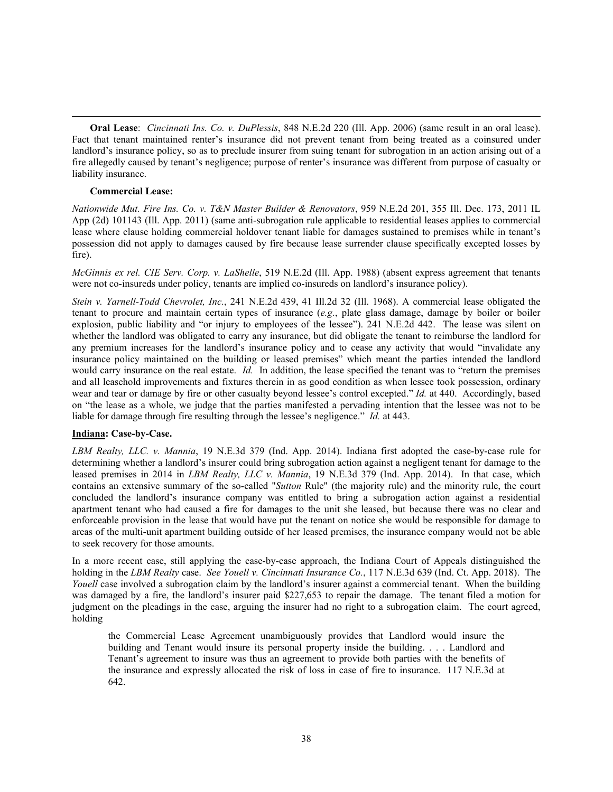**Oral Lease**: *Cincinnati Ins. Co. v. DuPlessis*, 848 N.E.2d 220 (Ill. App. 2006) (same result in an oral lease). Fact that tenant maintained renter's insurance did not prevent tenant from being treated as a coinsured under landlord's insurance policy, so as to preclude insurer from suing tenant for subrogation in an action arising out of a fire allegedly caused by tenant's negligence; purpose of renter's insurance was different from purpose of casualty or liability insurance.

### **Commercial Lease:**

*Nationwide Mut. Fire Ins. Co. v. T&N Master Builder & Renovators*, 959 N.E.2d 201, 355 Ill. Dec. 173, 2011 IL App (2d) 101143 (Ill. App. 2011) (same anti-subrogation rule applicable to residential leases applies to commercial lease where clause holding commercial holdover tenant liable for damages sustained to premises while in tenant's possession did not apply to damages caused by fire because lease surrender clause specifically excepted losses by fire).

*McGinnis ex rel. CIE Serv. Corp. v. LaShelle*, 519 N.E.2d (Ill. App. 1988) (absent express agreement that tenants were not co-insureds under policy, tenants are implied co-insureds on landlord's insurance policy).

*Stein v. Yarnell-Todd Chevrolet, Inc.*, 241 N.E.2d 439, 41 Ill.2d 32 (Ill. 1968). A commercial lease obligated the tenant to procure and maintain certain types of insurance (*e.g.*, plate glass damage, damage by boiler or boiler explosion, public liability and "or injury to employees of the lessee"). 241 N.E.2d 442. The lease was silent on whether the landlord was obligated to carry any insurance, but did obligate the tenant to reimburse the landlord for any premium increases for the landlord's insurance policy and to cease any activity that would "invalidate any insurance policy maintained on the building or leased premises" which meant the parties intended the landlord would carry insurance on the real estate. *Id.* In addition, the lease specified the tenant was to "return the premises and all leasehold improvements and fixtures therein in as good condition as when lessee took possession, ordinary wear and tear or damage by fire or other casualty beyond lessee's control excepted." *Id.* at 440. Accordingly, based on "the lease as a whole, we judge that the parties manifested a pervading intention that the lessee was not to be liable for damage through fire resulting through the lessee's negligence." *Id.* at 443.

### **Indiana: Case-by-Case.**

*LBM Realty, LLC. v. Mannia*, 19 N.E.3d 379 (Ind. App. 2014). Indiana first adopted the case-by-case rule for determining whether a landlord's insurer could bring subrogation action against a negligent tenant for damage to the leased premises in 2014 in *LBM Realty, LLC v. Mannia*, 19 N.E.3d 379 (Ind. App. 2014). In that case, which contains an extensive summary of the so-called "*Sutton* Rule" (the majority rule) and the minority rule, the court concluded the landlord's insurance company was entitled to bring a subrogation action against a residential apartment tenant who had caused a fire for damages to the unit she leased, but because there was no clear and enforceable provision in the lease that would have put the tenant on notice she would be responsible for damage to areas of the multi-unit apartment building outside of her leased premises, the insurance company would not be able to seek recovery for those amounts.

In a more recent case, still applying the case-by-case approach, the Indiana Court of Appeals distinguished the holding in the *LBM Realty* case. *See Youell v. Cincinnati Insurance Co.*, 117 N.E.3d 639 (Ind. Ct. App. 2018). The *Youell* case involved a subrogation claim by the landlord's insurer against a commercial tenant. When the building was damaged by a fire, the landlord's insurer paid \$227,653 to repair the damage. The tenant filed a motion for judgment on the pleadings in the case, arguing the insurer had no right to a subrogation claim. The court agreed, holding

the Commercial Lease Agreement unambiguously provides that Landlord would insure the building and Tenant would insure its personal property inside the building. . . . Landlord and Tenant's agreement to insure was thus an agreement to provide both parties with the benefits of the insurance and expressly allocated the risk of loss in case of fire to insurance. 117 N.E.3d at 642.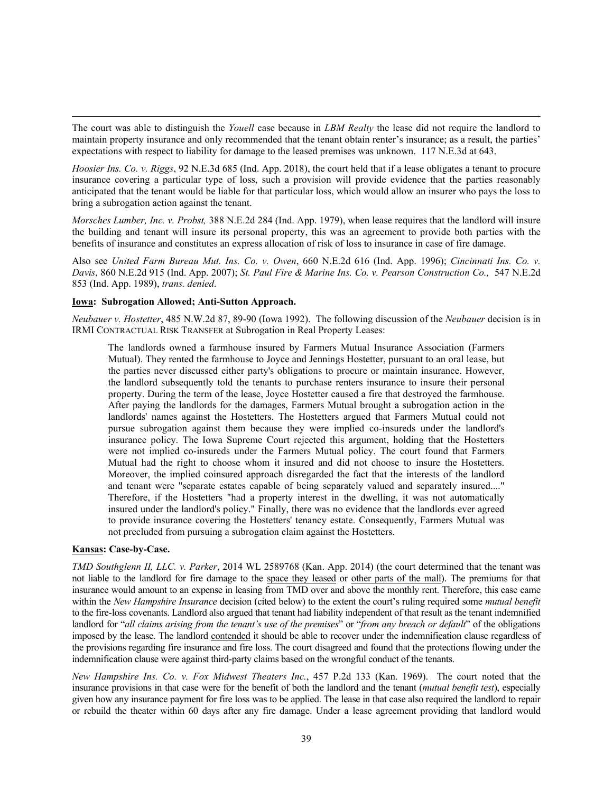The court was able to distinguish the *Youell* case because in *LBM Realty* the lease did not require the landlord to maintain property insurance and only recommended that the tenant obtain renter's insurance; as a result, the parties' expectations with respect to liability for damage to the leased premises was unknown. 117 N.E.3d at 643.

*Hoosier Ins. Co. v. Riggs*, 92 N.E.3d 685 (Ind. App. 2018), the court held that if a lease obligates a tenant to procure insurance covering a particular type of loss, such a provision will provide evidence that the parties reasonably anticipated that the tenant would be liable for that particular loss, which would allow an insurer who pays the loss to bring a subrogation action against the tenant.

*Morsches Lumber, Inc. v. Probst,* 388 N.E.2d 284 (Ind. App. 1979), when lease requires that the landlord will insure the building and tenant will insure its personal property, this was an agreement to provide both parties with the benefits of insurance and constitutes an express allocation of risk of loss to insurance in case of fire damage.

Also see *United Farm Bureau Mut. Ins. Co. v. Owen*, 660 N.E.2d 616 (Ind. App. 1996); *Cincinnati Ins. Co. v. Davis*, 860 N.E.2d 915 (Ind. App. 2007); *St. Paul Fire & Marine Ins. Co. v. Pearson Construction Co.,* 547 N.E.2d 853 (Ind. App. 1989), *trans. denied*.

### **Iowa: Subrogation Allowed; Anti-Sutton Approach.**

*Neubauer v. Hostetter*, 485 N.W.2d 87, 89-90 (Iowa 1992). The following discussion of the *Neubauer* decision is in IRMI CONTRACTUAL RISK TRANSFER at Subrogation in Real Property Leases:

The landlords owned a farmhouse insured by Farmers Mutual Insurance Association (Farmers Mutual). They rented the farmhouse to Joyce and Jennings Hostetter, pursuant to an oral lease, but the parties never discussed either party's obligations to procure or maintain insurance. However, the landlord subsequently told the tenants to purchase renters insurance to insure their personal property. During the term of the lease, Joyce Hostetter caused a fire that destroyed the farmhouse. After paying the landlords for the damages, Farmers Mutual brought a subrogation action in the landlords' names against the Hostetters. The Hostetters argued that Farmers Mutual could not pursue subrogation against them because they were implied co-insureds under the landlord's insurance policy. The Iowa Supreme Court rejected this argument, holding that the Hostetters were not implied co-insureds under the Farmers Mutual policy. The court found that Farmers Mutual had the right to choose whom it insured and did not choose to insure the Hostetters. Moreover, the implied coinsured approach disregarded the fact that the interests of the landlord and tenant were "separate estates capable of being separately valued and separately insured...." Therefore, if the Hostetters "had a property interest in the dwelling, it was not automatically insured under the landlord's policy." Finally, there was no evidence that the landlords ever agreed to provide insurance covering the Hostetters' tenancy estate. Consequently, Farmers Mutual was not precluded from pursuing a subrogation claim against the Hostetters.

# **Kansas: Case-by-Case.**

*TMD Southglenn II, LLC. v. Parker*, 2014 WL 2589768 (Kan. App. 2014) (the court determined that the tenant was not liable to the landlord for fire damage to the space they leased or other parts of the mall). The premiums for that insurance would amount to an expense in leasing from TMD over and above the monthly rent. Therefore, this case came within the *New Hampshire Insurance* decision (cited below) to the extent the court's ruling required some *mutual benefit* to the fire-loss covenants. Landlord also argued that tenant had liability independent of that result as the tenant indemnified landlord for "*all claims arising from the tenant's use of the premises*" or "*from any breach or default*" of the obligations imposed by the lease. The landlord contended it should be able to recover under the indemnification clause regardless of the provisions regarding fire insurance and fire loss. The court disagreed and found that the protections flowing under the indemnification clause were against third-party claims based on the wrongful conduct of the tenants.

*New Hampshire Ins. Co. v. Fox Midwest Theaters Inc.*, 457 P.2d 133 (Kan. 1969). The court noted that the insurance provisions in that case were for the benefit of both the landlord and the tenant (*mutual benefit test*), especially given how any insurance payment for fire loss was to be applied. The lease in that case also required the landlord to repair or rebuild the theater within 60 days after any fire damage. Under a lease agreement providing that landlord would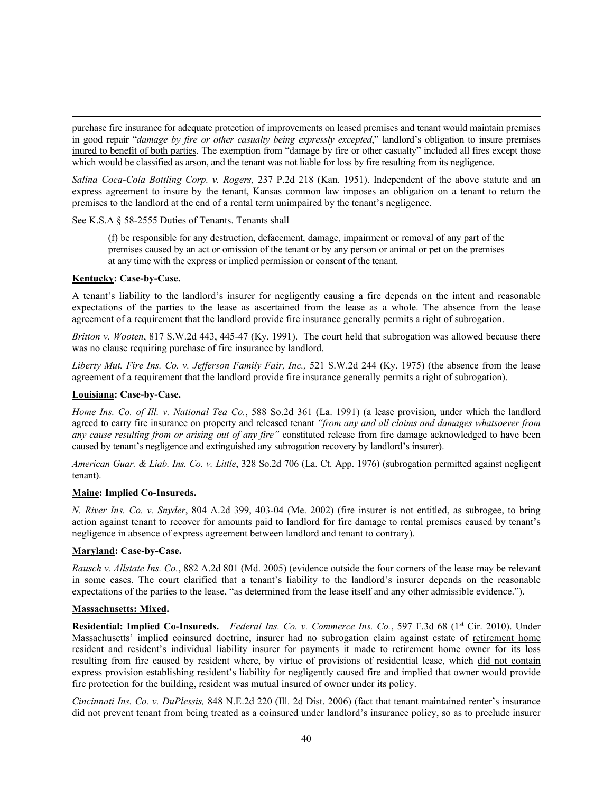purchase fire insurance for adequate protection of improvements on leased premises and tenant would maintain premises in good repair "*damage by fire or other casualty being expressly excepted*," landlord's obligation to insure premises inured to benefit of both parties. The exemption from "damage by fire or other casualty" included all fires except those which would be classified as arson, and the tenant was not liable for loss by fire resulting from its negligence.

*Salina Coca-Cola Bottling Corp. v. Rogers,* 237 P.2d 218 (Kan. 1951). Independent of the above statute and an express agreement to insure by the tenant, Kansas common law imposes an obligation on a tenant to return the premises to the landlord at the end of a rental term unimpaired by the tenant's negligence.

### See K.S.A § 58-2555 Duties of Tenants. Tenants shall

(f) be responsible for any destruction, defacement, damage, impairment or removal of any part of the premises caused by an act or omission of the tenant or by any person or animal or pet on the premises at any time with the express or implied permission or consent of the tenant.

### **Kentucky: Case-by-Case.**

A tenant's liability to the landlord's insurer for negligently causing a fire depends on the intent and reasonable expectations of the parties to the lease as ascertained from the lease as a whole. The absence from the lease agreement of a requirement that the landlord provide fire insurance generally permits a right of subrogation.

*Britton v. Wooten*, 817 S.W.2d 443, 445-47 (Ky. 1991). The court held that subrogation was allowed because there was no clause requiring purchase of fire insurance by landlord.

*Liberty Mut. Fire Ins. Co. v. Jefferson Family Fair, Inc.,* 521 S.W.2d 244 (Ky. 1975) (the absence from the lease agreement of a requirement that the landlord provide fire insurance generally permits a right of subrogation).

### **Louisiana: Case-by-Case.**

*Home Ins. Co. of Ill. v. National Tea Co.*, 588 So.2d 361 (La. 1991) (a lease provision, under which the landlord agreed to carry fire insurance on property and released tenant *"from any and all claims and damages whatsoever from any cause resulting from or arising out of any fire"* constituted release from fire damage acknowledged to have been caused by tenant's negligence and extinguished any subrogation recovery by landlord's insurer).

*American Guar. & Liab. Ins. Co. v. Little*, 328 So.2d 706 (La. Ct. App. 1976) (subrogation permitted against negligent tenant).

# **Maine: Implied Co-Insureds.**

*N. River Ins. Co. v. Snyder*, 804 A.2d 399, 403-04 (Me. 2002) (fire insurer is not entitled, as subrogee, to bring action against tenant to recover for amounts paid to landlord for fire damage to rental premises caused by tenant's negligence in absence of express agreement between landlord and tenant to contrary).

# **Maryland: Case-by-Case.**

*Rausch v. Allstate Ins. Co.*, 882 A.2d 801 (Md. 2005) (evidence outside the four corners of the lease may be relevant in some cases. The court clarified that a tenant's liability to the landlord's insurer depends on the reasonable expectations of the parties to the lease, "as determined from the lease itself and any other admissible evidence.").

### **Massachusetts: Mixed.**

Residential: Implied Co-Insureds. *Federal Ins. Co. v. Commerce Ins. Co.*, 597 F.3d 68 (1<sup>st</sup> Cir. 2010). Under Massachusetts' implied coinsured doctrine, insurer had no subrogation claim against estate of retirement home resident and resident's individual liability insurer for payments it made to retirement home owner for its loss resulting from fire caused by resident where, by virtue of provisions of residential lease, which did not contain express provision establishing resident's liability for negligently caused fire and implied that owner would provide fire protection for the building, resident was mutual insured of owner under its policy.

*Cincinnati Ins. Co. v. DuPlessis,* 848 N.E.2d 220 (Ill. 2d Dist. 2006) (fact that tenant maintained renter's insurance did not prevent tenant from being treated as a coinsured under landlord's insurance policy, so as to preclude insurer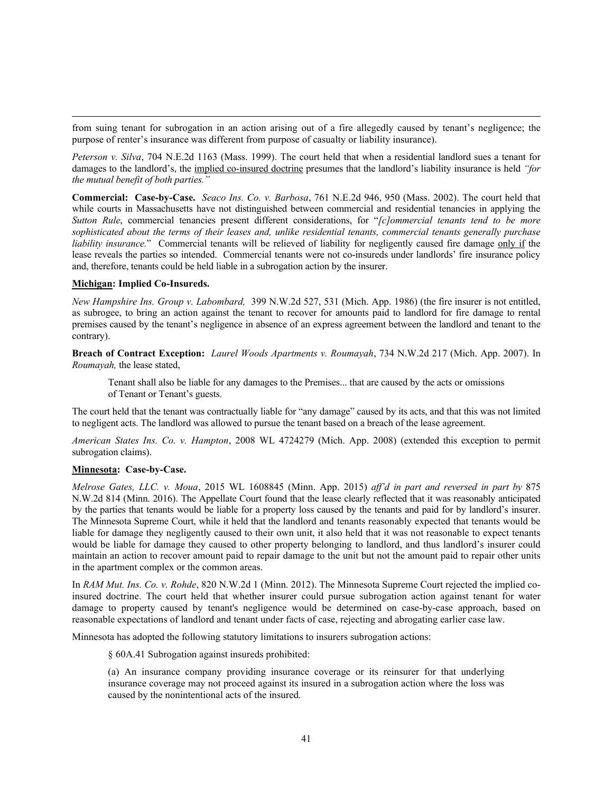from suing tenant for subrogation in an action arising out of a fire allegedly caused by tenant's negligence; the purpose of renter's insurance was different from purpose of casualty or liability insurance).

*Peterson v. Silva*, 704 N.E.2d 1163 (Mass. 1999). The court held that when a residential landlord sues a tenant for damages to the landlord's, the implied co-insured doctrine presumes that the landlord's liability insurance is held *"for the mutual benefit of both parties."*

**Commercial: Case-by-Case.** *Seaco Ins. Co. v. Barbosa*, 761 N.E.2d 946, 950 (Mass. 2002). The court held that while courts in Massachusetts have not distinguished between commercial and residential tenancies in applying the *Sutton Rule*, commercial tenancies present different considerations, for "*[c]ommercial tenants tend to be more sophisticated about the terms of their leases and, unlike residential tenants, commercial tenants generally purchase liability insurance.*" Commercial tenants will be relieved of liability for negligently caused fire damage only if the lease reveals the parties so intended. Commercial tenants were not co-insureds under landlords' fire insurance policy and, therefore, tenants could be held liable in a subrogation action by the insurer.

# **Michigan: Implied Co-Insureds.**

*New Hampshire Ins. Group v. Labombard,* 399 N.W.2d 527, 531 (Mich. App. 1986) (the fire insurer is not entitled, as subrogee, to bring an action against the tenant to recover for amounts paid to landlord for fire damage to rental premises caused by the tenant's negligence in absence of an express agreement between the landlord and tenant to the contrary).

**Breach of Contract Exception:** *Laurel Woods Apartments v. Roumayah*, 734 N.W.2d 217 (Mich. App. 2007). In *Roumayah,* the lease stated,

Tenant shall also be liable for any damages to the Premises... that are caused by the acts or omissions of Tenant or Tenant's guests.

The court held that the tenant was contractually liable for "any damage" caused by its acts, and that this was not limited to negligent acts. The landlord was allowed to pursue the tenant based on a breach of the lease agreement.

*American States Ins. Co. v. Hampton*, 2008 WL 4724279 (Mich. App. 2008) (extended this exception to permit subrogation claims).

### **Minnesota: Case-by-Case.**

*Melrose Gates, LLC. v. Moua*, 2015 WL 1608845 (Minn. App. 2015) *aff'd in part and reversed in part by* 875 N.W.2d 814 (Minn. 2016). The Appellate Court found that the lease clearly reflected that it was reasonably anticipated by the parties that tenants would be liable for a property loss caused by the tenants and paid for by landlord's insurer. The Minnesota Supreme Court, while it held that the landlord and tenants reasonably expected that tenants would be liable for damage they negligently caused to their own unit, it also held that it was not reasonable to expect tenants would be liable for damage they caused to other property belonging to landlord, and thus landlord's insurer could maintain an action to recover amount paid to repair damage to the unit but not the amount paid to repair other units in the apartment complex or the common areas.

In *RAM Mut. Ins. Co. v. Rohde*, 820 N.W.2d 1 (Minn. 2012). The Minnesota Supreme Court rejected the implied coinsured doctrine. The court held that whether insurer could pursue subrogation action against tenant for water damage to property caused by tenant's negligence would be determined on case-by-case approach, based on reasonable expectations of landlord and tenant under facts of case, rejecting and abrogating earlier case law.

Minnesota has adopted the following statutory limitations to insurers subrogation actions:

§ 60A.41 Subrogation against insureds prohibited:

(a) An insurance company providing insurance coverage or its reinsurer for that underlying insurance coverage may not proceed against its insured in a subrogation action where the loss was caused by the nonintentional acts of the insured.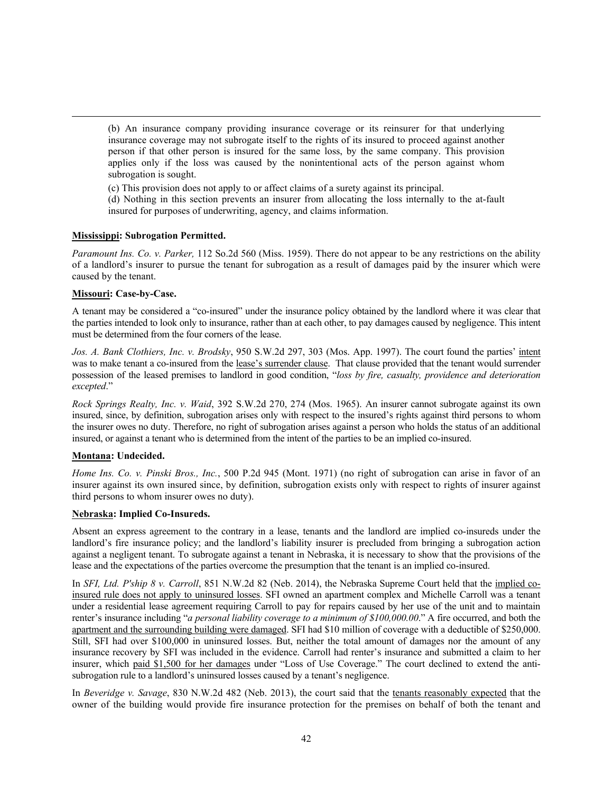(b) An insurance company providing insurance coverage or its reinsurer for that underlying insurance coverage may not subrogate itself to the rights of its insured to proceed against another person if that other person is insured for the same loss, by the same company. This provision applies only if the loss was caused by the nonintentional acts of the person against whom subrogation is sought.

(c) This provision does not apply to or affect claims of a surety against its principal.

(d) Nothing in this section prevents an insurer from allocating the loss internally to the at-fault insured for purposes of underwriting, agency, and claims information.

### **Mississippi: Subrogation Permitted.**

*Paramount Ins. Co. v. Parker,* 112 So.2d 560 (Miss. 1959). There do not appear to be any restrictions on the ability of a landlord's insurer to pursue the tenant for subrogation as a result of damages paid by the insurer which were caused by the tenant.

### **Missouri: Case-by-Case.**

A tenant may be considered a "co-insured" under the insurance policy obtained by the landlord where it was clear that the parties intended to look only to insurance, rather than at each other, to pay damages caused by negligence. This intent must be determined from the four corners of the lease.

*Jos. A. Bank Clothiers, Inc. v. Brodsky*, 950 S.W.2d 297, 303 (Mos. App. 1997). The court found the parties' intent was to make tenant a co-insured from the lease's surrender clause. That clause provided that the tenant would surrender possession of the leased premises to landlord in good condition, "*loss by fire, casualty, providence and deterioration excepted*."

*Rock Springs Realty, Inc. v. Waid*, 392 S.W.2d 270, 274 (Mos. 1965). An insurer cannot subrogate against its own insured, since, by definition, subrogation arises only with respect to the insured's rights against third persons to whom the insurer owes no duty. Therefore, no right of subrogation arises against a person who holds the status of an additional insured, or against a tenant who is determined from the intent of the parties to be an implied co-insured.

# **Montana: Undecided.**

*Home Ins. Co. v. Pinski Bros., Inc.*, 500 P.2d 945 (Mont. 1971) (no right of subrogation can arise in favor of an insurer against its own insured since, by definition, subrogation exists only with respect to rights of insurer against third persons to whom insurer owes no duty).

### **Nebraska: Implied Co-Insureds.**

Absent an express agreement to the contrary in a lease, tenants and the landlord are implied co-insureds under the landlord's fire insurance policy; and the landlord's liability insurer is precluded from bringing a subrogation action against a negligent tenant. To subrogate against a tenant in Nebraska, it is necessary to show that the provisions of the lease and the expectations of the parties overcome the presumption that the tenant is an implied co-insured.

In *SFI, Ltd. P'ship 8 v. Carroll*, 851 N.W.2d 82 (Neb. 2014), the Nebraska Supreme Court held that the implied coinsured rule does not apply to uninsured losses. SFI owned an apartment complex and Michelle Carroll was a tenant under a residential lease agreement requiring Carroll to pay for repairs caused by her use of the unit and to maintain renter's insurance including "*a personal liability coverage to a minimum of \$100,000.00*." A fire occurred, and both the apartment and the surrounding building were damaged. SFI had \$10 million of coverage with a deductible of \$250,000. Still, SFI had over \$100,000 in uninsured losses. But, neither the total amount of damages nor the amount of any insurance recovery by SFI was included in the evidence. Carroll had renter's insurance and submitted a claim to her insurer, which paid \$1,500 for her damages under "Loss of Use Coverage." The court declined to extend the antisubrogation rule to a landlord's uninsured losses caused by a tenant's negligence.

In *Beveridge v. Savage*, 830 N.W.2d 482 (Neb. 2013), the court said that the tenants reasonably expected that the owner of the building would provide fire insurance protection for the premises on behalf of both the tenant and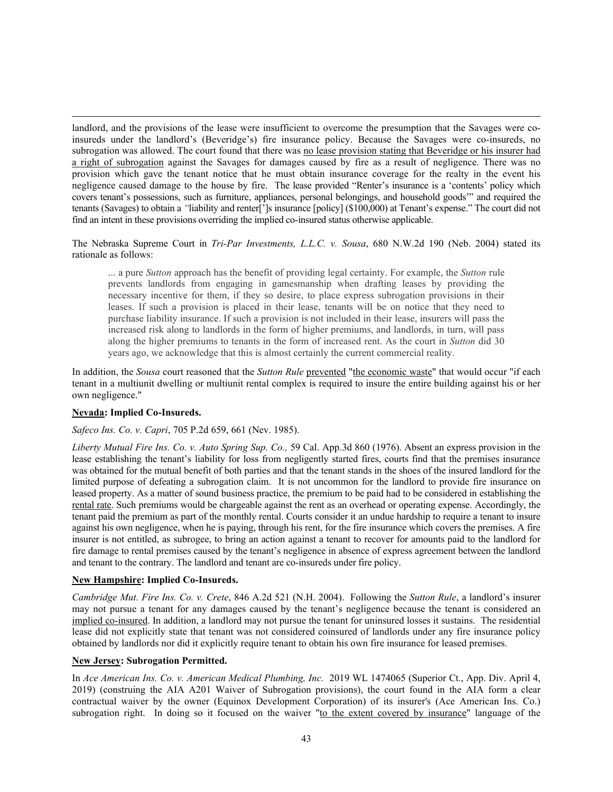landlord, and the provisions of the lease were insufficient to overcome the presumption that the Savages were coinsureds under the landlord's (Beveridge's) fire insurance policy. Because the Savages were co-insureds, no subrogation was allowed. The court found that there was no lease provision stating that Beveridge or his insurer had a right of subrogation against the Savages for damages caused by fire as a result of negligence. There was no provision which gave the tenant notice that he must obtain insurance coverage for the realty in the event his negligence caused damage to the house by fire. The lease provided "Renter's insurance is a 'contents' policy which covers tenant's possessions, such as furniture, appliances, personal belongings, and household goods'" and required the tenants (Savages) to obtain a *"*liability and renter[']s insurance [policy] (\$100,000) at Tenant's expense." The court did not find an intent in these provisions overriding the implied co-insured status otherwise applicable.

The Nebraska Supreme Court in *Tri-Par Investments, L.L.C. v. Sousa*, 680 N.W.2d 190 (Neb. 2004) stated its rationale as follows:

... a pure *Sutton* approach has the benefit of providing legal certainty. For example, the *Sutton* rule prevents landlords from engaging in gamesmanship when drafting leases by providing the necessary incentive for them, if they so desire, to place express subrogation provisions in their leases. If such a provision is placed in their lease, tenants will be on notice that they need to purchase liability insurance. If such a provision is not included in their lease, insurers will pass the increased risk along to landlords in the form of higher premiums, and landlords, in turn, will pass along the higher premiums to tenants in the form of increased rent. As the court in *Sutton* did 30 years ago, we acknowledge that this is almost certainly the current commercial reality.

In addition, the *Sousa* court reasoned that the *Sutton Rule* prevented "the economic waste" that would occur "if each tenant in a multiunit dwelling or multiunit rental complex is required to insure the entire building against his or her own negligence."

# **Nevada: Implied Co-Insureds.**

### *Safeco Ins. Co. v. Capri*, 705 P.2d 659, 661 (Nev. 1985).

*Liberty Mutual Fire Ins. Co. v. Auto Spring Sup. Co.,* 59 Cal. App.3d 860 (1976). Absent an express provision in the lease establishing the tenant's liability for loss from negligently started fires, courts find that the premises insurance was obtained for the mutual benefit of both parties and that the tenant stands in the shoes of the insured landlord for the limited purpose of defeating a subrogation claim. It is not uncommon for the landlord to provide fire insurance on leased property. As a matter of sound business practice, the premium to be paid had to be considered in establishing the rental rate. Such premiums would be chargeable against the rent as an overhead or operating expense. Accordingly, the tenant paid the premium as part of the monthly rental. Courts consider it an undue hardship to require a tenant to insure against his own negligence, when he is paying, through his rent, for the fire insurance which covers the premises. A fire insurer is not entitled, as subrogee, to bring an action against a tenant to recover for amounts paid to the landlord for fire damage to rental premises caused by the tenant's negligence in absence of express agreement between the landlord and tenant to the contrary. The landlord and tenant are co-insureds under fire policy.

### **New Hampshire: Implied Co-Insureds.**

*Cambridge Mut. Fire Ins. Co. v. Crete*, 846 A.2d 521 (N.H. 2004). Following the *Sutton Rule*, a landlord's insurer may not pursue a tenant for any damages caused by the tenant's negligence because the tenant is considered an implied co-insured. In addition, a landlord may not pursue the tenant for uninsured losses it sustains. The residential lease did not explicitly state that tenant was not considered coinsured of landlords under any fire insurance policy obtained by landlords nor did it explicitly require tenant to obtain his own fire insurance for leased premises.

### **New Jersey: Subrogation Permitted.**

In *Ace American Ins. Co. v. American Medical Plumbing, Inc.* 2019 WL 1474065 (Superior Ct., App. Div. April 4, 2019) (construing the AIA A201 Waiver of Subrogation provisions), the court found in the AIA form a clear contractual waiver by the owner (Equinox Development Corporation) of its insurer's (Ace American Ins. Co.) subrogation right. In doing so it focused on the waiver "to the extent covered by insurance" language of the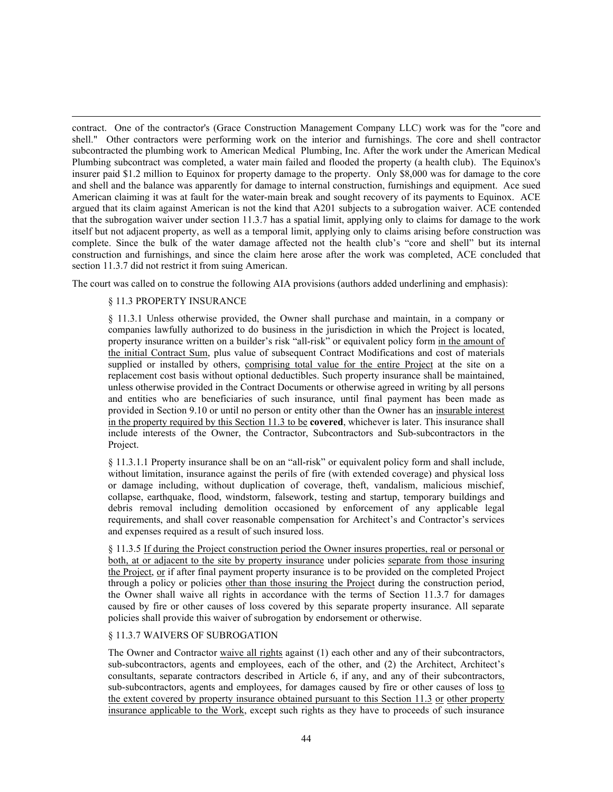contract. One of the contractor's (Grace Construction Management Company LLC) work was for the "core and shell." Other contractors were performing work on the interior and furnishings. The core and shell contractor subcontracted the plumbing work to American Medical Plumbing, Inc. After the work under the American Medical Plumbing subcontract was completed, a water main failed and flooded the property (a health club). The Equinox's insurer paid \$1.2 million to Equinox for property damage to the property. Only \$8,000 was for damage to the core and shell and the balance was apparently for damage to internal construction, furnishings and equipment. Ace sued American claiming it was at fault for the water-main break and sought recovery of its payments to Equinox. ACE argued that its claim against American is not the kind that A201 subjects to a subrogation waiver. ACE contended that the subrogation waiver under section 11.3.7 has a spatial limit, applying only to claims for damage to the work itself but not adjacent property, as well as a temporal limit, applying only to claims arising before construction was complete. Since the bulk of the water damage affected not the health club's "core and shell" but its internal construction and furnishings, and since the claim here arose after the work was completed, ACE concluded that section 11.3.7 did not restrict it from suing American.

The court was called on to construe the following AIA provisions (authors added underlining and emphasis):

# § 11.3 PROPERTY INSURANCE

§ 11.3.1 Unless otherwise provided, the Owner shall purchase and maintain, in a company or companies lawfully authorized to do business in the jurisdiction in which the Project is located, property insurance written on a builder's risk "all-risk" or equivalent policy form in the amount of the initial Contract Sum, plus value of subsequent Contract Modifications and cost of materials supplied or installed by others, comprising total value for the entire Project at the site on a replacement cost basis without optional deductibles. Such property insurance shall be maintained, unless otherwise provided in the Contract Documents or otherwise agreed in writing by all persons and entities who are beneficiaries of such insurance, until final payment has been made as provided in Section 9.10 or until no person or entity other than the Owner has an insurable interest in the property required by this Section 11.3 to be **covered**, whichever is later. This insurance shall include interests of the Owner, the Contractor, Subcontractors and Sub-subcontractors in the Project.

§ 11.3.1.1 Property insurance shall be on an "all-risk" or equivalent policy form and shall include, without limitation, insurance against the perils of fire (with extended coverage) and physical loss or damage including, without duplication of coverage, theft, vandalism, malicious mischief, collapse, earthquake, flood, windstorm, falsework, testing and startup, temporary buildings and debris removal including demolition occasioned by enforcement of any applicable legal requirements, and shall cover reasonable compensation for Architect's and Contractor's services and expenses required as a result of such insured loss.

§ 11.3.5 If during the Project construction period the Owner insures properties, real or personal or both, at or adjacent to the site by property insurance under policies separate from those insuring the Project, or if after final payment property insurance is to be provided on the completed Project through a policy or policies other than those insuring the Project during the construction period, the Owner shall waive all rights in accordance with the terms of Section 11.3.7 for damages caused by fire or other causes of loss covered by this separate property insurance. All separate policies shall provide this waiver of subrogation by endorsement or otherwise.

# § 11.3.7 WAIVERS OF SUBROGATION

The Owner and Contractor waive all rights against (1) each other and any of their subcontractors, sub-subcontractors, agents and employees, each of the other, and (2) the Architect, Architect's consultants, separate contractors described in Article 6, if any, and any of their subcontractors, sub-subcontractors, agents and employees, for damages caused by fire or other causes of loss to the extent covered by property insurance obtained pursuant to this Section 11.3 or other property insurance applicable to the Work, except such rights as they have to proceeds of such insurance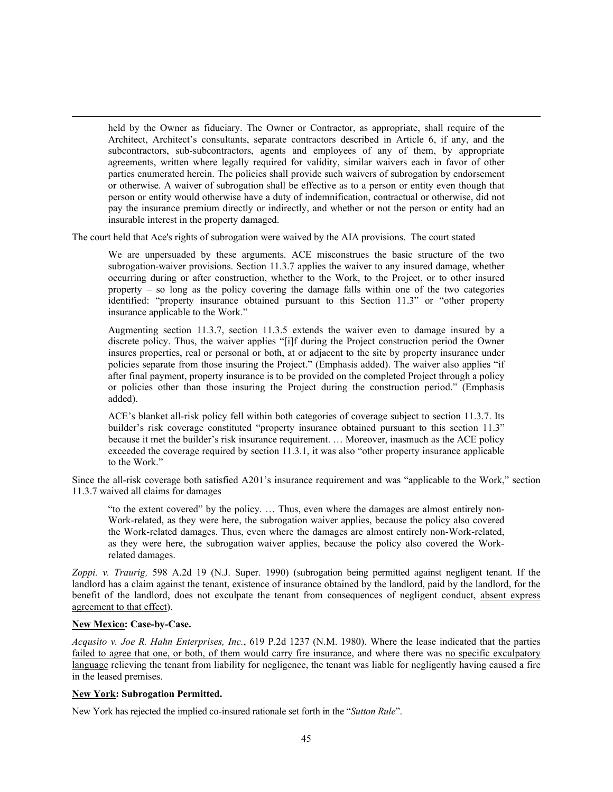held by the Owner as fiduciary. The Owner or Contractor, as appropriate, shall require of the Architect, Architect's consultants, separate contractors described in Article 6, if any, and the subcontractors, sub-subcontractors, agents and employees of any of them, by appropriate agreements, written where legally required for validity, similar waivers each in favor of other parties enumerated herein. The policies shall provide such waivers of subrogation by endorsement or otherwise. A waiver of subrogation shall be effective as to a person or entity even though that person or entity would otherwise have a duty of indemnification, contractual or otherwise, did not pay the insurance premium directly or indirectly, and whether or not the person or entity had an insurable interest in the property damaged.

The court held that Ace's rights of subrogation were waived by the AIA provisions. The court stated

We are unpersuaded by these arguments. ACE misconstrues the basic structure of the two subrogation-waiver provisions. Section 11.3.7 applies the waiver to any insured damage, whether occurring during or after construction, whether to the Work, to the Project, or to other insured property – so long as the policy covering the damage falls within one of the two categories identified: "property insurance obtained pursuant to this Section 11.3" or "other property insurance applicable to the Work."

Augmenting section 11.3.7, section 11.3.5 extends the waiver even to damage insured by a discrete policy. Thus, the waiver applies "[i]f during the Project construction period the Owner insures properties, real or personal or both, at or adjacent to the site by property insurance under policies separate from those insuring the Project." (Emphasis added). The waiver also applies "if after final payment, property insurance is to be provided on the completed Project through a policy or policies other than those insuring the Project during the construction period." (Emphasis added).

ACE's blanket all-risk policy fell within both categories of coverage subject to section 11.3.7. Its builder's risk coverage constituted "property insurance obtained pursuant to this section 11.3" because it met the builder's risk insurance requirement. … Moreover, inasmuch as the ACE policy exceeded the coverage required by section 11.3.1, it was also "other property insurance applicable to the Work."

Since the all-risk coverage both satisfied A201's insurance requirement and was "applicable to the Work," section 11.3.7 waived all claims for damages

"to the extent covered" by the policy. … Thus, even where the damages are almost entirely non-Work-related, as they were here, the subrogation waiver applies, because the policy also covered the Work-related damages. Thus, even where the damages are almost entirely non-Work-related, as they were here, the subrogation waiver applies, because the policy also covered the Workrelated damages.

*Zoppi. v. Traurig,* 598 A.2d 19 (N.J. Super. 1990) (subrogation being permitted against negligent tenant. If the landlord has a claim against the tenant, existence of insurance obtained by the landlord, paid by the landlord, for the benefit of the landlord, does not exculpate the tenant from consequences of negligent conduct, absent express agreement to that effect).

### **New Mexico: Case-by-Case.**

*Acqusito v. Joe R. Hahn Enterprises, Inc.*, 619 P.2d 1237 (N.M. 1980). Where the lease indicated that the parties failed to agree that one, or both, of them would carry fire insurance, and where there was no specific exculpatory language relieving the tenant from liability for negligence, the tenant was liable for negligently having caused a fire in the leased premises.

### **New York: Subrogation Permitted.**

New York has rejected the implied co-insured rationale set forth in the "*Sutton Rule*".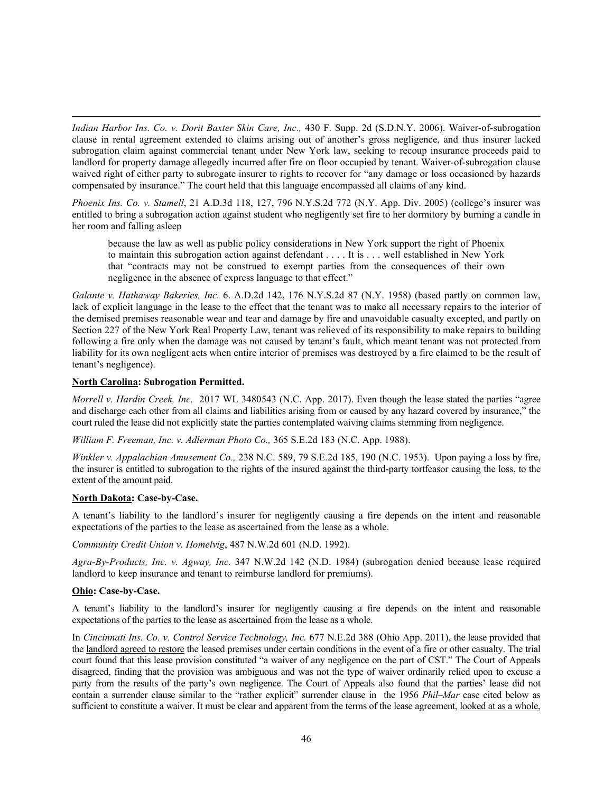*Indian Harbor Ins. Co. v. Dorit Baxter Skin Care, Inc.,* 430 F. Supp. 2d (S.D.N.Y. 2006). Waiver-of-subrogation clause in rental agreement extended to claims arising out of another's gross negligence, and thus insurer lacked subrogation claim against commercial tenant under New York law, seeking to recoup insurance proceeds paid to landlord for property damage allegedly incurred after fire on floor occupied by tenant. Waiver-of-subrogation clause waived right of either party to subrogate insurer to rights to recover for "any damage or loss occasioned by hazards compensated by insurance." The court held that this language encompassed all claims of any kind.

*Phoenix Ins. Co. v. Stamell*, 21 A.D.3d 118, 127, 796 N.Y.S.2d 772 (N.Y. App. Div. 2005) (college's insurer was entitled to bring a subrogation action against student who negligently set fire to her dormitory by burning a candle in her room and falling asleep

because the law as well as public policy considerations in New York support the right of Phoenix to maintain this subrogation action against defendant . . . . It is . . . well established in New York that "contracts may not be construed to exempt parties from the consequences of their own negligence in the absence of express language to that effect."

*Galante v. Hathaway Bakeries, Inc.* 6. A.D.2d 142, 176 N.Y.S.2d 87 (N.Y. 1958) (based partly on common law, lack of explicit language in the lease to the effect that the tenant was to make all necessary repairs to the interior of the demised premises reasonable wear and tear and damage by fire and unavoidable casualty excepted, and partly on Section 227 of the New York Real Property Law, tenant was relieved of its responsibility to make repairs to building following a fire only when the damage was not caused by tenant's fault, which meant tenant was not protected from liability for its own negligent acts when entire interior of premises was destroyed by a fire claimed to be the result of tenant's negligence).

### **North Carolina: Subrogation Permitted.**

*Morrell v. Hardin Creek, Inc.* 2017 WL 3480543 (N.C. App. 2017). Even though the lease stated the parties "agree and discharge each other from all claims and liabilities arising from or caused by any hazard covered by insurance," the court ruled the lease did not explicitly state the parties contemplated waiving claims stemming from negligence.

*William F. Freeman, Inc. v. Adlerman Photo Co.,* 365 S.E.2d 183 (N.C. App. 1988).

*Winkler v. Appalachian Amusement Co.,* 238 N.C. 589, 79 S.E.2d 185, 190 (N.C. 1953). Upon paying a loss by fire, the insurer is entitled to subrogation to the rights of the insured against the third-party tortfeasor causing the loss, to the extent of the amount paid.

### **North Dakota: Case-by-Case.**

A tenant's liability to the landlord's insurer for negligently causing a fire depends on the intent and reasonable expectations of the parties to the lease as ascertained from the lease as a whole.

*Community Credit Union v. Homelvig*, 487 N.W.2d 601 (N.D. 1992).

*Agra-By-Products, Inc. v. Agway, Inc.* 347 N.W.2d 142 (N.D. 1984) (subrogation denied because lease required landlord to keep insurance and tenant to reimburse landlord for premiums).

# **Ohio: Case-by-Case.**

A tenant's liability to the landlord's insurer for negligently causing a fire depends on the intent and reasonable expectations of the parties to the lease as ascertained from the lease as a whole.

In *Cincinnati Ins. Co. v. Control Service Technology, Inc.* 677 N.E.2d 388 (Ohio App. 2011), the lease provided that the landlord agreed to restore the leased premises under certain conditions in the event of a fire or other casualty. The trial court found that this lease provision constituted "a waiver of any negligence on the part of CST." The Court of Appeals disagreed, finding that the provision was ambiguous and was not the type of waiver ordinarily relied upon to excuse a party from the results of the party's own negligence. The Court of Appeals also found that the parties' lease did not contain a surrender clause similar to the "rather explicit" surrender clause in the 1956 *Phil–Mar* case cited below as sufficient to constitute a waiver. It must be clear and apparent from the terms of the lease agreement, looked at as a whole,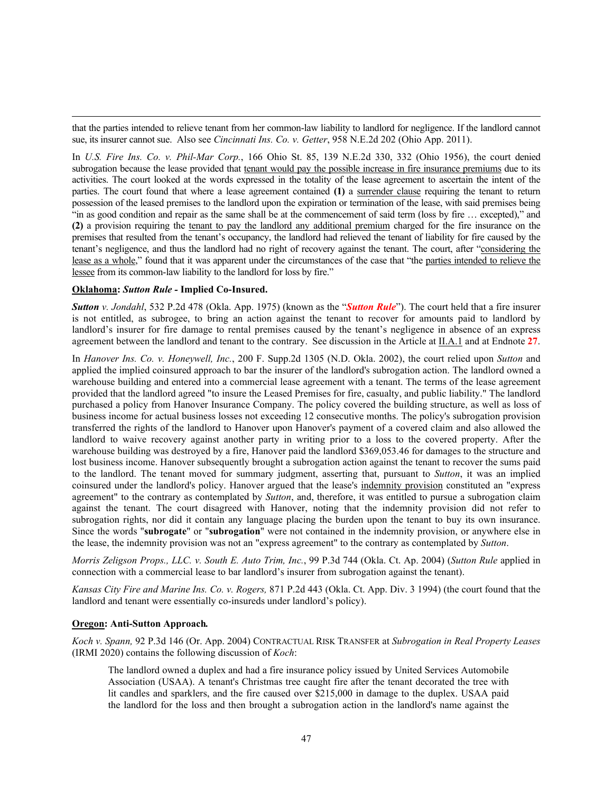that the parties intended to relieve tenant from her common-law liability to landlord for negligence. If the landlord cannot sue, its insurer cannot sue. Also see *Cincinnati Ins. Co. v. Getter*, 958 N.E.2d 202 (Ohio App. 2011).

In *U.S. Fire Ins. Co. v. Phil-Mar Corp.*, 166 Ohio St. 85, 139 N.E.2d 330, 332 (Ohio 1956), the court denied subrogation because the lease provided that tenant would pay the possible increase in fire insurance premiums due to its activities. The court looked at the words expressed in the totality of the lease agreement to ascertain the intent of the parties. The court found that where a lease agreement contained **(1)** a surrender clause requiring the tenant to return possession of the leased premises to the landlord upon the expiration or termination of the lease, with said premises being "in as good condition and repair as the same shall be at the commencement of said term (loss by fire … excepted)," and **(2)** a provision requiring the tenant to pay the landlord any additional premium charged for the fire insurance on the premises that resulted from the tenant's occupancy, the landlord had relieved the tenant of liability for fire caused by the tenant's negligence, and thus the landlord had no right of recovery against the tenant. The court, after "considering the lease as a whole," found that it was apparent under the circumstances of the case that "the parties intended to relieve the lessee from its common-law liability to the landlord for loss by fire."

### **Oklahoma:** *Sutton Rule -* **Implied Co-Insured.**

*Sutton v. Jondahl*, 532 P.2d 478 (Okla. App. 1975) (known as the "*Sutton Rule*"). The court held that a fire insurer is not entitled, as subrogee, to bring an action against the tenant to recover for amounts paid to landlord by landlord's insurer for fire damage to rental premises caused by the tenant's negligence in absence of an express agreement between the landlord and tenant to the contrary. See discussion in the Article at II.A.1 and at Endnote **27**.

In *Hanover Ins. Co. v. Honeywell, Inc.*, 200 F. Supp.2d 1305 (N.D. Okla. 2002), the court relied upon *Sutton* and applied the implied coinsured approach to bar the insurer of the landlord's subrogation action. The landlord owned a warehouse building and entered into a commercial lease agreement with a tenant. The terms of the lease agreement provided that the landlord agreed "to insure the Leased Premises for fire, casualty, and public liability." The landlord purchased a policy from Hanover Insurance Company. The policy covered the building structure, as well as loss of business income for actual business losses not exceeding 12 consecutive months. The policy's subrogation provision transferred the rights of the landlord to Hanover upon Hanover's payment of a covered claim and also allowed the landlord to waive recovery against another party in writing prior to a loss to the covered property. After the warehouse building was destroyed by a fire, Hanover paid the landlord \$369,053.46 for damages to the structure and lost business income. Hanover subsequently brought a subrogation action against the tenant to recover the sums paid to the landlord. The tenant moved for summary judgment, asserting that, pursuant to *Sutton*, it was an implied coinsured under the landlord's policy. Hanover argued that the lease's indemnity provision constituted an "express agreement" to the contrary as contemplated by *Sutton*, and, therefore, it was entitled to pursue a subrogation claim against the tenant. The court disagreed with Hanover, noting that the indemnity provision did not refer to subrogation rights, nor did it contain any language placing the burden upon the tenant to buy its own insurance. Since the words "**subrogate**" or "**subrogation**" were not contained in the indemnity provision, or anywhere else in the lease, the indemnity provision was not an "express agreement" to the contrary as contemplated by *Sutton*.

*Morris Zeligson Props., LLC. v. South E. Auto Trim, Inc.*, 99 P.3d 744 (Okla. Ct. Ap. 2004) (*Sutton Rule* applied in connection with a commercial lease to bar landlord's insurer from subrogation against the tenant).

*Kansas City Fire and Marine Ins. Co. v. Rogers,* 871 P.2d 443 (Okla. Ct. App. Div. 3 1994) (the court found that the landlord and tenant were essentially co-insureds under landlord's policy).

#### **Oregon: Anti-Sutton Approach***.*

*Koch v. Spann,* 92 P.3d 146 (Or. App. 2004) CONTRACTUAL RISK TRANSFER at *Subrogation in Real Property Leases*  (IRMI 2020) contains the following discussion of *Koch*:

The landlord owned a duplex and had a fire insurance policy issued by United Services Automobile Association (USAA). A tenant's Christmas tree caught fire after the tenant decorated the tree with lit candles and sparklers, and the fire caused over \$215,000 in damage to the duplex. USAA paid the landlord for the loss and then brought a subrogation action in the landlord's name against the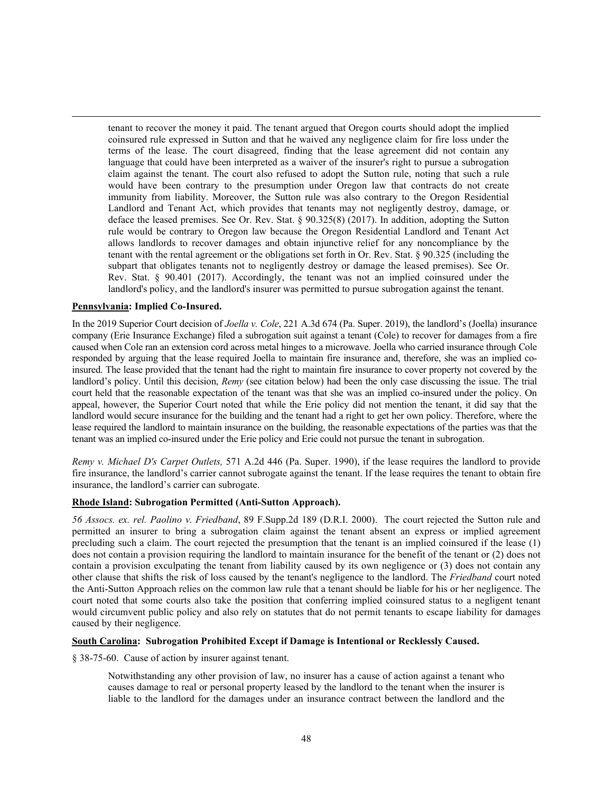tenant to recover the money it paid. The tenant argued that Oregon courts should adopt the implied coinsured rule expressed in Sutton and that he waived any negligence claim for fire loss under the terms of the lease. The court disagreed, finding that the lease agreement did not contain any language that could have been interpreted as a waiver of the insurer's right to pursue a subrogation claim against the tenant. The court also refused to adopt the Sutton rule, noting that such a rule would have been contrary to the presumption under Oregon law that contracts do not create immunity from liability. Moreover, the Sutton rule was also contrary to the Oregon Residential Landlord and Tenant Act, which provides that tenants may not negligently destroy, damage, or deface the leased premises. See Or. Rev. Stat. § 90.325(8) (2017). In addition, adopting the Sutton rule would be contrary to Oregon law because the Oregon Residential Landlord and Tenant Act allows landlords to recover damages and obtain injunctive relief for any noncompliance by the tenant with the rental agreement or the obligations set forth in Or. Rev. Stat. § 90.325 (including the subpart that obligates tenants not to negligently destroy or damage the leased premises). See Or. Rev. Stat. § 90.401 (2017). Accordingly, the tenant was not an implied coinsured under the landlord's policy, and the landlord's insurer was permitted to pursue subrogation against the tenant.

#### **Pennsylvania: Implied Co-Insured.**

In the 2019 Superior Court decision of *Joella v. Cole*, 221 A.3d 674 (Pa. Super. 2019), the landlord's (Joella) insurance company (Erie Insurance Exchange) filed a subrogation suit against a tenant (Cole) to recover for damages from a fire caused when Cole ran an extension cord across metal hinges to a microwave. Joella who carried insurance through Cole responded by arguing that the lease required Joella to maintain fire insurance and, therefore, she was an implied coinsured. The lease provided that the tenant had the right to maintain fire insurance to cover property not covered by the landlord's policy. Until this decision, *Remy* (see citation below) had been the only case discussing the issue. The trial court held that the reasonable expectation of the tenant was that she was an implied co-insured under the policy. On appeal, however, the Superior Court noted that while the Erie policy did not mention the tenant, it did say that the landlord would secure insurance for the building and the tenant had a right to get her own policy. Therefore, where the lease required the landlord to maintain insurance on the building, the reasonable expectations of the parties was that the tenant was an implied co-insured under the Erie policy and Erie could not pursue the tenant in subrogation.

*Remy v. Michael D's Carpet Outlets,* 571 A.2d 446 (Pa. Super. 1990), if the lease requires the landlord to provide fire insurance, the landlord's carrier cannot subrogate against the tenant. If the lease requires the tenant to obtain fire insurance, the landlord's carrier can subrogate.

#### **Rhode Island: Subrogation Permitted (Anti-Sutton Approach).**

*56 Assocs. ex. rel. Paolino v. Friedband*, 89 F.Supp.2d 189 (D.R.I. 2000). The court rejected the Sutton rule and permitted an insurer to bring a subrogation claim against the tenant absent an express or implied agreement precluding such a claim. The court rejected the presumption that the tenant is an implied coinsured if the lease (1) does not contain a provision requiring the landlord to maintain insurance for the benefit of the tenant or (2) does not contain a provision exculpating the tenant from liability caused by its own negligence or (3) does not contain any other clause that shifts the risk of loss caused by the tenant's negligence to the landlord. The *Friedband* court noted the Anti-Sutton Approach relies on the common law rule that a tenant should be liable for his or her negligence. The court noted that some courts also take the position that conferring implied coinsured status to a negligent tenant would circumvent public policy and also rely on statutes that do not permit tenants to escape liability for damages caused by their negligence.

### **South Carolina: Subrogation Prohibited Except if Damage is Intentional or Recklessly Caused.**

§ 38-75-60. Cause of action by insurer against tenant.

Notwithstanding any other provision of law, no insurer has a cause of action against a tenant who causes damage to real or personal property leased by the landlord to the tenant when the insurer is liable to the landlord for the damages under an insurance contract between the landlord and the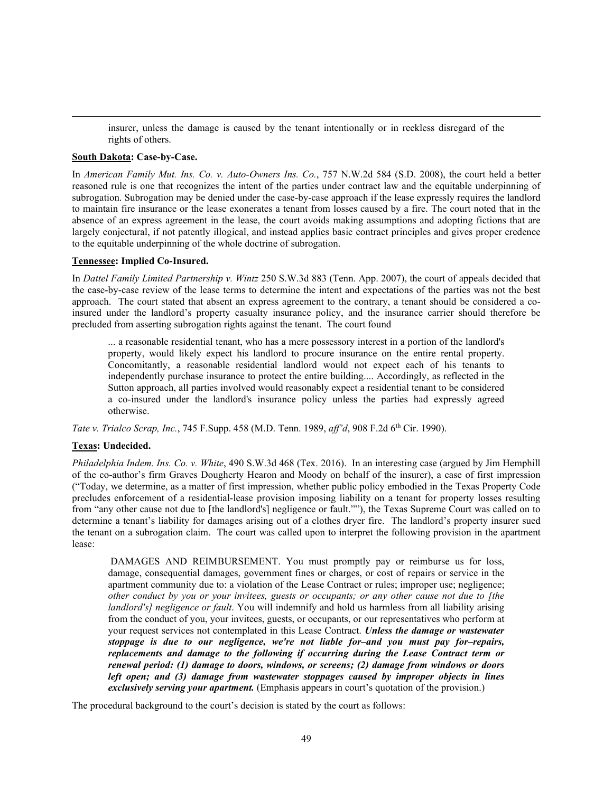insurer, unless the damage is caused by the tenant intentionally or in reckless disregard of the rights of others.

### **South Dakota: Case-by-Case.**

In *American Family Mut. Ins. Co. v. Auto-Owners Ins. Co.*, 757 N.W.2d 584 (S.D. 2008), the court held a better reasoned rule is one that recognizes the intent of the parties under contract law and the equitable underpinning of subrogation. Subrogation may be denied under the case-by-case approach if the lease expressly requires the landlord to maintain fire insurance or the lease exonerates a tenant from losses caused by a fire. The court noted that in the absence of an express agreement in the lease, the court avoids making assumptions and adopting fictions that are largely conjectural, if not patently illogical, and instead applies basic contract principles and gives proper credence to the equitable underpinning of the whole doctrine of subrogation.

### **Tennessee: Implied Co-Insured.**

In *Dattel Family Limited Partnership v. Wintz* 250 S.W.3d 883 (Tenn. App. 2007), the court of appeals decided that the case-by-case review of the lease terms to determine the intent and expectations of the parties was not the best approach. The court stated that absent an express agreement to the contrary, a tenant should be considered a coinsured under the landlord's property casualty insurance policy, and the insurance carrier should therefore be precluded from asserting subrogation rights against the tenant. The court found

... a reasonable residential tenant, who has a mere possessory interest in a portion of the landlord's property, would likely expect his landlord to procure insurance on the entire rental property. Concomitantly, a reasonable residential landlord would not expect each of his tenants to independently purchase insurance to protect the entire building.... Accordingly, as reflected in the Sutton approach, all parties involved would reasonably expect a residential tenant to be considered a co-insured under the landlord's insurance policy unless the parties had expressly agreed otherwise.

*Tate v. Trialco Scrap, Inc.*, 745 F.Supp. 458 (M.D. Tenn. 1989, *aff'd*, 908 F.2d 6th Cir. 1990).

# **Texas: Undecided.**

*Philadelphia Indem. Ins. Co. v. White*, 490 S.W.3d 468 (Tex. 2016). In an interesting case (argued by Jim Hemphill of the co-author's firm Graves Dougherty Hearon and Moody on behalf of the insurer), a case of first impression ("Today, we determine, as a matter of first impression, whether public policy embodied in the Texas Property Code precludes enforcement of a residential-lease provision imposing liability on a tenant for property losses resulting from "any other cause not due to [the landlord's] negligence or fault.""), the Texas Supreme Court was called on to determine a tenant's liability for damages arising out of a clothes dryer fire. The landlord's property insurer sued the tenant on a subrogation claim. The court was called upon to interpret the following provision in the apartment lease:

DAMAGES AND REIMBURSEMENT. You must promptly pay or reimburse us for loss, damage, consequential damages, government fines or charges, or cost of repairs or service in the apartment community due to: a violation of the Lease Contract or rules; improper use; negligence; *other conduct by you or your invitees, guests or occupants; or any other cause not due to [the landlord's] negligence or fault*. You will indemnify and hold us harmless from all liability arising from the conduct of you, your invitees, guests, or occupants, or our representatives who perform at your request services not contemplated in this Lease Contract. *Unless the damage or wastewater stoppage is due to our negligence, we're not liable for–and you must pay for–repairs, replacements and damage to the following if occurring during the Lease Contract term or renewal period: (1) damage to doors, windows, or screens; (2) damage from windows or doors left open; and (3) damage from wastewater stoppages caused by improper objects in lines exclusively serving your apartment.* (Emphasis appears in court's quotation of the provision.)

The procedural background to the court's decision is stated by the court as follows: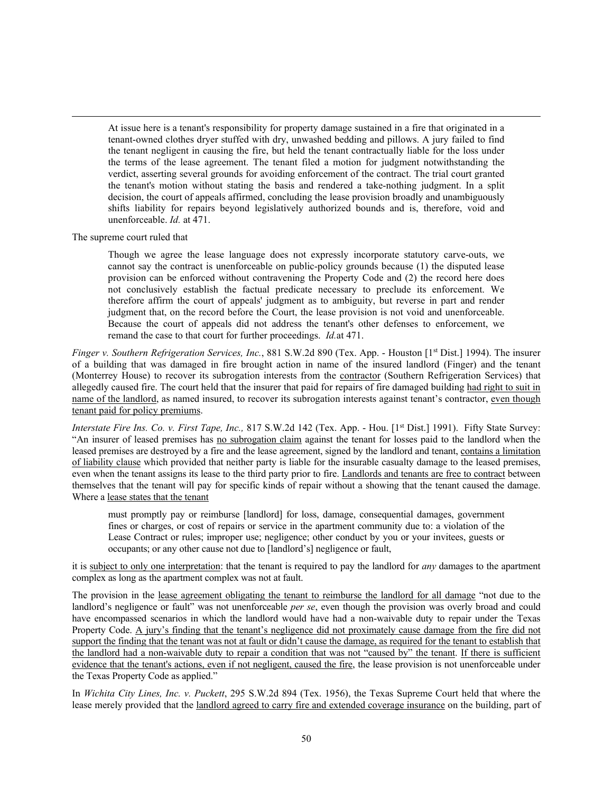At issue here is a tenant's responsibility for property damage sustained in a fire that originated in a tenant-owned clothes dryer stuffed with dry, unwashed bedding and pillows. A jury failed to find the tenant negligent in causing the fire, but held the tenant contractually liable for the loss under the terms of the lease agreement. The tenant filed a motion for judgment notwithstanding the verdict, asserting several grounds for avoiding enforcement of the contract. The trial court granted the tenant's motion without stating the basis and rendered a take-nothing judgment. In a split decision, the court of appeals affirmed, concluding the lease provision broadly and unambiguously shifts liability for repairs beyond legislatively authorized bounds and is, therefore, void and unenforceable. *Id.* at 471.

The supreme court ruled that

Though we agree the lease language does not expressly incorporate statutory carve-outs, we cannot say the contract is unenforceable on public-policy grounds because (1) the disputed lease provision can be enforced without contravening the Property Code and (2) the record here does not conclusively establish the factual predicate necessary to preclude its enforcement. We therefore affirm the court of appeals' judgment as to ambiguity, but reverse in part and render judgment that, on the record before the Court, the lease provision is not void and unenforceable. Because the court of appeals did not address the tenant's other defenses to enforcement, we remand the case to that court for further proceedings. *Id.*at 471.

*Finger v. Southern Refrigeration Services, Inc.*, 881 S.W.2d 890 (Tex. App. - Houston [1<sup>st</sup> Dist.] 1994). The insurer of a building that was damaged in fire brought action in name of the insured landlord (Finger) and the tenant (Monterrey House) to recover its subrogation interests from the contractor (Southern Refrigeration Services) that allegedly caused fire. The court held that the insurer that paid for repairs of fire damaged building had right to suit in name of the landlord, as named insured, to recover its subrogation interests against tenant's contractor, even though tenant paid for policy premiums.

*Interstate Fire Ins. Co. v. First Tape, Inc.,* 817 S.W.2d 142 (Tex. App. - Hou. [1<sup>st</sup> Dist.] 1991). Fifty State Survey: "An insurer of leased premises has no subrogation claim against the tenant for losses paid to the landlord when the leased premises are destroyed by a fire and the lease agreement, signed by the landlord and tenant, contains a limitation of liability clause which provided that neither party is liable for the insurable casualty damage to the leased premises, even when the tenant assigns its lease to the third party prior to fire. Landlords and tenants are free to contract between themselves that the tenant will pay for specific kinds of repair without a showing that the tenant caused the damage. Where a lease states that the tenant

must promptly pay or reimburse [landlord] for loss, damage, consequential damages, government fines or charges, or cost of repairs or service in the apartment community due to: a violation of the Lease Contract or rules; improper use; negligence; other conduct by you or your invitees, guests or occupants; or any other cause not due to [landlord's] negligence or fault,

it is subject to only one interpretation: that the tenant is required to pay the landlord for *any* damages to the apartment complex as long as the apartment complex was not at fault.

The provision in the lease agreement obligating the tenant to reimburse the landlord for all damage "not due to the landlord's negligence or fault" was not unenforceable *per se*, even though the provision was overly broad and could have encompassed scenarios in which the landlord would have had a non-waivable duty to repair under the Texas Property Code. A jury's finding that the tenant's negligence did not proximately cause damage from the fire did not support the finding that the tenant was not at fault or didn't cause the damage, as required for the tenant to establish that the landlord had a non-waivable duty to repair a condition that was not "caused by" the tenant. If there is sufficient evidence that the tenant's actions, even if not negligent, caused the fire, the lease provision is not unenforceable under the Texas Property Code as applied."

In *Wichita City Lines, Inc. v. Puckett*, 295 S.W.2d 894 (Tex. 1956), the Texas Supreme Court held that where the lease merely provided that the landlord agreed to carry fire and extended coverage insurance on the building, part of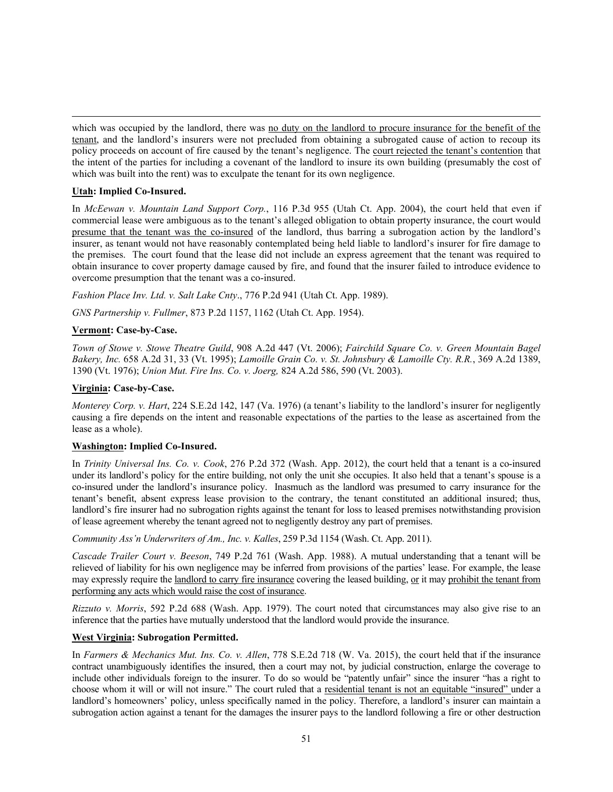which was occupied by the landlord, there was no duty on the landlord to procure insurance for the benefit of the tenant, and the landlord's insurers were not precluded from obtaining a subrogated cause of action to recoup its policy proceeds on account of fire caused by the tenant's negligence. The court rejected the tenant's contention that the intent of the parties for including a covenant of the landlord to insure its own building (presumably the cost of which was built into the rent) was to exculpate the tenant for its own negligence.

# **Utah: Implied Co-Insured.**

In *McEewan v. Mountain Land Support Corp.*, 116 P.3d 955 (Utah Ct. App. 2004), the court held that even if commercial lease were ambiguous as to the tenant's alleged obligation to obtain property insurance, the court would presume that the tenant was the co-insured of the landlord, thus barring a subrogation action by the landlord's insurer, as tenant would not have reasonably contemplated being held liable to landlord's insurer for fire damage to the premises. The court found that the lease did not include an express agreement that the tenant was required to obtain insurance to cover property damage caused by fire, and found that the insurer failed to introduce evidence to overcome presumption that the tenant was a co-insured.

*Fashion Place Inv. Ltd. v. Salt Lake Cnty*., 776 P.2d 941 (Utah Ct. App. 1989).

*GNS Partnership v. Fullmer*, 873 P.2d 1157, 1162 (Utah Ct. App. 1954).

# **Vermont: Case-by-Case.**

*Town of Stowe v. Stowe Theatre Guild*, 908 A.2d 447 (Vt. 2006); *Fairchild Square Co. v. Green Mountain Bagel Bakery, Inc.* 658 A.2d 31, 33 (Vt. 1995); *Lamoille Grain Co. v. St. Johnsbury & Lamoille Cty. R.R.*, 369 A.2d 1389, 1390 (Vt. 1976); *Union Mut. Fire Ins. Co. v. Joerg,* 824 A.2d 586, 590 (Vt. 2003).

# **Virginia: Case-by-Case.**

*Monterey Corp. v. Hart*, 224 S.E.2d 142, 147 (Va. 1976) (a tenant's liability to the landlord's insurer for negligently causing a fire depends on the intent and reasonable expectations of the parties to the lease as ascertained from the lease as a whole).

# **Washington: Implied Co-Insured.**

In *Trinity Universal Ins. Co. v. Cook*, 276 P.2d 372 (Wash. App. 2012), the court held that a tenant is a co-insured under its landlord's policy for the entire building, not only the unit she occupies. It also held that a tenant's spouse is a co-insured under the landlord's insurance policy. Inasmuch as the landlord was presumed to carry insurance for the tenant's benefit, absent express lease provision to the contrary, the tenant constituted an additional insured; thus, landlord's fire insurer had no subrogation rights against the tenant for loss to leased premises notwithstanding provision of lease agreement whereby the tenant agreed not to negligently destroy any part of premises.

*Community Ass'n Underwriters of Am., Inc. v. Kalles*, 259 P.3d 1154 (Wash. Ct. App. 2011).

*Cascade Trailer Court v. Beeson*, 749 P.2d 761 (Wash. App. 1988). A mutual understanding that a tenant will be relieved of liability for his own negligence may be inferred from provisions of the parties' lease. For example, the lease may expressly require the landlord to carry fire insurance covering the leased building, or it may prohibit the tenant from performing any acts which would raise the cost of insurance.

*Rizzuto v. Morris*, 592 P.2d 688 (Wash. App. 1979). The court noted that circumstances may also give rise to an inference that the parties have mutually understood that the landlord would provide the insurance.

# **West Virginia: Subrogation Permitted.**

In *Farmers & Mechanics Mut. Ins. Co. v. Allen*, 778 S.E.2d 718 (W. Va. 2015), the court held that if the insurance contract unambiguously identifies the insured, then a court may not, by judicial construction, enlarge the coverage to include other individuals foreign to the insurer. To do so would be "patently unfair" since the insurer "has a right to choose whom it will or will not insure." The court ruled that a residential tenant is not an equitable "insured" under a landlord's homeowners' policy, unless specifically named in the policy. Therefore, a landlord's insurer can maintain a subrogation action against a tenant for the damages the insurer pays to the landlord following a fire or other destruction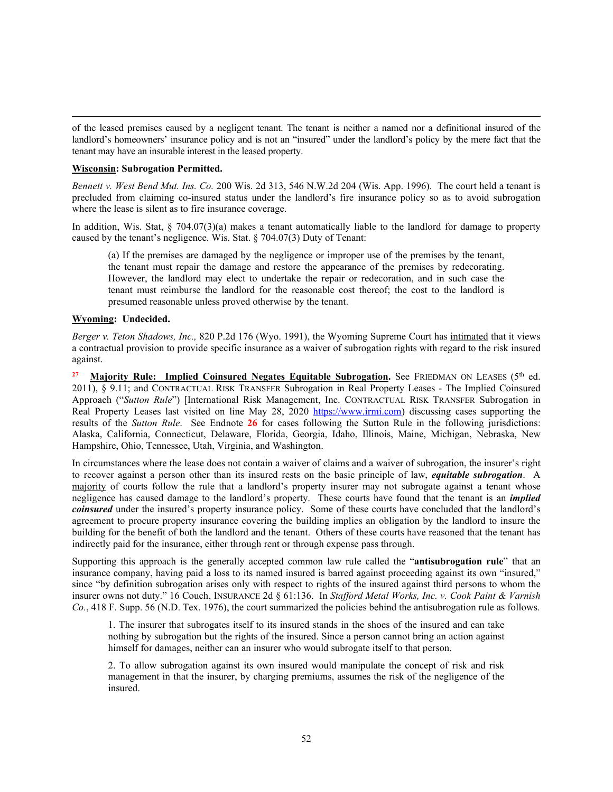of the leased premises caused by a negligent tenant. The tenant is neither a named nor a definitional insured of the landlord's homeowners' insurance policy and is not an "insured" under the landlord's policy by the mere fact that the tenant may have an insurable interest in the leased property.

### **Wisconsin: Subrogation Permitted.**

*Bennett v. West Bend Mut. Ins. Co.* 200 Wis. 2d 313, 546 N.W.2d 204 (Wis. App. 1996). The court held a tenant is precluded from claiming co-insured status under the landlord's fire insurance policy so as to avoid subrogation where the lease is silent as to fire insurance coverage.

In addition, Wis. Stat, § 704.07(3)(a) makes a tenant automatically liable to the landlord for damage to property caused by the tenant's negligence. Wis. Stat. § 704.07(3) Duty of Tenant:

(a) If the premises are damaged by the negligence or improper use of the premises by the tenant, the tenant must repair the damage and restore the appearance of the premises by redecorating. However, the landlord may elect to undertake the repair or redecoration, and in such case the tenant must reimburse the landlord for the reasonable cost thereof; the cost to the landlord is presumed reasonable unless proved otherwise by the tenant.

# **Wyoming: Undecided.**

*Berger v. Teton Shadows, Inc.,* 820 P.2d 176 (Wyo. 1991), the Wyoming Supreme Court has intimated that it views a contractual provision to provide specific insurance as a waiver of subrogation rights with regard to the risk insured against.

<sup>27</sup> Majority Rule: Implied Coinsured Negates Equitable Subrogation. See FRIEDMAN ON LEASES (5<sup>th</sup> ed. 2011), § 9.11; and CONTRACTUAL RISK TRANSFER Subrogation in Real Property Leases - The Implied Coinsured Approach ("*Sutton Rule*") [International Risk Management, Inc. CONTRACTUAL RISK TRANSFER Subrogation in Real Property Leases last visited on line May 28, 2020 [https://www.irmi.com\)](https://www.irmi.com/) discussing cases supporting the results of the *Sutton Rule*. See Endnote **26** for cases following the Sutton Rule in the following jurisdictions: Alaska, California, Connecticut, Delaware, Florida, Georgia, Idaho, Illinois, Maine, Michigan, Nebraska, New Hampshire, Ohio, Tennessee, Utah, Virginia, and Washington.

In circumstances where the lease does not contain a waiver of claims and a waiver of subrogation, the insurer's right to recover against a person other than its insured rests on the basic principle of law, *equitable subrogation*. A majority of courts follow the rule that a landlord's property insurer may not subrogate against a tenant whose negligence has caused damage to the landlord's property. These courts have found that the tenant is an *implied coinsured* under the insured's property insurance policy. Some of these courts have concluded that the landlord's agreement to procure property insurance covering the building implies an obligation by the landlord to insure the building for the benefit of both the landlord and the tenant. Others of these courts have reasoned that the tenant has indirectly paid for the insurance, either through rent or through expense pass through.

Supporting this approach is the generally accepted common law rule called the "**antisubrogation rule**" that an insurance company, having paid a loss to its named insured is barred against proceeding against its own "insured," since "by definition subrogation arises only with respect to rights of the insured against third persons to whom the insurer owns not duty." 16 Couch, INSURANCE 2d § 61:136. In *Stafford Metal Works, Inc. v. Cook Paint & Varnish Co.*, 418 F. Supp. 56 (N.D. Tex. 1976), the court summarized the policies behind the antisubrogation rule as follows.

1. The insurer that subrogates itself to its insured stands in the shoes of the insured and can take nothing by subrogation but the rights of the insured. Since a person cannot bring an action against himself for damages, neither can an insurer who would subrogate itself to that person.

2. To allow subrogation against its own insured would manipulate the concept of risk and risk management in that the insurer, by charging premiums, assumes the risk of the negligence of the insured.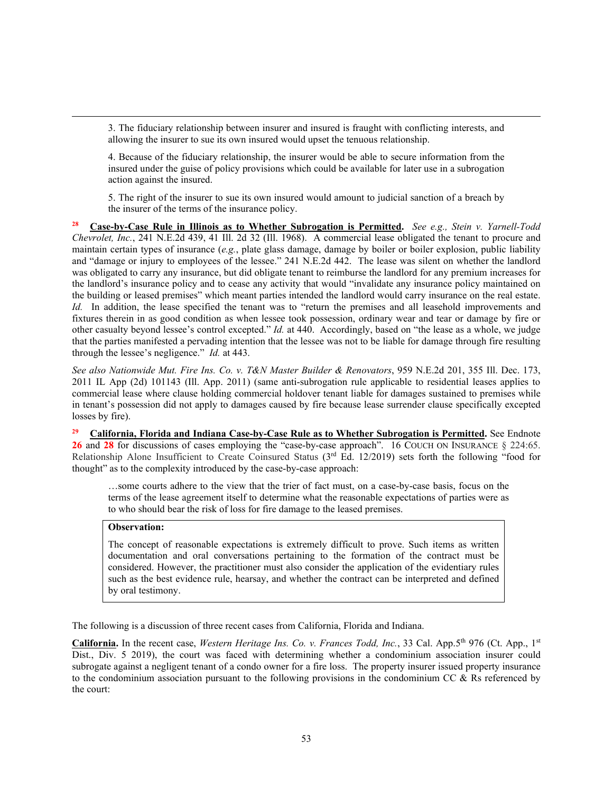3. The fiduciary relationship between insurer and insured is fraught with conflicting interests, and allowing the insurer to sue its own insured would upset the tenuous relationship.

4. Because of the fiduciary relationship, the insurer would be able to secure information from the insured under the guise of policy provisions which could be available for later use in a subrogation action against the insured.

5. The right of the insurer to sue its own insured would amount to judicial sanction of a breach by the insurer of the terms of the insurance policy.

**<sup>28</sup> Case-by-Case Rule in Illinois as to Whether Subrogation is Permitted.** *See e.g., Stein v. Yarnell-Todd Chevrolet, Inc.*, 241 N.E.2d 439, 41 Ill. 2d 32 (Ill. 1968). A commercial lease obligated the tenant to procure and maintain certain types of insurance (*e.g.*, plate glass damage, damage by boiler or boiler explosion, public liability and "damage or injury to employees of the lessee." 241 N.E.2d 442. The lease was silent on whether the landlord was obligated to carry any insurance, but did obligate tenant to reimburse the landlord for any premium increases for the landlord's insurance policy and to cease any activity that would "invalidate any insurance policy maintained on the building or leased premises" which meant parties intended the landlord would carry insurance on the real estate. *Id.* In addition, the lease specified the tenant was to "return the premises and all leasehold improvements and fixtures therein in as good condition as when lessee took possession, ordinary wear and tear or damage by fire or other casualty beyond lessee's control excepted." *Id.* at 440. Accordingly, based on "the lease as a whole, we judge that the parties manifested a pervading intention that the lessee was not to be liable for damage through fire resulting through the lessee's negligence." *Id.* at 443.

*See also Nationwide Mut. Fire Ins. Co. v. T&N Master Builder & Renovators*, 959 N.E.2d 201, 355 Ill. Dec. 173, 2011 IL App (2d) 101143 (Ill. App. 2011) (same anti-subrogation rule applicable to residential leases applies to commercial lease where clause holding commercial holdover tenant liable for damages sustained to premises while in tenant's possession did not apply to damages caused by fire because lease surrender clause specifically excepted losses by fire).

**<sup>29</sup> California, Florida and Indiana Case-by-Case Rule as to Whether Subrogation is Permitted.** See Endnote 26 and 28 for discussions of cases employing the "case-by-case approach". 16 COUCH ON INSURANCE § 224:65. Relationship Alone Insufficient to Create Coinsured Status (3<sup>rd</sup> Ed. 12/2019) sets forth the following "food for thought" as to the complexity introduced by the case-by-case approach:

…some courts adhere to the view that the trier of fact must, on a case-by-case basis, focus on the terms of the lease agreement itself to determine what the reasonable expectations of parties were as to who should bear the risk of loss for fire damage to the leased premises.

# **Observation:**

The concept of reasonable expectations is extremely difficult to prove. Such items as written documentation and oral conversations pertaining to the formation of the contract must be considered. However, the practitioner must also consider the application of the evidentiary rules such as the best evidence rule, hearsay, and whether the contract can be interpreted and defined by oral testimony.

The following is a discussion of three recent cases from California, Florida and Indiana.

California. In the recent case, Western Heritage Ins. Co. v. Frances Todd, Inc., 33 Cal. App.5<sup>th</sup> 976 (Ct. App., 1st Dist., Div. 5 2019), the court was faced with determining whether a condominium association insurer could subrogate against a negligent tenant of a condo owner for a fire loss. The property insurer issued property insurance to the condominium association pursuant to the following provisions in the condominium CC  $\&$  Rs referenced by the court: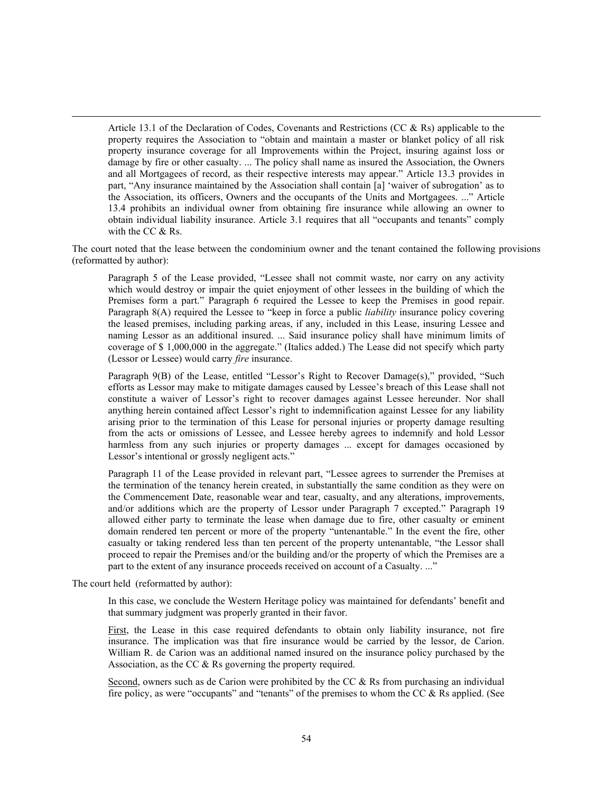Article 13.1 of the Declaration of Codes, Covenants and Restrictions (CC & Rs) applicable to the property requires the Association to "obtain and maintain a master or blanket policy of all risk property insurance coverage for all Improvements within the Project, insuring against loss or damage by fire or other casualty. ... The policy shall name as insured the Association, the Owners and all Mortgagees of record, as their respective interests may appear." Article 13.3 provides in part, "Any insurance maintained by the Association shall contain [a] 'waiver of subrogation' as to the Association, its officers, Owners and the occupants of the Units and Mortgagees. ..." Article 13.4 prohibits an individual owner from obtaining fire insurance while allowing an owner to obtain individual liability insurance. Article 3.1 requires that all "occupants and tenants" comply with the CC & Rs.

The court noted that the lease between the condominium owner and the tenant contained the following provisions (reformatted by author):

Paragraph 5 of the Lease provided, "Lessee shall not commit waste, nor carry on any activity which would destroy or impair the quiet enjoyment of other lessees in the building of which the Premises form a part." Paragraph 6 required the Lessee to keep the Premises in good repair. Paragraph 8(A) required the Lessee to "keep in force a public *liability* insurance policy covering the leased premises, including parking areas, if any, included in this Lease, insuring Lessee and naming Lessor as an additional insured. ... Said insurance policy shall have minimum limits of coverage of \$ 1,000,000 in the aggregate." (Italics added.) The Lease did not specify which party (Lessor or Lessee) would carry *fire* insurance.

Paragraph 9(B) of the Lease, entitled "Lessor's Right to Recover Damage(s)," provided, "Such efforts as Lessor may make to mitigate damages caused by Lessee's breach of this Lease shall not constitute a waiver of Lessor's right to recover damages against Lessee hereunder. Nor shall anything herein contained affect Lessor's right to indemnification against Lessee for any liability arising prior to the termination of this Lease for personal injuries or property damage resulting from the acts or omissions of Lessee, and Lessee hereby agrees to indemnify and hold Lessor harmless from any such injuries or property damages ... except for damages occasioned by Lessor's intentional or grossly negligent acts."

Paragraph 11 of the Lease provided in relevant part, "Lessee agrees to surrender the Premises at the termination of the tenancy herein created, in substantially the same condition as they were on the Commencement Date, reasonable wear and tear, casualty, and any alterations, improvements, and/or additions which are the property of Lessor under Paragraph 7 excepted." Paragraph 19 allowed either party to terminate the lease when damage due to fire, other casualty or eminent domain rendered ten percent or more of the property "untenantable." In the event the fire, other casualty or taking rendered less than ten percent of the property untenantable, "the Lessor shall proceed to repair the Premises and/or the building and/or the property of which the Premises are a part to the extent of any insurance proceeds received on account of a Casualty. ..."

The court held (reformatted by author):

In this case, we conclude the Western Heritage policy was maintained for defendants' benefit and that summary judgment was properly granted in their favor.

First, the Lease in this case required defendants to obtain only liability insurance, not fire insurance. The implication was that fire insurance would be carried by the lessor, de Carion. William R. de Carion was an additional named insured on the insurance policy purchased by the Association, as the CC & Rs governing the property required.

Second, owners such as de Carion were prohibited by the CC & Rs from purchasing an individual fire policy, as were "occupants" and "tenants" of the premises to whom the CC & Rs applied. (See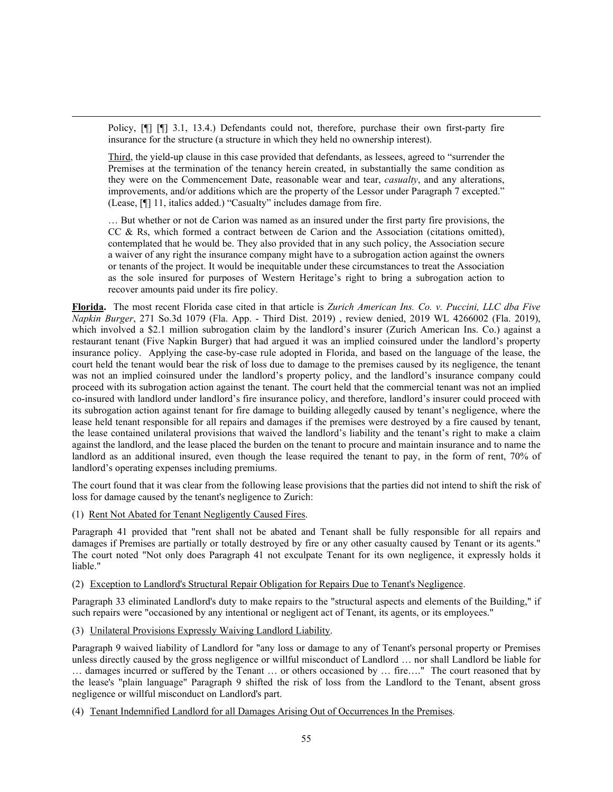Policy, [¶] [¶] 3.1, 13.4.) Defendants could not, therefore, purchase their own first-party fire insurance for the structure (a structure in which they held no ownership interest).

Third, the yield-up clause in this case provided that defendants, as lessees, agreed to "surrender the Premises at the termination of the tenancy herein created, in substantially the same condition as they were on the Commencement Date, reasonable wear and tear, *casualty*, and any alterations, improvements, and/or additions which are the property of the Lessor under Paragraph 7 excepted." (Lease, [¶] 11, italics added.) "Casualty" includes damage from fire.

… But whether or not de Carion was named as an insured under the first party fire provisions, the CC  $\&$  Rs, which formed a contract between de Carion and the Association (citations omitted), contemplated that he would be. They also provided that in any such policy, the Association secure a waiver of any right the insurance company might have to a subrogation action against the owners or tenants of the project. It would be inequitable under these circumstances to treat the Association as the sole insured for purposes of Western Heritage's right to bring a subrogation action to recover amounts paid under its fire policy.

**Florida.** The most recent Florida case cited in that article is *Zurich American Ins. Co. v. Puccini, LLC dba Five Napkin Burger*, 271 So.3d 1079 (Fla. App. - Third Dist. 2019) , review denied, 2019 WL 4266002 (Fla. 2019), which involved a \$2.1 million subrogation claim by the landlord's insurer (Zurich American Ins. Co.) against a restaurant tenant (Five Napkin Burger) that had argued it was an implied coinsured under the landlord's property insurance policy. Applying the case-by-case rule adopted in Florida, and based on the language of the lease, the court held the tenant would bear the risk of loss due to damage to the premises caused by its negligence, the tenant was not an implied coinsured under the landlord's property policy, and the landlord's insurance company could proceed with its subrogation action against the tenant. The court held that the commercial tenant was not an implied co-insured with landlord under landlord's fire insurance policy, and therefore, landlord's insurer could proceed with its subrogation action against tenant for fire damage to building allegedly caused by tenant's negligence, where the lease held tenant responsible for all repairs and damages if the premises were destroyed by a fire caused by tenant, the lease contained unilateral provisions that waived the landlord's liability and the tenant's right to make a claim against the landlord, and the lease placed the burden on the tenant to procure and maintain insurance and to name the landlord as an additional insured, even though the lease required the tenant to pay, in the form of rent, 70% of landlord's operating expenses including premiums.

The court found that it was clear from the following lease provisions that the parties did not intend to shift the risk of loss for damage caused by the tenant's negligence to Zurich:

(1) Rent Not Abated for Tenant Negligently Caused Fires.

Paragraph 41 provided that "rent shall not be abated and Tenant shall be fully responsible for all repairs and damages if Premises are partially or totally destroyed by fire or any other casualty caused by Tenant or its agents." The court noted "Not only does Paragraph 41 not exculpate Tenant for its own negligence, it expressly holds it liable."

(2) Exception to Landlord's Structural Repair Obligation for Repairs Due to Tenant's Negligence.

Paragraph 33 eliminated Landlord's duty to make repairs to the "structural aspects and elements of the Building," if such repairs were "occasioned by any intentional or negligent act of Tenant, its agents, or its employees."

(3) Unilateral Provisions Expressly Waiving Landlord Liability.

Paragraph 9 waived liability of Landlord for "any loss or damage to any of Tenant's personal property or Premises unless directly caused by the gross negligence or willful misconduct of Landlord … nor shall Landlord be liable for … damages incurred or suffered by the Tenant … or others occasioned by … fire…." The court reasoned that by the lease's "plain language" Paragraph 9 shifted the risk of loss from the Landlord to the Tenant, absent gross negligence or willful misconduct on Landlord's part.

(4) Tenant Indemnified Landlord for all Damages Arising Out of Occurrences In the Premises.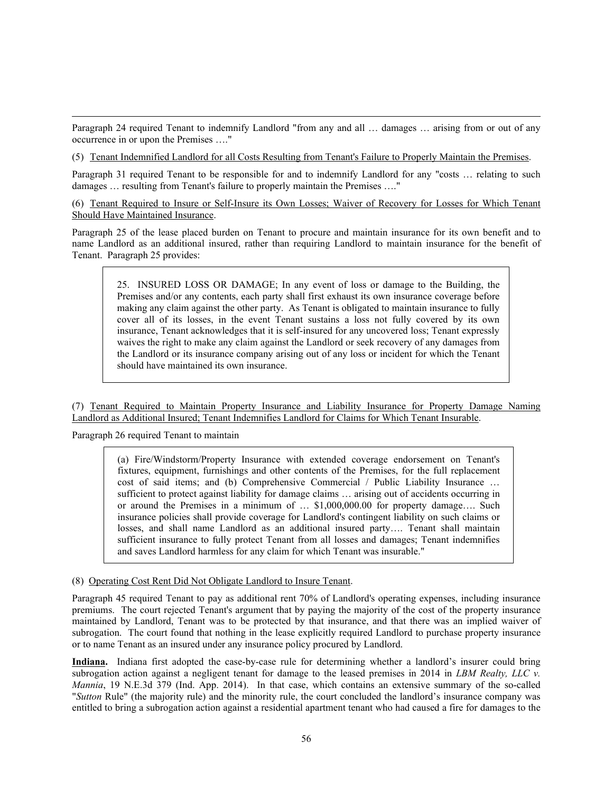Paragraph 24 required Tenant to indemnify Landlord "from any and all … damages … arising from or out of any occurrence in or upon the Premises …."

(5) Tenant Indemnified Landlord for all Costs Resulting from Tenant's Failure to Properly Maintain the Premises.

Paragraph 31 required Tenant to be responsible for and to indemnify Landlord for any "costs … relating to such damages … resulting from Tenant's failure to properly maintain the Premises …."

(6) Tenant Required to Insure or Self-Insure its Own Losses; Waiver of Recovery for Losses for Which Tenant Should Have Maintained Insurance.

Paragraph 25 of the lease placed burden on Tenant to procure and maintain insurance for its own benefit and to name Landlord as an additional insured, rather than requiring Landlord to maintain insurance for the benefit of Tenant. Paragraph 25 provides:

25. INSURED LOSS OR DAMAGE; In any event of loss or damage to the Building, the Premises and/or any contents, each party shall first exhaust its own insurance coverage before making any claim against the other party. As Tenant is obligated to maintain insurance to fully cover all of its losses, in the event Tenant sustains a loss not fully covered by its own insurance, Tenant acknowledges that it is self-insured for any uncovered loss; Tenant expressly waives the right to make any claim against the Landlord or seek recovery of any damages from the Landlord or its insurance company arising out of any loss or incident for which the Tenant should have maintained its own insurance.

(7) Tenant Required to Maintain Property Insurance and Liability Insurance for Property Damage Naming Landlord as Additional Insured; Tenant Indemnifies Landlord for Claims for Which Tenant Insurable.

Paragraph 26 required Tenant to maintain

(a) Fire/Windstorm/Property Insurance with extended coverage endorsement on Tenant's fixtures, equipment, furnishings and other contents of the Premises, for the full replacement cost of said items; and (b) Comprehensive Commercial / Public Liability Insurance … sufficient to protect against liability for damage claims … arising out of accidents occurring in or around the Premises in a minimum of … \$1,000,000.00 for property damage…. Such insurance policies shall provide coverage for Landlord's contingent liability on such claims or losses, and shall name Landlord as an additional insured party…. Tenant shall maintain sufficient insurance to fully protect Tenant from all losses and damages; Tenant indemnifies and saves Landlord harmless for any claim for which Tenant was insurable."

# (8) Operating Cost Rent Did Not Obligate Landlord to Insure Tenant.

Paragraph 45 required Tenant to pay as additional rent 70% of Landlord's operating expenses, including insurance premiums. The court rejected Tenant's argument that by paying the majority of the cost of the property insurance maintained by Landlord, Tenant was to be protected by that insurance, and that there was an implied waiver of subrogation. The court found that nothing in the lease explicitly required Landlord to purchase property insurance or to name Tenant as an insured under any insurance policy procured by Landlord.

**Indiana.** Indiana first adopted the case-by-case rule for determining whether a landlord's insurer could bring subrogation action against a negligent tenant for damage to the leased premises in 2014 in *LBM Realty, LLC v. Mannia*, 19 N.E.3d 379 (Ind. App. 2014). In that case, which contains an extensive summary of the so-called "*Sutton* Rule" (the majority rule) and the minority rule, the court concluded the landlord's insurance company was entitled to bring a subrogation action against a residential apartment tenant who had caused a fire for damages to the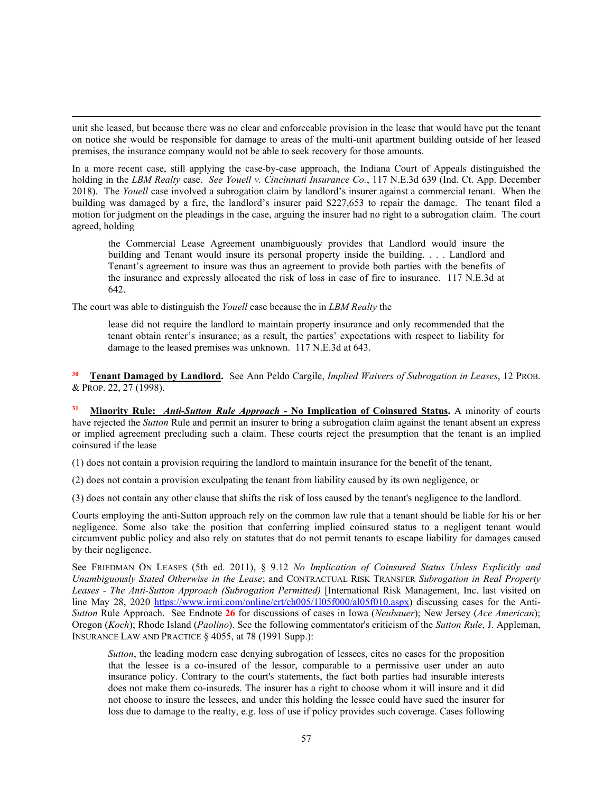unit she leased, but because there was no clear and enforceable provision in the lease that would have put the tenant on notice she would be responsible for damage to areas of the multi-unit apartment building outside of her leased premises, the insurance company would not be able to seek recovery for those amounts.

In a more recent case, still applying the case-by-case approach, the Indiana Court of Appeals distinguished the holding in the *LBM Realty* case. *See Youell v. Cincinnati Insurance Co.*, 117 N.E.3d 639 (Ind. Ct. App. December 2018). The *Youell* case involved a subrogation claim by landlord's insurer against a commercial tenant. When the building was damaged by a fire, the landlord's insurer paid \$227,653 to repair the damage. The tenant filed a motion for judgment on the pleadings in the case, arguing the insurer had no right to a subrogation claim. The court agreed, holding

the Commercial Lease Agreement unambiguously provides that Landlord would insure the building and Tenant would insure its personal property inside the building. . . . Landlord and Tenant's agreement to insure was thus an agreement to provide both parties with the benefits of the insurance and expressly allocated the risk of loss in case of fire to insurance. 117 N.E.3d at 642.

The court was able to distinguish the *Youell* case because the in *LBM Realty* the

lease did not require the landlord to maintain property insurance and only recommended that the tenant obtain renter's insurance; as a result, the parties' expectations with respect to liability for damage to the leased premises was unknown. 117 N.E.3d at 643.

**<sup>30</sup> Tenant Damaged by Landlord.** See Ann Peldo Cargile, *Implied Waivers of Subrogation in Leases*, 12 PROB. & PROP. 22, 27 (1998).

**<sup>31</sup> Minority Rule:** *Anti-Sutton Rule Approach* **- No Implication of Coinsured Status.** A minority of courts have rejected the *Sutton* Rule and permit an insurer to bring a subrogation claim against the tenant absent an express or implied agreement precluding such a claim. These courts reject the presumption that the tenant is an implied coinsured if the lease

(1) does not contain a provision requiring the landlord to maintain insurance for the benefit of the tenant,

(2) does not contain a provision exculpating the tenant from liability caused by its own negligence, or

(3) does not contain any other clause that shifts the risk of loss caused by the tenant's negligence to the landlord.

Courts employing the anti-Sutton approach rely on the common law rule that a tenant should be liable for his or her negligence. Some also take the position that conferring implied coinsured status to a negligent tenant would circumvent public policy and also rely on statutes that do not permit tenants to escape liability for damages caused by their negligence.

See FRIEDMAN ON LEASES (5th ed. 2011), § 9.12 *No Implication of Coinsured Status Unless Explicitly and Unambiguously Stated Otherwise in the Lease*; and CONTRACTUAL RISK TRANSFER *Subrogation in Real Property Leases* - *The Anti-Sutton Approach (Subrogation Permitted)* [International Risk Management, Inc. last visited on line May 28, 2020 [https://www.irmi.com/online/crt/ch005/1l05f000/al05f010.aspx\)](https://www.irmi.com/online/crt/ch005/1l05f000/al05f010.aspx) discussing cases for the Anti-*Sutton* Rule Approach. See Endnote **26** for discussions of cases in Iowa (*Neubauer*); New Jersey (*Ace American*); Oregon (*Koch*); Rhode Island (*Paolino*). See the following commentator's criticism of the *Sutton Rule*, J. Appleman, INSURANCE LAW AND PRACTICE § 4055, at 78 (1991 Supp.):

*Sutton*, the leading modern case denying subrogation of lessees, cites no cases for the proposition that the lessee is a co-insured of the lessor, comparable to a permissive user under an auto insurance policy. Contrary to the court's statements, the fact both parties had insurable interests does not make them co-insureds. The insurer has a right to choose whom it will insure and it did not choose to insure the lessees, and under this holding the lessee could have sued the insurer for loss due to damage to the realty, e.g. loss of use if policy provides such coverage. Cases following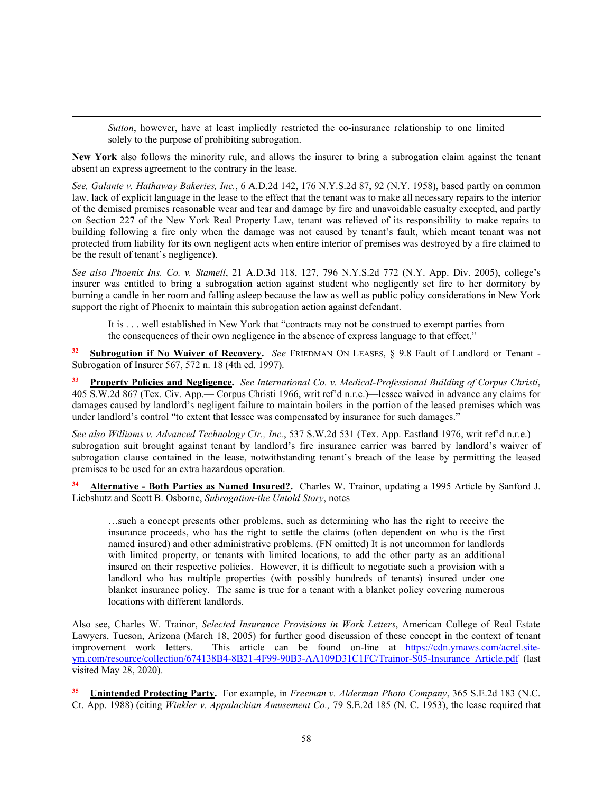*Sutton*, however, have at least impliedly restricted the co-insurance relationship to one limited solely to the purpose of prohibiting subrogation.

**New York** also follows the minority rule, and allows the insurer to bring a subrogation claim against the tenant absent an express agreement to the contrary in the lease.

*See, Galante v. Hathaway Bakeries, Inc.*, 6 A.D.2d 142, 176 N.Y.S.2d 87, 92 (N.Y. 1958), based partly on common law, lack of explicit language in the lease to the effect that the tenant was to make all necessary repairs to the interior of the demised premises reasonable wear and tear and damage by fire and unavoidable casualty excepted, and partly on Section 227 of the New York Real Property Law, tenant was relieved of its responsibility to make repairs to building following a fire only when the damage was not caused by tenant's fault, which meant tenant was not protected from liability for its own negligent acts when entire interior of premises was destroyed by a fire claimed to be the result of tenant's negligence).

*See also Phoenix Ins. Co. v. Stamell*, 21 A.D.3d 118, 127, 796 N.Y.S.2d 772 (N.Y. App. Div. 2005), college's insurer was entitled to bring a subrogation action against student who negligently set fire to her dormitory by burning a candle in her room and falling asleep because the law as well as public policy considerations in New York support the right of Phoenix to maintain this subrogation action against defendant.

It is . . . well established in New York that "contracts may not be construed to exempt parties from the consequences of their own negligence in the absence of express language to that effect."

**<sup>32</sup> Subrogation if No Waiver of Recovery.** *See* FRIEDMAN ON LEASES, § 9.8 Fault of Landlord or Tenant - Subrogation of Insurer 567, 572 n. 18 (4th ed. 1997).

**<sup>33</sup> Property Policies and Negligence.** *See International Co. v. Medical-Professional Building of Corpus Christi*, 405 S.W.2d 867 (Tex. Civ. App.— Corpus Christi 1966, writ ref'd n.r.e.)—lessee waived in advance any claims for damages caused by landlord's negligent failure to maintain boilers in the portion of the leased premises which was under landlord's control "to extent that lessee was compensated by insurance for such damages."

*See also Williams v. Advanced Technology Ctr., Inc.*, 537 S.W.2d 531 (Tex. App. Eastland 1976, writ ref'd n.r.e.) subrogation suit brought against tenant by landlord's fire insurance carrier was barred by landlord's waiver of subrogation clause contained in the lease, notwithstanding tenant's breach of the lease by permitting the leased premises to be used for an extra hazardous operation.

**<sup>34</sup> Alternative - Both Parties as Named Insured?.** Charles W. Trainor, updating a 1995 Article by Sanford J. Liebshutz and Scott B. Osborne, *Subrogation-the Untold Story*, notes

…such a concept presents other problems, such as determining who has the right to receive the insurance proceeds, who has the right to settle the claims (often dependent on who is the first named insured) and other administrative problems. (FN omitted) It is not uncommon for landlords with limited property, or tenants with limited locations, to add the other party as an additional insured on their respective policies. However, it is difficult to negotiate such a provision with a landlord who has multiple properties (with possibly hundreds of tenants) insured under one blanket insurance policy. The same is true for a tenant with a blanket policy covering numerous locations with different landlords.

Also see, Charles W. Trainor, *Selected Insurance Provisions in Work Letters*, American College of Real Estate Lawyers, Tucson, Arizona (March 18, 2005) for further good discussion of these concept in the context of tenant improvement work letters. This article can be found on-line at [https://cdn.ymaws.com/acrel.site](https://cdn.ymaws.com/acrel.site-ym.com/resource/collection/674138B4-8B21-4F99-90B3-AA109D31C1FC/Trainor-S05-Insurance_Article.pdf)[ym.com/resource/collection/674138B4-8B21-4F99-90B3-AA109D31C1FC/Trainor-S05-Insurance\\_Article.pdf](https://cdn.ymaws.com/acrel.site-ym.com/resource/collection/674138B4-8B21-4F99-90B3-AA109D31C1FC/Trainor-S05-Insurance_Article.pdf) (last visited May 28, 2020).

**<sup>35</sup> Unintended Protecting Party.** For example, in *Freeman v. Alderman Photo Company*, 365 S.E.2d 183 (N.C. Ct. App. 1988) (citing *Winkler v. Appalachian Amusement Co.,* 79 S.E.2d 185 (N. C. 1953), the lease required that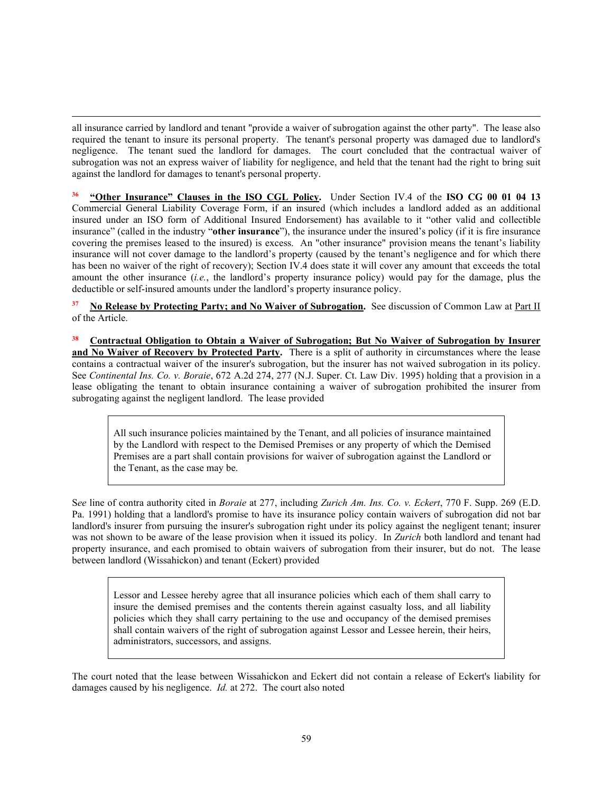all insurance carried by landlord and tenant "provide a waiver of subrogation against the other party". The lease also required the tenant to insure its personal property. The tenant's personal property was damaged due to landlord's negligence. The tenant sued the landlord for damages. The court concluded that the contractual waiver of subrogation was not an express waiver of liability for negligence, and held that the tenant had the right to bring suit against the landlord for damages to tenant's personal property.

**<sup>36</sup> "Other Insurance" Clauses in the ISO CGL Policy.** Under Section IV.4 of the **ISO CG 00 01 04 13**  Commercial General Liability Coverage Form, if an insured (which includes a landlord added as an additional insured under an ISO form of Additional Insured Endorsement) has available to it "other valid and collectible insurance" (called in the industry "**other insurance**"), the insurance under the insured's policy (if it is fire insurance covering the premises leased to the insured) is excess. An "other insurance" provision means the tenant's liability insurance will not cover damage to the landlord's property (caused by the tenant's negligence and for which there has been no waiver of the right of recovery); Section IV.4 does state it will cover any amount that exceeds the total amount the other insurance (*i.e.*, the landlord's property insurance policy) would pay for the damage, plus the deductible or self-insured amounts under the landlord's property insurance policy.

**<sup>37</sup> No Release by Protecting Party; and No Waiver of Subrogation.** See discussion of Common Law at Part II of the Article.

**<sup>38</sup> Contractual Obligation to Obtain a Waiver of Subrogation; But No Waiver of Subrogation by Insurer and No Waiver of Recovery by Protected Party.** There is a split of authority in circumstances where the lease contains a contractual waiver of the insurer's subrogation, but the insurer has not waived subrogation in its policy. See *Continental Ins. Co. v. Boraie*, 672 A.2d 274, 277 (N.J. Super. Ct. Law Div. 1995) holding that a provision in a lease obligating the tenant to obtain insurance containing a waiver of subrogation prohibited the insurer from subrogating against the negligent landlord. The lease provided

All such insurance policies maintained by the Tenant, and all policies of insurance maintained by the Landlord with respect to the Demised Premises or any property of which the Demised Premises are a part shall contain provisions for waiver of subrogation against the Landlord or the Tenant, as the case may be.

S*ee* line of contra authority cited in *Boraie* at 277, including *Zurich Am. Ins. Co. v. Eckert*, 770 F. Supp. 269 (E.D. Pa. 1991) holding that a landlord's promise to have its insurance policy contain waivers of subrogation did not bar landlord's insurer from pursuing the insurer's subrogation right under its policy against the negligent tenant; insurer was not shown to be aware of the lease provision when it issued its policy. In *Zurich* both landlord and tenant had property insurance, and each promised to obtain waivers of subrogation from their insurer, but do not. The lease between landlord (Wissahickon) and tenant (Eckert) provided

Lessor and Lessee hereby agree that all insurance policies which each of them shall carry to insure the demised premises and the contents therein against casualty loss, and all liability policies which they shall carry pertaining to the use and occupancy of the demised premises shall contain waivers of the right of subrogation against Lessor and Lessee herein, their heirs, administrators, successors, and assigns.

The court noted that the lease between Wissahickon and Eckert did not contain a release of Eckert's liability for damages caused by his negligence. *Id.* at 272. The court also noted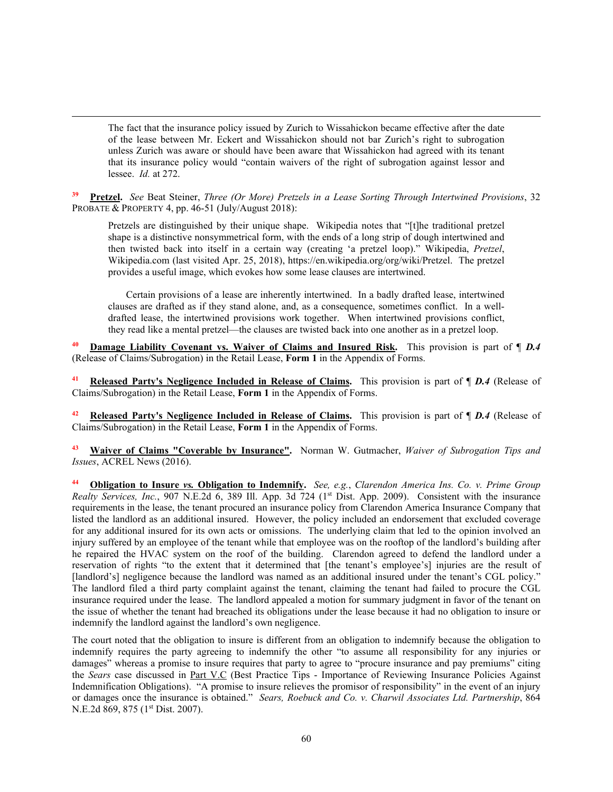The fact that the insurance policy issued by Zurich to Wissahickon became effective after the date of the lease between Mr. Eckert and Wissahickon should not bar Zurich's right to subrogation unless Zurich was aware or should have been aware that Wissahickon had agreed with its tenant that its insurance policy would "contain waivers of the right of subrogation against lessor and lessee. *Id.* at 272.

**<sup>39</sup> Pretzel.** *See* Beat Steiner, *Three (Or More) Pretzels in a Lease Sorting Through Intertwined Provisions*, 32 PROBATE & PROPERTY 4, pp. 46-51 (July/August 2018):

Pretzels are distinguished by their unique shape. Wikipedia notes that "[t]he traditional pretzel shape is a distinctive nonsymmetrical form, with the ends of a long strip of dough intertwined and then twisted back into itself in a certain way (creating 'a pretzel loop)." Wikipedia, *Pretzel*, Wikipedia.com (last visited Apr. 25, 2018), https://en.wikipedia.org/org/wiki/Pretzel. The pretzel provides a useful image, which evokes how some lease clauses are intertwined.

Certain provisions of a lease are inherently intertwined. In a badly drafted lease, intertwined clauses are drafted as if they stand alone, and, as a consequence, sometimes conflict. In a welldrafted lease, the intertwined provisions work together. When intertwined provisions conflict, they read like a mental pretzel—the clauses are twisted back into one another as in a pretzel loop.

**<u>Damage Liability Covenant vs. Waiver of Claims and Insured Risk.</u> This provision is part of**  $\P$ *D.4* (Release of Claims/Subrogation) in the Retail Lease, **Form 1** in the Appendix of Forms.

**<sup>41</sup> Released Party's Negligence Included in Release of Claims.** This provision is part of ¶ *D.4* (Release of Claims/Subrogation) in the Retail Lease, **Form 1** in the Appendix of Forms.

**<sup>42</sup> Released Party's Negligence Included in Release of Claims.** This provision is part of ¶ *D.4* (Release of Claims/Subrogation) in the Retail Lease, **Form 1** in the Appendix of Forms.

**<sup>43</sup> Waiver of Claims "Coverable by Insurance".** Norman W. Gutmacher, *Waiver of Subrogation Tips and Issues*, ACREL News (2016).

**<sup>44</sup> Obligation to Insure** *vs.* **Obligation to Indemnify.** *See, e.g.*, *Clarendon America Ins. Co. v. Prime Group Realty Services, Inc.*, 907 N.E.2d 6, 389 Ill. App. 3d 724 (1<sup>st</sup> Dist. App. 2009). Consistent with the insurance requirements in the lease, the tenant procured an insurance policy from Clarendon America Insurance Company that listed the landlord as an additional insured. However, the policy included an endorsement that excluded coverage for any additional insured for its own acts or omissions. The underlying claim that led to the opinion involved an injury suffered by an employee of the tenant while that employee was on the rooftop of the landlord's building after he repaired the HVAC system on the roof of the building. Clarendon agreed to defend the landlord under a reservation of rights "to the extent that it determined that [the tenant's employee's] injuries are the result of [landlord's] negligence because the landlord was named as an additional insured under the tenant's CGL policy." The landlord filed a third party complaint against the tenant, claiming the tenant had failed to procure the CGL insurance required under the lease. The landlord appealed a motion for summary judgment in favor of the tenant on the issue of whether the tenant had breached its obligations under the lease because it had no obligation to insure or indemnify the landlord against the landlord's own negligence.

The court noted that the obligation to insure is different from an obligation to indemnify because the obligation to indemnify requires the party agreeing to indemnify the other "to assume all responsibility for any injuries or damages" whereas a promise to insure requires that party to agree to "procure insurance and pay premiums" citing the *Sears* case discussed in Part V.C (Best Practice Tips - Importance of Reviewing Insurance Policies Against Indemnification Obligations). "A promise to insure relieves the promisor of responsibility" in the event of an injury or damages once the insurance is obtained." *Sears, Roebuck and Co. v. Charwil Associates Ltd. Partnership*, 864 N.E.2d 869, 875 (1st Dist. 2007).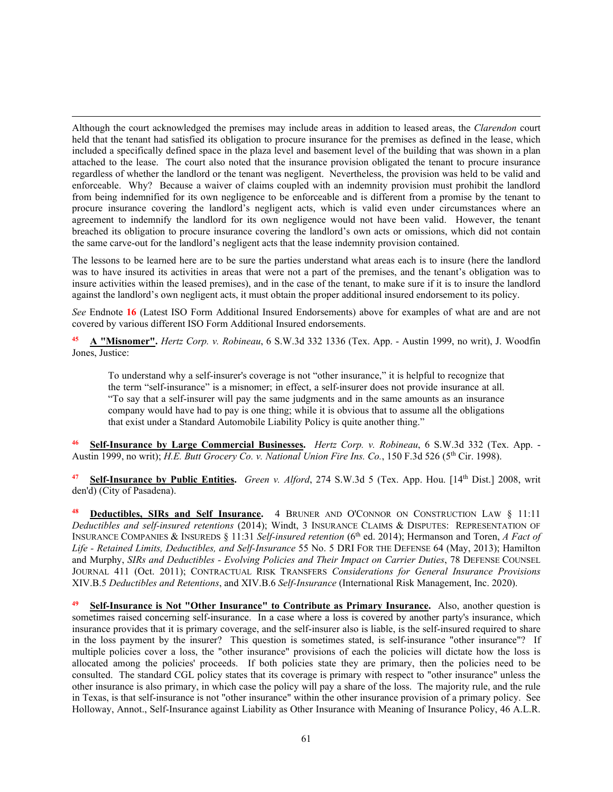Although the court acknowledged the premises may include areas in addition to leased areas, the *Clarendon* court held that the tenant had satisfied its obligation to procure insurance for the premises as defined in the lease, which included a specifically defined space in the plaza level and basement level of the building that was shown in a plan attached to the lease. The court also noted that the insurance provision obligated the tenant to procure insurance regardless of whether the landlord or the tenant was negligent. Nevertheless, the provision was held to be valid and enforceable. Why? Because a waiver of claims coupled with an indemnity provision must prohibit the landlord from being indemnified for its own negligence to be enforceable and is different from a promise by the tenant to procure insurance covering the landlord's negligent acts, which is valid even under circumstances where an agreement to indemnify the landlord for its own negligence would not have been valid. However, the tenant breached its obligation to procure insurance covering the landlord's own acts or omissions, which did not contain the same carve-out for the landlord's negligent acts that the lease indemnity provision contained.

The lessons to be learned here are to be sure the parties understand what areas each is to insure (here the landlord was to have insured its activities in areas that were not a part of the premises, and the tenant's obligation was to insure activities within the leased premises), and in the case of the tenant, to make sure if it is to insure the landlord against the landlord's own negligent acts, it must obtain the proper additional insured endorsement to its policy.

*See* Endnote **16** (Latest ISO Form Additional Insured Endorsements) above for examples of what are and are not covered by various different ISO Form Additional Insured endorsements.

**<sup>45</sup> A "Misnomer".** *Hertz Corp. v. Robineau*, 6 S.W.3d 332 1336 (Tex. App. - Austin 1999, no writ), J. Woodfin Jones, Justice:

To understand why a self-insurer's coverage is not "other insurance," it is helpful to recognize that the term "self-insurance" is a misnomer; in effect, a self-insurer does not provide insurance at all. "To say that a self-insurer will pay the same judgments and in the same amounts as an insurance company would have had to pay is one thing; while it is obvious that to assume all the obligations that exist under a Standard Automobile Liability Policy is quite another thing."

**<sup>46</sup> Self-Insurance by Large Commercial Businesses.** *Hertz Corp. v. Robineau*, 6 S.W.3d 332 (Tex. App. - Austin 1999, no writ); *H.E. Butt Grocery Co. v. National Union Fire Ins. Co.*, 150 F.3d 526 (5<sup>th</sup> Cir. 1998).

**<sup>47</sup> Self-Insurance by Public Entities.** *Green v. Alford*, 274 S.W.3d 5 (Tex. App. Hou. [14th Dist.] 2008, writ den'd) (City of Pasadena).

**Deductibles, SIRs and Self Insurance.** 4 BRUNER AND O'CONNOR ON CONSTRUCTION LAW § 11:11 *Deductibles and self-insured retentions* (2014); Windt, 3 INSURANCE CLAIMS & DISPUTES: REPRESENTATION OF INSURANCE COMPANIES & INSUREDS § 11:31 *Self-insured retention* (6th ed. 2014); Hermanson and Toren, *A Fact of Life - Retained Limits, Deductibles, and Self-Insurance* 55 No. 5 DRI FOR THE DEFENSE 64 (May, 2013); Hamilton and Murphy, *SIRs and Deductibles - Evolving Policies and Their Impact on Carrier Duties*, 78 DEFENSE COUNSEL JOURNAL 411 (Oct. 2011); CONTRACTUAL RISK TRANSFERS *Considerations for General Insurance Provisions* XIV.B.5 *Deductibles and Retentions*, and XIV.B.6 *Self-Insurance* (International Risk Management, Inc. 2020).

**<sup>49</sup> Self-Insurance is Not "Other Insurance" to Contribute as Primary Insurance.** Also, another question is sometimes raised concerning self-insurance. In a case where a loss is covered by another party's insurance, which insurance provides that it is primary coverage, and the self-insurer also is liable, is the self-insured required to share in the loss payment by the insurer? This question is sometimes stated, is self-insurance "other insurance"? If multiple policies cover a loss, the "other insurance" provisions of each the policies will dictate how the loss is allocated among the policies' proceeds. If both policies state they are primary, then the policies need to be consulted. The standard CGL policy states that its coverage is primary with respect to "other insurance" unless the other insurance is also primary, in which case the policy will pay a share of the loss. The majority rule, and the rule in Texas, is that self-insurance is not "other insurance" within the other insurance provision of a primary policy. See Holloway, Annot., Self-Insurance against Liability as Other Insurance with Meaning of Insurance Policy, 46 A.L.R.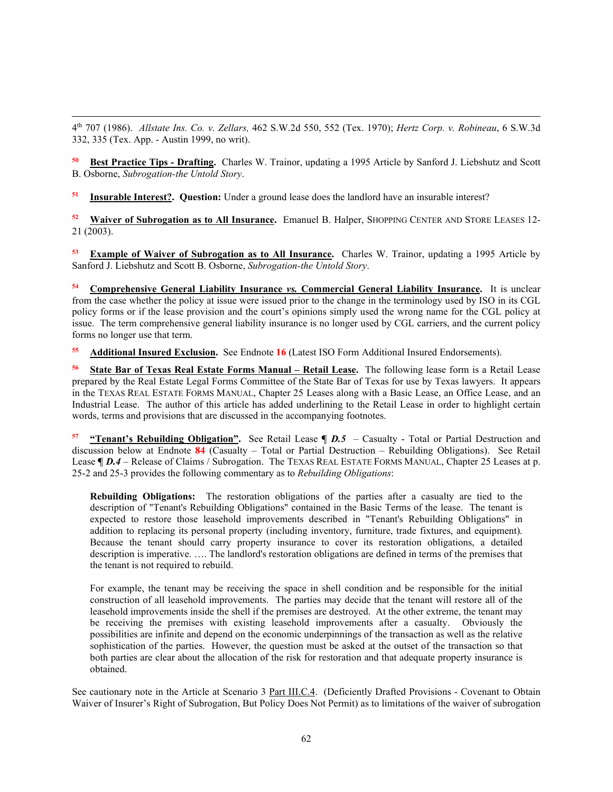4th 707 (1986). *Allstate Ins. Co. v. Zellars,* 462 S.W.2d 550, 552 (Tex. 1970); *Hertz Corp. v. Robineau*, 6 S.W.3d 332, 335 (Tex. App. - Austin 1999, no writ).

**<sup>50</sup> Best Practice Tips - Drafting.** Charles W. Trainor, updating a 1995 Article by Sanford J. Liebshutz and Scott B. Osborne, *Subrogation-the Untold Story*.

**<sup>51</sup> Insurable Interest?. Question:** Under a ground lease does the landlord have an insurable interest?

**<sup>52</sup> Waiver of Subrogation as to All Insurance.** Emanuel B. Halper, SHOPPING CENTER AND STORE LEASES 12- 21 (2003).

**<sup>53</sup> Example of Waiver of Subrogation as to All Insurance.** Charles W. Trainor, updating a 1995 Article by Sanford J. Liebshutz and Scott B. Osborne, *Subrogation-the Untold Story*.

**<sup>54</sup> Comprehensive General Liability Insurance** *vs.* **Commercial General Liability Insurance.** It is unclear from the case whether the policy at issue were issued prior to the change in the terminology used by ISO in its CGL policy forms or if the lease provision and the court's opinions simply used the wrong name for the CGL policy at issue. The term comprehensive general liability insurance is no longer used by CGL carriers, and the current policy forms no longer use that term.

**<sup>55</sup> Additional Insured Exclusion.** See Endnote **16** (Latest ISO Form Additional Insured Endorsements).

**<sup>56</sup> State Bar of Texas Real Estate Forms Manual – Retail Lease.** The following lease form is a Retail Lease prepared by the Real Estate Legal Forms Committee of the State Bar of Texas for use by Texas lawyers. It appears in the TEXAS REAL ESTATE FORMS MANUAL, Chapter 25 Leases along with a Basic Lease, an Office Lease, and an Industrial Lease. The author of this article has added underlining to the Retail Lease in order to highlight certain words, terms and provisions that are discussed in the accompanying footnotes.

**<sup>57</sup> "Tenant's Rebuilding Obligation".** See Retail Lease **¶** *D.5* – Casualty - Total or Partial Destruction and discussion below at Endnote **84** (Casualty – Total or Partial Destruction – Rebuilding Obligations). See Retail Lease **[ D.4** – Release of Claims / Subrogation. The TEXAS REAL ESTATE FORMS MANUAL, Chapter 25 Leases at p. 25-2 and 25-3 provides the following commentary as to *Rebuilding Obligations*:

**Rebuilding Obligations:** The restoration obligations of the parties after a casualty are tied to the description of "Tenant's Rebuilding Obligations" contained in the Basic Terms of the lease. The tenant is expected to restore those leasehold improvements described in "Tenant's Rebuilding Obligations" in addition to replacing its personal property (including inventory, furniture, trade fixtures, and equipment). Because the tenant should carry property insurance to cover its restoration obligations, a detailed description is imperative. …. The landlord's restoration obligations are defined in terms of the premises that the tenant is not required to rebuild.

For example, the tenant may be receiving the space in shell condition and be responsible for the initial construction of all leasehold improvements. The parties may decide that the tenant will restore all of the leasehold improvements inside the shell if the premises are destroyed. At the other extreme, the tenant may be receiving the premises with existing leasehold improvements after a casualty. Obviously the possibilities are infinite and depend on the economic underpinnings of the transaction as well as the relative sophistication of the parties. However, the question must be asked at the outset of the transaction so that both parties are clear about the allocation of the risk for restoration and that adequate property insurance is obtained.

See cautionary note in the Article at Scenario 3 Part III.C.4. (Deficiently Drafted Provisions - Covenant to Obtain Waiver of Insurer's Right of Subrogation, But Policy Does Not Permit) as to limitations of the waiver of subrogation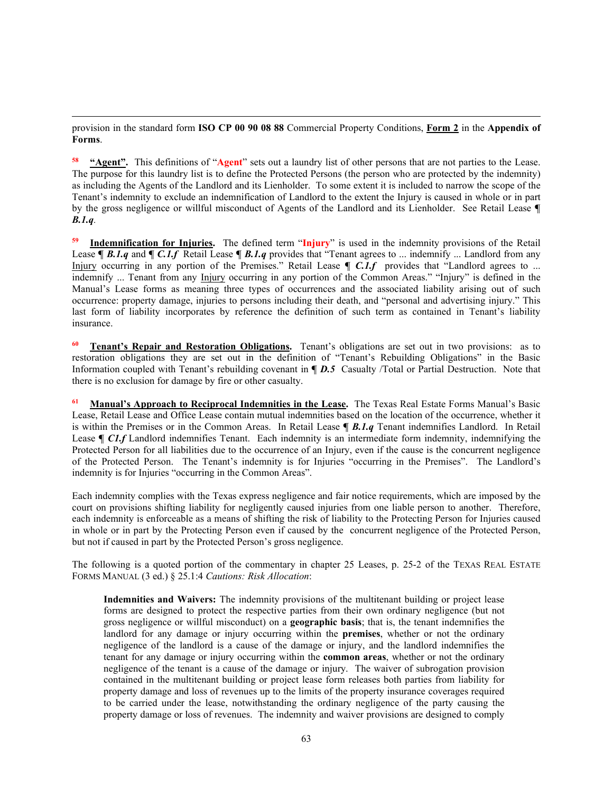provision in the standard form **ISO CP 00 90 08 88** Commercial Property Conditions, **Form 2** in the **Appendix of Forms**.

**<sup>58</sup> "Agent".** This definitions of "**Agent**" sets out a laundry list of other persons that are not parties to the Lease. The purpose for this laundry list is to define the Protected Persons (the person who are protected by the indemnity) as including the Agents of the Landlord and its Lienholder. To some extent it is included to narrow the scope of the Tenant's indemnity to exclude an indemnification of Landlord to the extent the Injury is caused in whole or in part by the gross negligence or willful misconduct of Agents of the Landlord and its Lienholder. See Retail Lease **¶**  *B.1.q.*

**<sup>59</sup> Indemnification for Injuries.** The defined term "**Injury**" is used in the indemnity provisions of the Retail Lease **¶** *B.1.q* and **¶** *C.1.f* Retail Lease **¶** *B.1.q* provides that "Tenant agrees to ... indemnify ... Landlord from any Injury occurring in any portion of the Premises." Retail Lease **[ C.1.f** provides that "Landlord agrees to ... indemnify ... Tenant from any Injury occurring in any portion of the Common Areas." "Injury" is defined in the Manual's Lease forms as meaning three types of occurrences and the associated liability arising out of such occurrence: property damage, injuries to persons including their death, and "personal and advertising injury." This last form of liability incorporates by reference the definition of such term as contained in Tenant's liability insurance.

**Tenant's Repair and Restoration Obligations.** Tenant's obligations are set out in two provisions: as to restoration obligations they are set out in the definition of "Tenant's Rebuilding Obligations" in the Basic Information coupled with Tenant's rebuilding covenant in **¶** *D.5* Casualty /Total or Partial Destruction. Note that there is no exclusion for damage by fire or other casualty.

**<sup>61</sup> Manual's Approach to Reciprocal Indemnities in the Lease.** The Texas Real Estate Forms Manual's Basic Lease, Retail Lease and Office Lease contain mutual indemnities based on the location of the occurrence, whether it is within the Premises or in the Common Areas. In Retail Lease **¶** *B.1.q* Tenant indemnifies Landlord. In Retail Lease **[ C1.f** Landlord indemnifies Tenant. Each indemnity is an intermediate form indemnity, indemnifying the Protected Person for all liabilities due to the occurrence of an Injury, even if the cause is the concurrent negligence of the Protected Person. The Tenant's indemnity is for Injuries "occurring in the Premises". The Landlord's indemnity is for Injuries "occurring in the Common Areas".

Each indemnity complies with the Texas express negligence and fair notice requirements, which are imposed by the court on provisions shifting liability for negligently caused injuries from one liable person to another. Therefore, each indemnity is enforceable as a means of shifting the risk of liability to the Protecting Person for Injuries caused in whole or in part by the Protecting Person even if caused by the concurrent negligence of the Protected Person, but not if caused in part by the Protected Person's gross negligence.

The following is a quoted portion of the commentary in chapter 25 Leases, p. 25-2 of the TEXAS REAL ESTATE FORMS MANUAL (3 ed.) § 25.1:4 *Cautions: Risk Allocation*:

**Indemnities and Waivers:** The indemnity provisions of the multitenant building or project lease forms are designed to protect the respective parties from their own ordinary negligence (but not gross negligence or willful misconduct) on a **geographic basis**; that is, the tenant indemnifies the landlord for any damage or injury occurring within the **premises**, whether or not the ordinary negligence of the landlord is a cause of the damage or injury, and the landlord indemnifies the tenant for any damage or injury occurring within the **common areas**, whether or not the ordinary negligence of the tenant is a cause of the damage or injury. The waiver of subrogation provision contained in the multitenant building or project lease form releases both parties from liability for property damage and loss of revenues up to the limits of the property insurance coverages required to be carried under the lease, notwithstanding the ordinary negligence of the party causing the property damage or loss of revenues. The indemnity and waiver provisions are designed to comply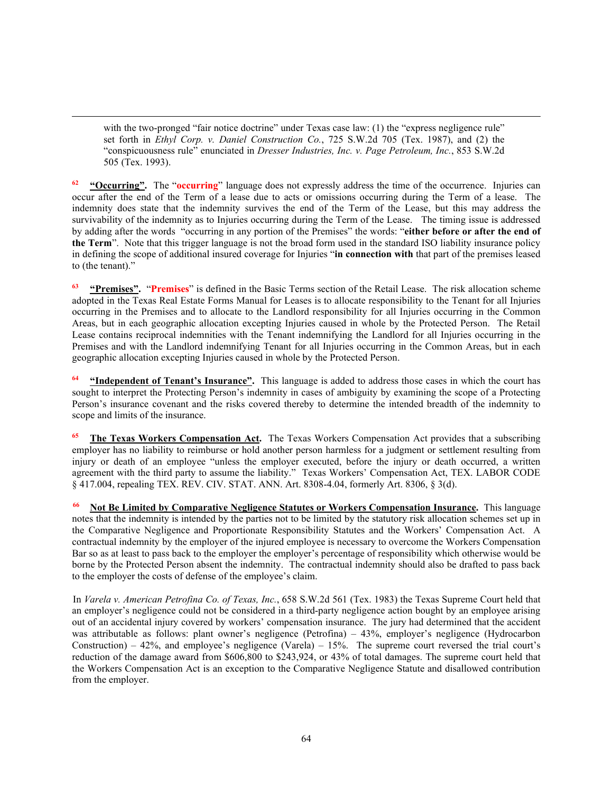with the two-pronged "fair notice doctrine" under Texas case law: (1) the "express negligence rule" set forth in *Ethyl Corp. v. Daniel Construction Co.*, 725 S.W.2d 705 (Tex. 1987), and (2) the "conspicuousness rule" enunciated in *Dresser Industries, Inc. v. Page Petroleum, Inc.*, 853 S.W.2d 505 (Tex. 1993).

**<sup>62</sup> "Occurring".** The "**occurring**" language does not expressly address the time of the occurrence. Injuries can occur after the end of the Term of a lease due to acts or omissions occurring during the Term of a lease. The indemnity does state that the indemnity survives the end of the Term of the Lease, but this may address the survivability of the indemnity as to Injuries occurring during the Term of the Lease. The timing issue is addressed by adding after the words "occurring in any portion of the Premises" the words: "**either before or after the end of the Term**". Note that this trigger language is not the broad form used in the standard ISO liability insurance policy in defining the scope of additional insured coverage for Injuries "**in connection with** that part of the premises leased to (the tenant)."

**<sup>63</sup> "Premises".** "**Premises**" is defined in the Basic Terms section of the Retail Lease. The risk allocation scheme adopted in the Texas Real Estate Forms Manual for Leases is to allocate responsibility to the Tenant for all Injuries occurring in the Premises and to allocate to the Landlord responsibility for all Injuries occurring in the Common Areas, but in each geographic allocation excepting Injuries caused in whole by the Protected Person. The Retail Lease contains reciprocal indemnities with the Tenant indemnifying the Landlord for all Injuries occurring in the Premises and with the Landlord indemnifying Tenant for all Injuries occurring in the Common Areas, but in each geographic allocation excepting Injuries caused in whole by the Protected Person.

**<sup>64</sup> "Independent of Tenant's Insurance".** This language is added to address those cases in which the court has sought to interpret the Protecting Person's indemnity in cases of ambiguity by examining the scope of a Protecting Person's insurance covenant and the risks covered thereby to determine the intended breadth of the indemnity to scope and limits of the insurance.

**<sup>65</sup> The Texas Workers Compensation Act.** The Texas Workers Compensation Act provides that a subscribing employer has no liability to reimburse or hold another person harmless for a judgment or settlement resulting from injury or death of an employee "unless the employer executed, before the injury or death occurred, a written agreement with the third party to assume the liability." Texas Workers' Compensation Act, TEX. LABOR CODE § 417.004, repealing TEX. REV. CIV. STAT. ANN. Art. 8308-4.04, formerly Art. 8306, § 3(d).

**Not Be Limited by Comparative Negligence Statutes or Workers Compensation Insurance.** This language notes that the indemnity is intended by the parties not to be limited by the statutory risk allocation schemes set up in the Comparative Negligence and Proportionate Responsibility Statutes and the Workers' Compensation Act. A contractual indemnity by the employer of the injured employee is necessary to overcome the Workers Compensation Bar so as at least to pass back to the employer the employer's percentage of responsibility which otherwise would be borne by the Protected Person absent the indemnity. The contractual indemnity should also be drafted to pass back to the employer the costs of defense of the employee's claim.

In *Varela v. American Petrofina Co. of Texas, Inc.*, 658 S.W.2d 561 (Tex. 1983) the Texas Supreme Court held that an employer's negligence could not be considered in a third-party negligence action bought by an employee arising out of an accidental injury covered by workers' compensation insurance. The jury had determined that the accident was attributable as follows: plant owner's negligence (Petrofina) – 43%, employer's negligence (Hydrocarbon Construction) – 42%, and employee's negligence (Varela) – 15%. The supreme court reversed the trial court's reduction of the damage award from \$606,800 to \$243,924, or 43% of total damages. The supreme court held that the Workers Compensation Act is an exception to the Comparative Negligence Statute and disallowed contribution from the employer.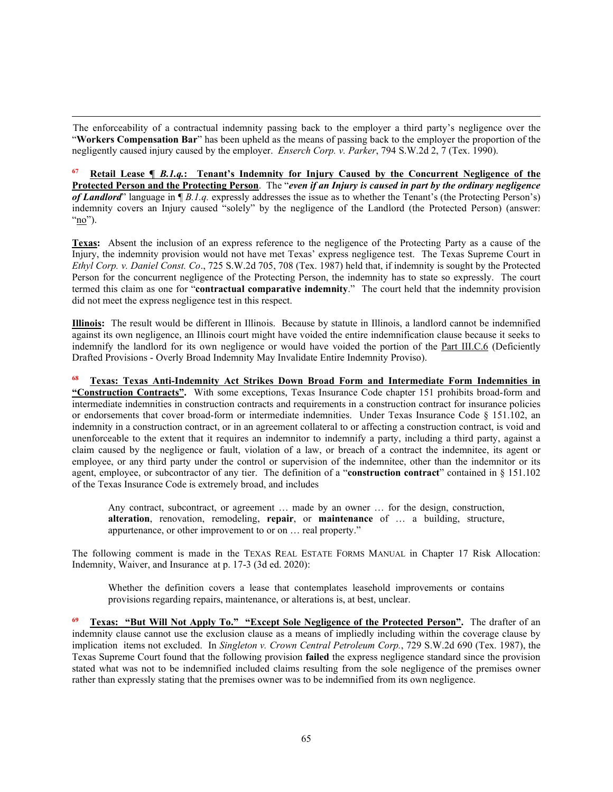The enforceability of a contractual indemnity passing back to the employer a third party's negligence over the "**Workers Compensation Bar**" has been upheld as the means of passing back to the employer the proportion of the negligently caused injury caused by the employer. *Enserch Corp. v. Parker*, 794 S.W.2d 2, 7 (Tex. 1990).

**<sup>67</sup> Retail Lease ¶** *B.1.q.***: Tenant's Indemnity for Injury Caused by the Concurrent Negligence of the Protected Person and the Protecting Person**. The "*even if an Injury is caused in part by the ordinary negligence of Landlord*" language in ¶ *B.1.q.* expressly addresses the issue as to whether the Tenant's (the Protecting Person's) indemnity covers an Injury caused "solely" by the negligence of the Landlord (the Protected Person) (answer: " $\underline{no}$ ").

**Texas:** Absent the inclusion of an express reference to the negligence of the Protecting Party as a cause of the Injury, the indemnity provision would not have met Texas' express negligence test. The Texas Supreme Court in *Ethyl Corp. v. Daniel Const. Co*., 725 S.W.2d 705, 708 (Tex. 1987) held that, if indemnity is sought by the Protected Person for the concurrent negligence of the Protecting Person, the indemnity has to state so expressly. The court termed this claim as one for "**contractual comparative indemnity**." The court held that the indemnity provision did not meet the express negligence test in this respect.

**Illinois:** The result would be different in Illinois. Because by statute in Illinois, a landlord cannot be indemnified against its own negligence, an Illinois court might have voided the entire indemnification clause because it seeks to indemnify the landlord for its own negligence or would have voided the portion of the Part III.C.6 (Deficiently Drafted Provisions - Overly Broad Indemnity May Invalidate Entire Indemnity Proviso).

**<sup>68</sup> Texas: Texas Anti-Indemnity Act Strikes Down Broad Form and Intermediate Form Indemnities in "Construction Contracts".** With some exceptions, Texas Insurance Code chapter 151 prohibits broad-form and intermediate indemnities in construction contracts and requirements in a construction contract for insurance policies or endorsements that cover broad-form or intermediate indemnities. Under Texas Insurance Code § 151.102, an indemnity in a construction contract, or in an agreement collateral to or affecting a construction contract, is void and unenforceable to the extent that it requires an indemnitor to indemnify a party, including a third party, against a claim caused by the negligence or fault, violation of a law, or breach of a contract the indemnitee, its agent or employee, or any third party under the control or supervision of the indemnitee, other than the indemnitor or its agent, employee, or subcontractor of any tier. The definition of a "**construction contract**" contained in § 151.102 of the Texas Insurance Code is extremely broad, and includes

Any contract, subcontract, or agreement … made by an owner … for the design, construction, **alteration**, renovation, remodeling, **repair**, or **maintenance** of … a building, structure, appurtenance, or other improvement to or on … real property."

The following comment is made in the TEXAS REAL ESTATE FORMS MANUAL in Chapter 17 Risk Allocation: Indemnity, Waiver, and Insurance at p. 17-3 (3d ed. 2020):

Whether the definition covers a lease that contemplates leasehold improvements or contains provisions regarding repairs, maintenance, or alterations is, at best, unclear.

**<sup>69</sup> Texas: "But Will Not Apply To." "Except Sole Negligence of the Protected Person".** The drafter of an indemnity clause cannot use the exclusion clause as a means of impliedly including within the coverage clause by implication items not excluded. In *Singleton v. Crown Central Petroleum Corp.*, 729 S.W.2d 690 (Tex. 1987), the Texas Supreme Court found that the following provision **failed** the express negligence standard since the provision stated what was not to be indemnified included claims resulting from the sole negligence of the premises owner rather than expressly stating that the premises owner was to be indemnified from its own negligence.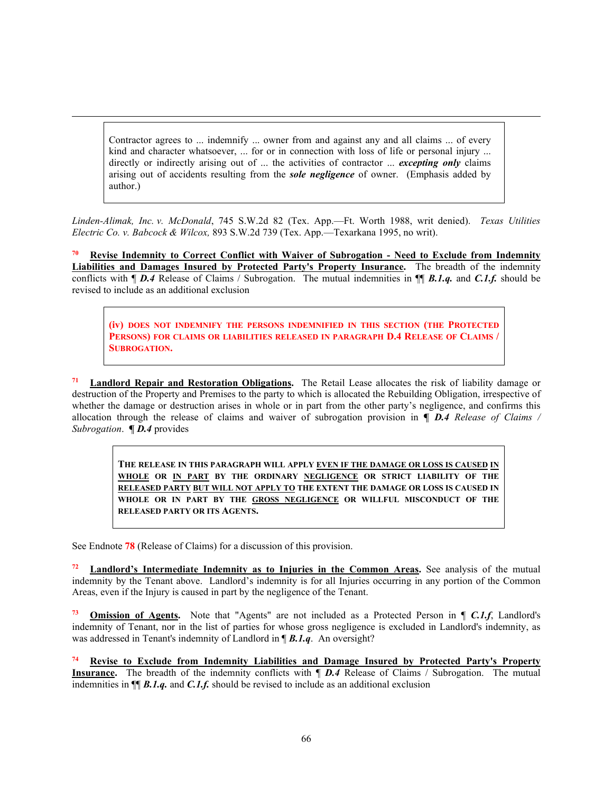Contractor agrees to ... indemnify ... owner from and against any and all claims ... of every kind and character whatsoever, ... for or in connection with loss of life or personal injury ... directly or indirectly arising out of ... the activities of contractor ... *excepting only* claims arising out of accidents resulting from the *sole negligence* of owner. (Emphasis added by author.)

*Linden-Alimak, Inc. v. McDonald*, 745 S.W.2d 82 (Tex. App.—Ft. Worth 1988, writ denied). *Texas Utilities Electric Co. v. Babcock & Wilcox,* 893 S.W.2d 739 (Tex. App.—Texarkana 1995, no writ).

**<sup>70</sup> Revise Indemnity to Correct Conflict with Waiver of Subrogation - Need to Exclude from Indemnity Liabilities and Damages Insured by Protected Party's Property Insurance.** The breadth of the indemnity conflicts with  $\P$  *D.4* Release of Claims / Subrogation. The mutual indemnities in  $\P$  *B.1.q.* and *C.1.f.* should be revised to include as an additional exclusion

**(iv) DOES NOT INDEMNIFY THE PERSONS INDEMNIFIED IN THIS SECTION (THE PROTECTED PERSONS) FOR CLAIMS OR LIABILITIES RELEASED IN PARAGRAPH D.4 RELEASE OF CLAIMS / SUBROGATION.**

**<sup>71</sup> Landlord Repair and Restoration Obligations.** The Retail Lease allocates the risk of liability damage or destruction of the Property and Premises to the party to which is allocated the Rebuilding Obligation, irrespective of whether the damage or destruction arises in whole or in part from the other party's negligence, and confirms this allocation through the release of claims and waiver of subrogation provision in **¶** *D.4 Release of Claims / Subrogation*. **¶** *D.4* provides

**THE RELEASE IN THIS PARAGRAPH WILL APPLY EVEN IF THE DAMAGE OR LOSS IS CAUSED IN WHOLE OR IN PART BY THE ORDINARY NEGLIGENCE OR STRICT LIABILITY OF THE RELEASED PARTY BUT WILL NOT APPLY TO THE EXTENT THE DAMAGE OR LOSS IS CAUSED IN WHOLE OR IN PART BY THE GROSS NEGLIGENCE OR WILLFUL MISCONDUCT OF THE RELEASED PARTY OR ITS AGENTS.**

See Endnote **78** (Release of Claims) for a discussion of this provision.

**<sup>72</sup> Landlord's Intermediate Indemnity as to Injuries in the Common Areas.** See analysis of the mutual indemnity by the Tenant above. Landlord's indemnity is for all Injuries occurring in any portion of the Common Areas, even if the Injury is caused in part by the negligence of the Tenant.

**<sup>73</sup> Omission of Agents.** Note that "Agents" are not included as a Protected Person in ¶ *C.1.f*, Landlord's indemnity of Tenant, nor in the list of parties for whose gross negligence is excluded in Landlord's indemnity, as was addressed in Tenant's indemnity of Landlord in ¶ *B.1.q*. An oversight?

**<sup>74</sup> Revise to Exclude from Indemnity Liabilities and Damage Insured by Protected Party's Property Insurance.** The breadth of the indemnity conflicts with **J** *D.4* Release of Claims / Subrogation. The mutual indemnities in ¶¶ *B.1.q.* and *C.1.f.* should be revised to include as an additional exclusion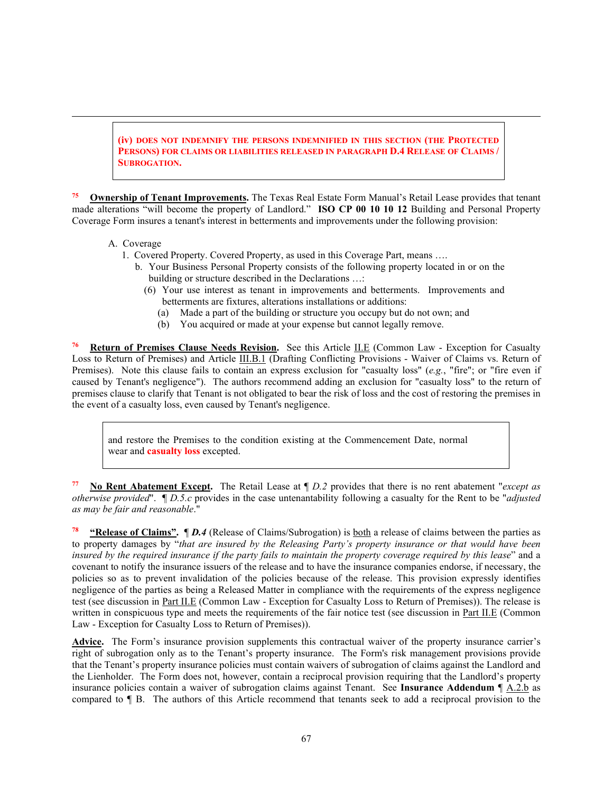**(iv) DOES NOT INDEMNIFY THE PERSONS INDEMNIFIED IN THIS SECTION (THE PROTECTED PERSONS) FOR CLAIMS OR LIABILITIES RELEASED IN PARAGRAPH D.4 RELEASE OF CLAIMS / SUBROGATION.**

**Ownership of Tenant Improvements.** The Texas Real Estate Form Manual's Retail Lease provides that tenant made alterations "will become the property of Landlord." **ISO CP 00 10 10 12** Building and Personal Property Coverage Form insures a tenant's interest in betterments and improvements under the following provision:

- A. Coverage
	- 1. Covered Property. Covered Property, as used in this Coverage Part, means ….
		- b. Your Business Personal Property consists of the following property located in or on the building or structure described in the Declarations …:
			- (6) Your use interest as tenant in improvements and betterments. Improvements and betterments are fixtures, alterations installations or additions:
				- (a) Made a part of the building or structure you occupy but do not own; and
				- (b) You acquired or made at your expense but cannot legally remove.

**<sup>76</sup> Return of Premises Clause Needs Revision.** See this Article II.E (Common Law - Exception for Casualty Loss to Return of Premises) and Article III.B.1 (Drafting Conflicting Provisions - Waiver of Claims vs. Return of Premises). Note this clause fails to contain an express exclusion for "casualty loss" (*e.g.*, "fire"; or "fire even if caused by Tenant's negligence"). The authors recommend adding an exclusion for "casualty loss" to the return of premises clause to clarify that Tenant is not obligated to bear the risk of loss and the cost of restoring the premises in the event of a casualty loss, even caused by Tenant's negligence.

and restore the Premises to the condition existing at the Commencement Date, normal wear and **casualty loss** excepted.

**<sup>77</sup> No Rent Abatement Except.** The Retail Lease at ¶ *D.2* provides that there is no rent abatement "*except as otherwise provided*". ¶ *D.5.c* provides in the case untenantability following a casualty for the Rent to be "*adjusted as may be fair and reasonable*."

**<sup>78</sup> "Release of Claims".** ¶ *D.4* (Release of Claims/Subrogation) is both a release of claims between the parties as to property damages by "*that are insured by the Releasing Party's property insurance or that would have been insured by the required insurance if the party fails to maintain the property coverage required by this lease*" and a covenant to notify the insurance issuers of the release and to have the insurance companies endorse, if necessary, the policies so as to prevent invalidation of the policies because of the release. This provision expressly identifies negligence of the parties as being a Released Matter in compliance with the requirements of the express negligence test (see discussion in Part II.E (Common Law - Exception for Casualty Loss to Return of Premises)). The release is written in conspicuous type and meets the requirements of the fair notice test (see discussion in Part II.E (Common Law - Exception for Casualty Loss to Return of Premises)).

**Advice.** The Form's insurance provision supplements this contractual waiver of the property insurance carrier's right of subrogation only as to the Tenant's property insurance. The Form's risk management provisions provide that the Tenant's property insurance policies must contain waivers of subrogation of claims against the Landlord and the Lienholder. The Form does not, however, contain a reciprocal provision requiring that the Landlord's property insurance policies contain a waiver of subrogation claims against Tenant. See **Insurance Addendum** [A.2.b as compared to ¶ B. The authors of this Article recommend that tenants seek to add a reciprocal provision to the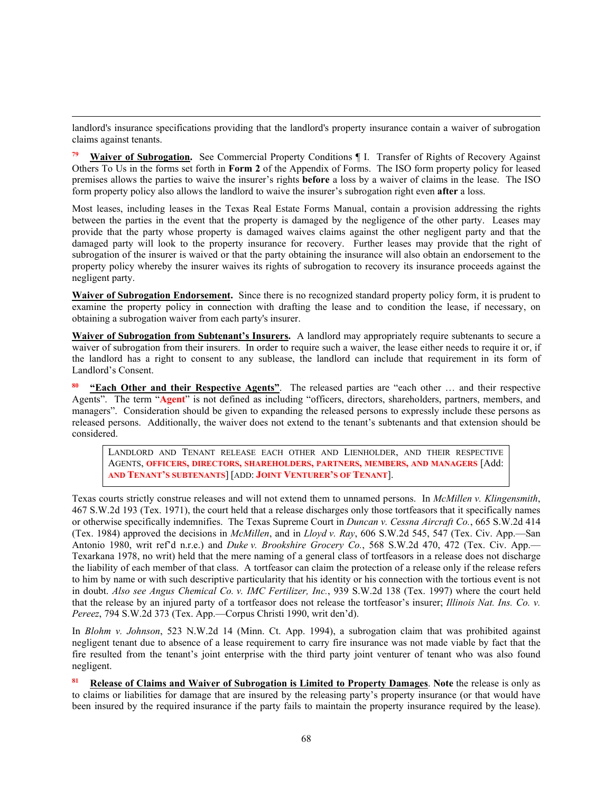landlord's insurance specifications providing that the landlord's property insurance contain a waiver of subrogation claims against tenants.

**<sup>79</sup> Waiver of Subrogation.** See Commercial Property Conditions ¶ I. Transfer of Rights of Recovery Against Others To Us in the forms set forth in **Form 2** of the Appendix of Forms. The ISO form property policy for leased premises allows the parties to waive the insurer's rights **before** a loss by a waiver of claims in the lease. The ISO form property policy also allows the landlord to waive the insurer's subrogation right even **after** a loss.

Most leases, including leases in the Texas Real Estate Forms Manual, contain a provision addressing the rights between the parties in the event that the property is damaged by the negligence of the other party. Leases may provide that the party whose property is damaged waives claims against the other negligent party and that the damaged party will look to the property insurance for recovery. Further leases may provide that the right of subrogation of the insurer is waived or that the party obtaining the insurance will also obtain an endorsement to the property policy whereby the insurer waives its rights of subrogation to recovery its insurance proceeds against the negligent party.

**Waiver of Subrogation Endorsement.** Since there is no recognized standard property policy form, it is prudent to examine the property policy in connection with drafting the lease and to condition the lease, if necessary, on obtaining a subrogation waiver from each party's insurer.

**Waiver of Subrogation from Subtenant's Insurers.** A landlord may appropriately require subtenants to secure a waiver of subrogation from their insurers. In order to require such a waiver, the lease either needs to require it or, if the landlord has a right to consent to any sublease, the landlord can include that requirement in its form of Landlord's Consent.

**<sup>80</sup> "Each Other and their Respective Agents"**. The released parties are "each other … and their respective Agents". The term "**Agent**" is not defined as including "officers, directors, shareholders, partners, members, and managers". Consideration should be given to expanding the released persons to expressly include these persons as released persons. Additionally, the waiver does not extend to the tenant's subtenants and that extension should be considered.

LANDLORD AND TENANT RELEASE EACH OTHER AND LIENHOLDER, AND THEIR RESPECTIVE AGENTS, **OFFICERS, DIRECTORS, SHAREHOLDERS, PARTNERS, MEMBERS, AND MANAGERS** [Add: **AND TENANT'S SUBTENANTS**] [ADD: **JOINT VENTURER'S OF TENANT**].

Texas courts strictly construe releases and will not extend them to unnamed persons. In *McMillen v. Klingensmith*, 467 S.W.2d 193 (Tex. 1971), the court held that a release discharges only those tortfeasors that it specifically names or otherwise specifically indemnifies. The Texas Supreme Court in *Duncan v. Cessna Aircraft Co.*, 665 S.W.2d 414 (Tex. 1984) approved the decisions in *McMillen*, and in *Lloyd v. Ray*, 606 S.W.2d 545, 547 (Tex. Civ. App.—San Antonio 1980, writ ref'd n.r.e.) and *Duke v. Brookshire Grocery Co.*, 568 S.W.2d 470, 472 (Tex. Civ. App.— Texarkana 1978, no writ) held that the mere naming of a general class of tortfeasors in a release does not discharge the liability of each member of that class. A tortfeasor can claim the protection of a release only if the release refers to him by name or with such descriptive particularity that his identity or his connection with the tortious event is not in doubt. *Also see Angus Chemical Co. v. IMC Fertilizer, Inc.*, 939 S.W.2d 138 (Tex. 1997) where the court held that the release by an injured party of a tortfeasor does not release the tortfeasor's insurer; *Illinois Nat. Ins. Co. v. Pereez*, 794 S.W.2d 373 (Tex. App.—Corpus Christi 1990, writ den'd).

In *Blohm v. Johnson*, 523 N.W.2d 14 (Minn. Ct. App. 1994), a subrogation claim that was prohibited against negligent tenant due to absence of a lease requirement to carry fire insurance was not made viable by fact that the fire resulted from the tenant's joint enterprise with the third party joint venturer of tenant who was also found negligent.

**<sup>81</sup> Release of Claims and Waiver of Subrogation is Limited to Property Damages**. **Note** the release is only as to claims or liabilities for damage that are insured by the releasing party's property insurance (or that would have been insured by the required insurance if the party fails to maintain the property insurance required by the lease).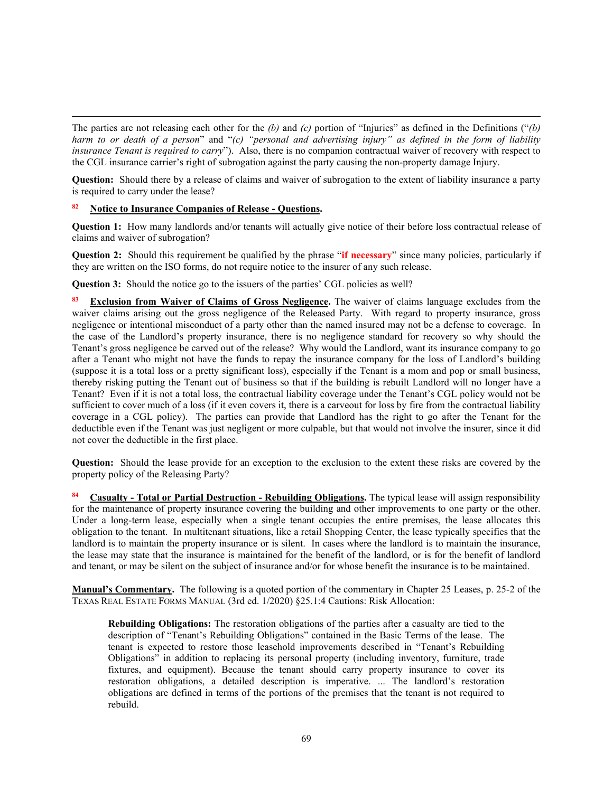The parties are not releasing each other for the *(b)* and *(c)* portion of "Injuries" as defined in the Definitions ("*(b) harm to or death of a person*" and "*(c) "personal and advertising injury" as defined in the form of liability insurance Tenant is required to carry*"). Also, there is no companion contractual waiver of recovery with respect to the CGL insurance carrier's right of subrogation against the party causing the non-property damage Injury.

**Question:** Should there by a release of claims and waiver of subrogation to the extent of liability insurance a party is required to carry under the lease?

# **<sup>82</sup> Notice to Insurance Companies of Release - Questions.**

**Question 1:** How many landlords and/or tenants will actually give notice of their before loss contractual release of claims and waiver of subrogation?

**Question 2:** Should this requirement be qualified by the phrase "**if necessary**" since many policies, particularly if they are written on the ISO forms, do not require notice to the insurer of any such release.

**Question 3:** Should the notice go to the issuers of the parties' CGL policies as well?

**Exclusion from Waiver of Claims of Gross Negligence.** The waiver of claims language excludes from the waiver claims arising out the gross negligence of the Released Party. With regard to property insurance, gross negligence or intentional misconduct of a party other than the named insured may not be a defense to coverage. In the case of the Landlord's property insurance, there is no negligence standard for recovery so why should the Tenant's gross negligence be carved out of the release? Why would the Landlord, want its insurance company to go after a Tenant who might not have the funds to repay the insurance company for the loss of Landlord's building (suppose it is a total loss or a pretty significant loss), especially if the Tenant is a mom and pop or small business, thereby risking putting the Tenant out of business so that if the building is rebuilt Landlord will no longer have a Tenant? Even if it is not a total loss, the contractual liability coverage under the Tenant's CGL policy would not be sufficient to cover much of a loss (if it even covers it, there is a carveout for loss by fire from the contractual liability coverage in a CGL policy). The parties can provide that Landlord has the right to go after the Tenant for the deductible even if the Tenant was just negligent or more culpable, but that would not involve the insurer, since it did not cover the deductible in the first place.

**Question:** Should the lease provide for an exception to the exclusion to the extent these risks are covered by the property policy of the Releasing Party?

**<sup>84</sup> Casualty - Total or Partial Destruction - Rebuilding Obligations.** The typical lease will assign responsibility for the maintenance of property insurance covering the building and other improvements to one party or the other. Under a long-term lease, especially when a single tenant occupies the entire premises, the lease allocates this obligation to the tenant. In multitenant situations, like a retail Shopping Center, the lease typically specifies that the landlord is to maintain the property insurance or is silent. In cases where the landlord is to maintain the insurance, the lease may state that the insurance is maintained for the benefit of the landlord, or is for the benefit of landlord and tenant, or may be silent on the subject of insurance and/or for whose benefit the insurance is to be maintained.

**Manual's Commentary.** The following is a quoted portion of the commentary in Chapter 25 Leases, p. 25-2 of the TEXAS REAL ESTATE FORMS MANUAL (3rd ed. 1/2020) §25.1:4 Cautions: Risk Allocation:

**Rebuilding Obligations:** The restoration obligations of the parties after a casualty are tied to the description of "Tenant's Rebuilding Obligations" contained in the Basic Terms of the lease. The tenant is expected to restore those leasehold improvements described in "Tenant's Rebuilding Obligations" in addition to replacing its personal property (including inventory, furniture, trade fixtures, and equipment). Because the tenant should carry property insurance to cover its restoration obligations, a detailed description is imperative. ... The landlord's restoration obligations are defined in terms of the portions of the premises that the tenant is not required to rebuild.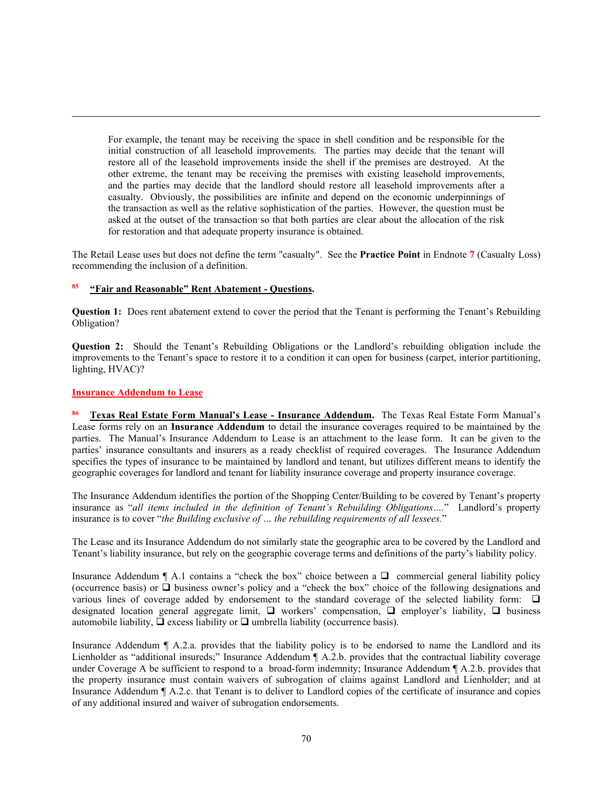For example, the tenant may be receiving the space in shell condition and be responsible for the initial construction of all leasehold improvements. The parties may decide that the tenant will restore all of the leasehold improvements inside the shell if the premises are destroyed. At the other extreme, the tenant may be receiving the premises with existing leasehold improvements, and the parties may decide that the landlord should restore all leasehold improvements after a casualty. Obviously, the possibilities are infinite and depend on the economic underpinnings of the transaction as well as the relative sophistication of the parties. However, the question must be asked at the outset of the transaction so that both parties are clear about the allocation of the risk for restoration and that adequate property insurance is obtained.

The Retail Lease uses but does not define the term "casualty". See the **Practice Point** in Endnote **7** (Casualty Loss) recommending the inclusion of a definition.

### **<sup>85</sup> "Fair and Reasonable" Rent Abatement - Questions.**

**Question 1:** Does rent abatement extend to cover the period that the Tenant is performing the Tenant's Rebuilding Obligation?

**Question 2:** Should the Tenant's Rebuilding Obligations or the Landlord's rebuilding obligation include the improvements to the Tenant's space to restore it to a condition it can open for business (carpet, interior partitioning, lighting, HVAC)?

### **Insurance Addendum to Lease**

**<sup>86</sup> Texas Real Estate Form Manual's Lease - Insurance Addendum.** The Texas Real Estate Form Manual's Lease forms rely on an **Insurance Addendum** to detail the insurance coverages required to be maintained by the parties. The Manual's Insurance Addendum to Lease is an attachment to the lease form. It can be given to the parties' insurance consultants and insurers as a ready checklist of required coverages. The Insurance Addendum specifies the types of insurance to be maintained by landlord and tenant, but utilizes different means to identify the geographic coverages for landlord and tenant for liability insurance coverage and property insurance coverage.

The Insurance Addendum identifies the portion of the Shopping Center/Building to be covered by Tenant's property insurance as "*all items included in the definition of Tenant's Rebuilding Obligations….*" Landlord's property insurance is to cover "*the Building exclusive of … the rebuilding requirements of all lessees.*"

The Lease and its Insurance Addendum do not similarly state the geographic area to be covered by the Landlord and Tenant's liability insurance, but rely on the geographic coverage terms and definitions of the party's liability policy.

Insurance Addendum  $\P$  A.1 contains a "check the box" choice between a  $\P$  commercial general liability policy (occurrence basis) or  $\Box$  business owner's policy and a "check the box" choice of the following designations and various lines of coverage added by endorsement to the standard coverage of the selected liability form:  $\Box$ designated location general aggregate limit,  $\Box$  workers' compensation,  $\Box$  employer's liability,  $\Box$  business automobile liability,  $\overline{\mathbf{u}}$  excess liability or  $\mathbf{u}$  umbrella liability (occurrence basis).

Insurance Addendum ¶ A.2.a. provides that the liability policy is to be endorsed to name the Landlord and its Lienholder as "additional insureds;" Insurance Addendum ¶ A.2.b. provides that the contractual liability coverage under Coverage A be sufficient to respond to a broad-form indemnity; Insurance Addendum ¶ A.2.b. provides that the property insurance must contain waivers of subrogation of claims against Landlord and Lienholder; and at Insurance Addendum ¶ A.2.c. that Tenant is to deliver to Landlord copies of the certificate of insurance and copies of any additional insured and waiver of subrogation endorsements.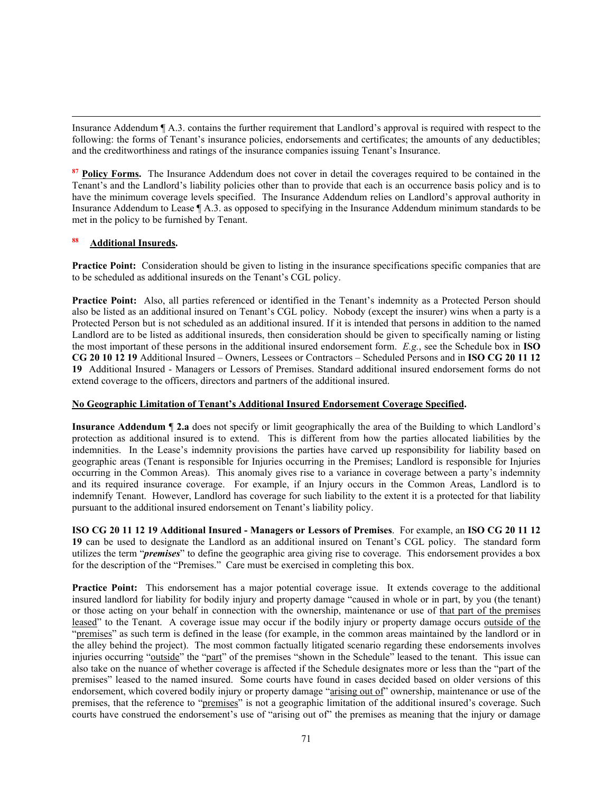Insurance Addendum ¶ A.3. contains the further requirement that Landlord's approval is required with respect to the following: the forms of Tenant's insurance policies, endorsements and certificates; the amounts of any deductibles; and the creditworthiness and ratings of the insurance companies issuing Tenant's Insurance.

**<sup>87</sup> Policy Forms.** The Insurance Addendum does not cover in detail the coverages required to be contained in the Tenant's and the Landlord's liability policies other than to provide that each is an occurrence basis policy and is to have the minimum coverage levels specified. The Insurance Addendum relies on Landlord's approval authority in Insurance Addendum to Lease ¶ A.3. as opposed to specifying in the Insurance Addendum minimum standards to be met in the policy to be furnished by Tenant.

# **<sup>88</sup> Additional Insureds.**

**Practice Point:** Consideration should be given to listing in the insurance specifications specific companies that are to be scheduled as additional insureds on the Tenant's CGL policy.

**Practice Point:** Also, all parties referenced or identified in the Tenant's indemnity as a Protected Person should also be listed as an additional insured on Tenant's CGL policy. Nobody (except the insurer) wins when a party is a Protected Person but is not scheduled as an additional insured. If it is intended that persons in addition to the named Landlord are to be listed as additional insureds, then consideration should be given to specifically naming or listing the most important of these persons in the additional insured endorsement form. *E.g.*, see the Schedule box in **ISO CG 20 10 12 19** Additional Insured – Owners, Lessees or Contractors – Scheduled Persons and in **ISO CG 20 11 12 19** Additional Insured - Managers or Lessors of Premises. Standard additional insured endorsement forms do not extend coverage to the officers, directors and partners of the additional insured.

#### **No Geographic Limitation of Tenant's Additional Insured Endorsement Coverage Specified.**

**Insurance Addendum** ¶ **2.a** does not specify or limit geographically the area of the Building to which Landlord's protection as additional insured is to extend. This is different from how the parties allocated liabilities by the indemnities. In the Lease's indemnity provisions the parties have carved up responsibility for liability based on geographic areas (Tenant is responsible for Injuries occurring in the Premises; Landlord is responsible for Injuries occurring in the Common Areas). This anomaly gives rise to a variance in coverage between a party's indemnity and its required insurance coverage. For example, if an Injury occurs in the Common Areas, Landlord is to indemnify Tenant. However, Landlord has coverage for such liability to the extent it is a protected for that liability pursuant to the additional insured endorsement on Tenant's liability policy.

**ISO CG 20 11 12 19 Additional Insured - Managers or Lessors of Premises**. For example, an **ISO CG 20 11 12 19** can be used to designate the Landlord as an additional insured on Tenant's CGL policy. The standard form utilizes the term "*premises*" to define the geographic area giving rise to coverage. This endorsement provides a box for the description of the "Premises." Care must be exercised in completing this box.

**Practice Point:** This endorsement has a major potential coverage issue. It extends coverage to the additional insured landlord for liability for bodily injury and property damage "caused in whole or in part, by you (the tenant) or those acting on your behalf in connection with the ownership, maintenance or use of that part of the premises leased" to the Tenant. A coverage issue may occur if the bodily injury or property damage occurs outside of the "premises" as such term is defined in the lease (for example, in the common areas maintained by the landlord or in the alley behind the project). The most common factually litigated scenario regarding these endorsements involves injuries occurring "outside" the "part" of the premises "shown in the Schedule" leased to the tenant. This issue can also take on the nuance of whether coverage is affected if the Schedule designates more or less than the "part of the premises" leased to the named insured. Some courts have found in cases decided based on older versions of this endorsement, which covered bodily injury or property damage "arising out of" ownership, maintenance or use of the premises, that the reference to "premises" is not a geographic limitation of the additional insured's coverage. Such courts have construed the endorsement's use of "arising out of" the premises as meaning that the injury or damage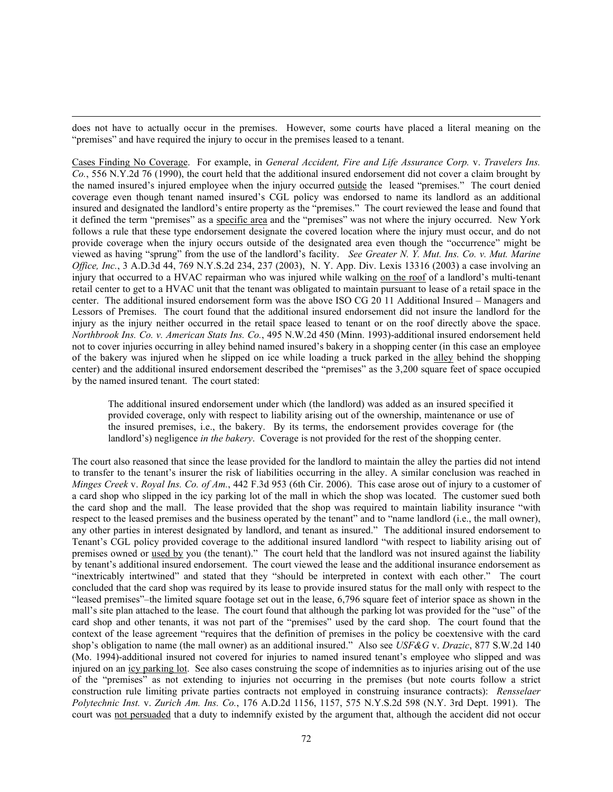does not have to actually occur in the premises. However, some courts have placed a literal meaning on the "premises" and have required the injury to occur in the premises leased to a tenant.

Cases Finding No Coverage. For example, in *General Accident, Fire and Life Assurance Corp.* v. *Travelers Ins. Co.*, 556 N.Y.2d 76 (1990), the court held that the additional insured endorsement did not cover a claim brought by the named insured's injured employee when the injury occurred outside the leased "premises." The court denied coverage even though tenant named insured's CGL policy was endorsed to name its landlord as an additional insured and designated the landlord's entire property as the "premises." The court reviewed the lease and found that it defined the term "premises" as a specific area and the "premises" was not where the injury occurred. New York follows a rule that these type endorsement designate the covered location where the injury must occur, and do not provide coverage when the injury occurs outside of the designated area even though the "occurrence" might be viewed as having "sprung" from the use of the landlord's facility. *See Greater N. Y. Mut. Ins. Co. v. Mut. Marine Office, Inc.*, 3 A.D.3d 44, 769 N.Y.S.2d 234, 237 (2003), N. Y. App. Div. Lexis 13316 (2003) a case involving an injury that occurred to a HVAC repairman who was injured while walking on the roof of a landlord's multi-tenant retail center to get to a HVAC unit that the tenant was obligated to maintain pursuant to lease of a retail space in the center. The additional insured endorsement form was the above ISO CG 20 11 Additional Insured – Managers and Lessors of Premises. The court found that the additional insured endorsement did not insure the landlord for the injury as the injury neither occurred in the retail space leased to tenant or on the roof directly above the space. *Northbrook Ins. Co. v. American Stats Ins. Co.*, 495 N.W.2d 450 (Minn. 1993)-additional insured endorsement held not to cover injuries occurring in alley behind named insured's bakery in a shopping center (in this case an employee of the bakery was injured when he slipped on ice while loading a truck parked in the alley behind the shopping center) and the additional insured endorsement described the "premises" as the 3,200 square feet of space occupied by the named insured tenant. The court stated:

The additional insured endorsement under which (the landlord) was added as an insured specified it provided coverage, only with respect to liability arising out of the ownership, maintenance or use of the insured premises, i.e., the bakery. By its terms, the endorsement provides coverage for (the landlord's) negligence *in the bakery*. Coverage is not provided for the rest of the shopping center.

The court also reasoned that since the lease provided for the landlord to maintain the alley the parties did not intend to transfer to the tenant's insurer the risk of liabilities occurring in the alley. A similar conclusion was reached in *Minges Creek* v. *Royal Ins. Co. of Am.*, 442 F.3d 953 (6th Cir. 2006). This case arose out of injury to a customer of a card shop who slipped in the icy parking lot of the mall in which the shop was located. The customer sued both the card shop and the mall. The lease provided that the shop was required to maintain liability insurance "with respect to the leased premises and the business operated by the tenant" and to "name landlord (i.e., the mall owner), any other parties in interest designated by landlord, and tenant as insured." The additional insured endorsement to Tenant's CGL policy provided coverage to the additional insured landlord "with respect to liability arising out of premises owned or used by you (the tenant)." The court held that the landlord was not insured against the liability by tenant's additional insured endorsement. The court viewed the lease and the additional insurance endorsement as "inextricably intertwined" and stated that they "should be interpreted in context with each other." The court concluded that the card shop was required by its lease to provide insured status for the mall only with respect to the "leased premises"–the limited square footage set out in the lease, 6,796 square feet of interior space as shown in the mall's site plan attached to the lease. The court found that although the parking lot was provided for the "use" of the card shop and other tenants, it was not part of the "premises" used by the card shop. The court found that the context of the lease agreement "requires that the definition of premises in the policy be coextensive with the card shop's obligation to name (the mall owner) as an additional insured." Also see *USF&G* v. *Drazic*, 877 S.W.2d 140 (Mo. 1994)-additional insured not covered for injuries to named insured tenant's employee who slipped and was injured on an icy parking lot. See also cases construing the scope of indemnities as to injuries arising out of the use of the "premises" as not extending to injuries not occurring in the premises (but note courts follow a strict construction rule limiting private parties contracts not employed in construing insurance contracts): *Rensselaer Polytechnic Inst.* v. *Zurich Am. Ins. Co.*, 176 A.D.2d 1156, 1157, 575 N.Y.S.2d 598 (N.Y. 3rd Dept. 1991). The court was not persuaded that a duty to indemnify existed by the argument that, although the accident did not occur